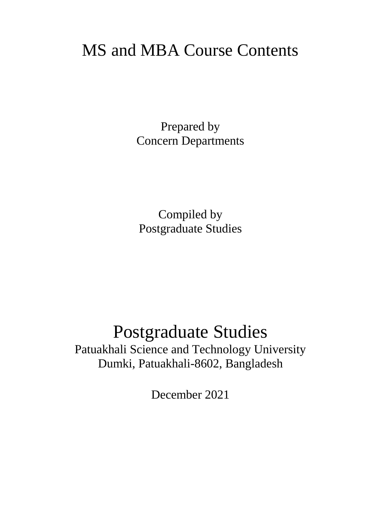# MS and MBA Course Contents

Prepared by Concern Departments

Compiled by Postgraduate Studies

# Postgraduate Studies

Patuakhali Science and Technology University Dumki, Patuakhali-8602, Bangladesh

December 2021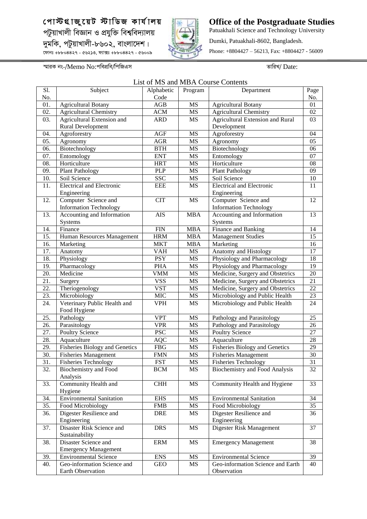

**Office of the Postgraduate Studies** Patuakhali Science and Technology University Dumki, Patuakhali-8602, Bangladesh. Phone: +8804427 – 56213, Fax: +8804427 - 56009

*¯§viK bs-/*Memo No:*cwecÖwe/wcwRGm ZvwiL/* Date:

List of MS and MBA Course Contents

| Code<br>No.<br>No.<br>AGB<br>01.<br><b>MS</b><br><b>Agricultural Botany</b><br><b>Agricultural Botany</b><br>01<br>02.<br><b>Agricultural Chemistry</b><br><b>MS</b><br><b>Agricultural Chemistry</b><br><b>ACM</b><br>02<br>03.<br>Agricultural Extension and<br><b>Agricultural Extension and Rural</b><br><b>ARD</b><br>MS<br>03<br><b>Rural Development</b><br>Development<br>Agroforestry<br><b>AGF</b><br><b>MS</b><br>Agroforestry<br>04<br>04.<br>05.<br><b>AGR</b><br><b>MS</b><br>05<br>Agronomy<br>Agronomy<br>Biotechnology<br>Biotechnology<br>06.<br><b>BTH</b><br><b>MS</b><br>06<br>07.<br><b>MS</b><br>07<br>Entomology<br><b>ENT</b><br>Entomology<br>Horticulture<br>08.<br>Horticulture<br>08<br><b>HRT</b><br><b>MS</b><br>09.<br><b>Plant Pathology</b><br><b>PLP</b><br><b>MS</b><br><b>Plant Pathology</b><br>09<br>SSC<br>10.<br><b>MS</b><br>Soil Science<br>Soil Science<br>10<br>11.<br><b>Electrical and Electronic</b><br><b>EEE</b><br><b>MS</b><br><b>Electrical</b> and Electronic<br>11<br>Engineering<br>Engineering<br>Computer Science and<br><b>CIT</b><br><b>MS</b><br>Computer Science and<br>12<br>12.<br><b>Information Technology</b><br><b>Information Technology</b><br>Accounting and Information<br><b>AIS</b><br><b>MBA</b><br>Accounting and Information<br>13<br>13.<br>Systems<br>Systems<br>Finance and Banking<br>Finance<br><b>FIN</b><br><b>MBA</b><br>14<br>14.<br>15.<br><b>Management Studies</b><br>15<br>Human Resources Management<br><b>HRM</b><br><b>MBA</b><br>Marketing<br>16.<br><b>MKT</b><br><b>MBA</b><br>16<br>Marketing<br><b>VAH</b><br><b>MS</b><br>Anatomy and Histology<br>17<br>17.<br>Anatomy<br>Physiology and Pharmacology<br>18.<br><b>PSY</b><br><b>MS</b><br>18<br>Physiology<br>Physiology and Pharmacology<br>$\overline{19}$<br>19.<br><b>PHA</b><br><b>MS</b><br>Pharmacology<br>Medicine<br>Medicine, Surgery and Obstetrics<br>$\overline{20}$<br>20.<br><b>VMM</b><br><b>MS</b><br>$\overline{\text{VSS}}$<br>Medicine, Surgery and Obstetrics<br>$\overline{21}$<br>21.<br><b>MS</b><br>Surgery<br>$\overline{22}$<br>22.<br>Theriogenology<br><b>VST</b><br><b>MS</b><br>Medicine, Surgery and Obstetrics<br>Microbiology and Public Health<br>23.<br>Microbiology<br><b>MIC</b><br><b>MS</b><br>23<br>Veterinary Public Health and<br>24.<br><b>VPH</b><br>Microbiology and Public Health<br>24<br>MS<br>Food Hygiene<br>25.<br><b>VPT</b><br><b>MS</b><br>25<br>Pathology<br>Pathology and Parasitology<br><b>VPR</b><br><b>MS</b><br>Parasitology<br>Pathology and Parasitology<br>26<br>26.<br><b>PSC</b><br><b>MS</b><br><b>Poultry Science</b><br>27<br>27.<br><b>Poultry Science</b><br>28<br>28.<br>$\rm MS$<br>Aquaculture<br><b>AQC</b><br>Aquaculture<br>Fisheries Biology and Genetics<br>Fisheries Biology and Genetics<br>29<br>29.<br><b>FBG</b><br><b>MS</b><br>30.<br><b>MS</b><br><b>Fisheries Management</b><br>30<br><b>Fisheries Management</b><br><b>FMN</b><br>31<br>$\overline{31}$ .<br>Fisheries Technology<br><b>FST</b><br><b>MS</b><br><b>Fisheries Technology</b><br><b>Biochemistry and Food</b><br><b>Biochemistry and Food Analysis</b><br>32<br>32.<br><b>BCM</b><br>MS<br>Analysis<br>Community Health and<br>Community Health and Hygiene<br>33<br>33.<br><b>CHH</b><br>MS<br>Hygiene<br>$\overline{34}$<br>34.<br><b>Environmental Sanitation</b><br><b>EHS</b><br>MS<br><b>Environmental Sanitation</b><br>35<br>35.<br>Food Microbiology<br>MS<br>Food Microbiology<br><b>FMB</b><br>Digester Resilience and<br><b>DRE</b><br>Digester Resilience and<br>36<br>36.<br>MS<br>Engineering<br>Engineering<br>Disaster Risk Science and<br>$\overline{37}$<br>Digester Risk Management<br>37.<br><b>DRS</b><br>MS<br>Sustainability<br>Disaster Science and<br><b>ERM</b><br>MS<br><b>Emergency Management</b><br>38<br>38.<br><b>Emergency Management</b><br>39<br>39.<br><b>Environmental Science</b><br><b>ENS</b><br>MS<br><b>Environmental Science</b><br>Geo-information Science and Earth<br>Geo-information Science and<br>40.<br>GEO<br>MS<br>40<br>Earth Observation<br>Observation | Sl. | Subject | Alphabetic | Program | Department | Page |
|-----------------------------------------------------------------------------------------------------------------------------------------------------------------------------------------------------------------------------------------------------------------------------------------------------------------------------------------------------------------------------------------------------------------------------------------------------------------------------------------------------------------------------------------------------------------------------------------------------------------------------------------------------------------------------------------------------------------------------------------------------------------------------------------------------------------------------------------------------------------------------------------------------------------------------------------------------------------------------------------------------------------------------------------------------------------------------------------------------------------------------------------------------------------------------------------------------------------------------------------------------------------------------------------------------------------------------------------------------------------------------------------------------------------------------------------------------------------------------------------------------------------------------------------------------------------------------------------------------------------------------------------------------------------------------------------------------------------------------------------------------------------------------------------------------------------------------------------------------------------------------------------------------------------------------------------------------------------------------------------------------------------------------------------------------------------------------------------------------------------------------------------------------------------------------------------------------------------------------------------------------------------------------------------------------------------------------------------------------------------------------------------------------------------------------------------------------------------------------------------------------------------------------------------------------------------------------------------------------------------------------------------------------------------------------------------------------------------------------------------------------------------------------------------------------------------------------------------------------------------------------------------------------------------------------------------------------------------------------------------------------------------------------------------------------------------------------------------------------------------------------------------------------------------------------------------------------------------------------------------------------------------------------------------------------------------------------------------------------------------------------------------------------------------------------------------------------------------------------------------------------------------------------------------------------------------------------------------------------------------------------------------------------------------------------------------------------------------------------------------------------------------------------------------------------------------------------------------------------------------------------------------------------------------------------------------------------------------------------------------------------------------------------------------------------------------------------------------------------------------------------|-----|---------|------------|---------|------------|------|
|                                                                                                                                                                                                                                                                                                                                                                                                                                                                                                                                                                                                                                                                                                                                                                                                                                                                                                                                                                                                                                                                                                                                                                                                                                                                                                                                                                                                                                                                                                                                                                                                                                                                                                                                                                                                                                                                                                                                                                                                                                                                                                                                                                                                                                                                                                                                                                                                                                                                                                                                                                                                                                                                                                                                                                                                                                                                                                                                                                                                                                                                                                                                                                                                                                                                                                                                                                                                                                                                                                                                                                                                                                                                                                                                                                                                                                                                                                                                                                                                                                                                                                                             |     |         |            |         |            |      |
|                                                                                                                                                                                                                                                                                                                                                                                                                                                                                                                                                                                                                                                                                                                                                                                                                                                                                                                                                                                                                                                                                                                                                                                                                                                                                                                                                                                                                                                                                                                                                                                                                                                                                                                                                                                                                                                                                                                                                                                                                                                                                                                                                                                                                                                                                                                                                                                                                                                                                                                                                                                                                                                                                                                                                                                                                                                                                                                                                                                                                                                                                                                                                                                                                                                                                                                                                                                                                                                                                                                                                                                                                                                                                                                                                                                                                                                                                                                                                                                                                                                                                                                             |     |         |            |         |            |      |
|                                                                                                                                                                                                                                                                                                                                                                                                                                                                                                                                                                                                                                                                                                                                                                                                                                                                                                                                                                                                                                                                                                                                                                                                                                                                                                                                                                                                                                                                                                                                                                                                                                                                                                                                                                                                                                                                                                                                                                                                                                                                                                                                                                                                                                                                                                                                                                                                                                                                                                                                                                                                                                                                                                                                                                                                                                                                                                                                                                                                                                                                                                                                                                                                                                                                                                                                                                                                                                                                                                                                                                                                                                                                                                                                                                                                                                                                                                                                                                                                                                                                                                                             |     |         |            |         |            |      |
|                                                                                                                                                                                                                                                                                                                                                                                                                                                                                                                                                                                                                                                                                                                                                                                                                                                                                                                                                                                                                                                                                                                                                                                                                                                                                                                                                                                                                                                                                                                                                                                                                                                                                                                                                                                                                                                                                                                                                                                                                                                                                                                                                                                                                                                                                                                                                                                                                                                                                                                                                                                                                                                                                                                                                                                                                                                                                                                                                                                                                                                                                                                                                                                                                                                                                                                                                                                                                                                                                                                                                                                                                                                                                                                                                                                                                                                                                                                                                                                                                                                                                                                             |     |         |            |         |            |      |
|                                                                                                                                                                                                                                                                                                                                                                                                                                                                                                                                                                                                                                                                                                                                                                                                                                                                                                                                                                                                                                                                                                                                                                                                                                                                                                                                                                                                                                                                                                                                                                                                                                                                                                                                                                                                                                                                                                                                                                                                                                                                                                                                                                                                                                                                                                                                                                                                                                                                                                                                                                                                                                                                                                                                                                                                                                                                                                                                                                                                                                                                                                                                                                                                                                                                                                                                                                                                                                                                                                                                                                                                                                                                                                                                                                                                                                                                                                                                                                                                                                                                                                                             |     |         |            |         |            |      |
|                                                                                                                                                                                                                                                                                                                                                                                                                                                                                                                                                                                                                                                                                                                                                                                                                                                                                                                                                                                                                                                                                                                                                                                                                                                                                                                                                                                                                                                                                                                                                                                                                                                                                                                                                                                                                                                                                                                                                                                                                                                                                                                                                                                                                                                                                                                                                                                                                                                                                                                                                                                                                                                                                                                                                                                                                                                                                                                                                                                                                                                                                                                                                                                                                                                                                                                                                                                                                                                                                                                                                                                                                                                                                                                                                                                                                                                                                                                                                                                                                                                                                                                             |     |         |            |         |            |      |
|                                                                                                                                                                                                                                                                                                                                                                                                                                                                                                                                                                                                                                                                                                                                                                                                                                                                                                                                                                                                                                                                                                                                                                                                                                                                                                                                                                                                                                                                                                                                                                                                                                                                                                                                                                                                                                                                                                                                                                                                                                                                                                                                                                                                                                                                                                                                                                                                                                                                                                                                                                                                                                                                                                                                                                                                                                                                                                                                                                                                                                                                                                                                                                                                                                                                                                                                                                                                                                                                                                                                                                                                                                                                                                                                                                                                                                                                                                                                                                                                                                                                                                                             |     |         |            |         |            |      |
|                                                                                                                                                                                                                                                                                                                                                                                                                                                                                                                                                                                                                                                                                                                                                                                                                                                                                                                                                                                                                                                                                                                                                                                                                                                                                                                                                                                                                                                                                                                                                                                                                                                                                                                                                                                                                                                                                                                                                                                                                                                                                                                                                                                                                                                                                                                                                                                                                                                                                                                                                                                                                                                                                                                                                                                                                                                                                                                                                                                                                                                                                                                                                                                                                                                                                                                                                                                                                                                                                                                                                                                                                                                                                                                                                                                                                                                                                                                                                                                                                                                                                                                             |     |         |            |         |            |      |
|                                                                                                                                                                                                                                                                                                                                                                                                                                                                                                                                                                                                                                                                                                                                                                                                                                                                                                                                                                                                                                                                                                                                                                                                                                                                                                                                                                                                                                                                                                                                                                                                                                                                                                                                                                                                                                                                                                                                                                                                                                                                                                                                                                                                                                                                                                                                                                                                                                                                                                                                                                                                                                                                                                                                                                                                                                                                                                                                                                                                                                                                                                                                                                                                                                                                                                                                                                                                                                                                                                                                                                                                                                                                                                                                                                                                                                                                                                                                                                                                                                                                                                                             |     |         |            |         |            |      |
|                                                                                                                                                                                                                                                                                                                                                                                                                                                                                                                                                                                                                                                                                                                                                                                                                                                                                                                                                                                                                                                                                                                                                                                                                                                                                                                                                                                                                                                                                                                                                                                                                                                                                                                                                                                                                                                                                                                                                                                                                                                                                                                                                                                                                                                                                                                                                                                                                                                                                                                                                                                                                                                                                                                                                                                                                                                                                                                                                                                                                                                                                                                                                                                                                                                                                                                                                                                                                                                                                                                                                                                                                                                                                                                                                                                                                                                                                                                                                                                                                                                                                                                             |     |         |            |         |            |      |
|                                                                                                                                                                                                                                                                                                                                                                                                                                                                                                                                                                                                                                                                                                                                                                                                                                                                                                                                                                                                                                                                                                                                                                                                                                                                                                                                                                                                                                                                                                                                                                                                                                                                                                                                                                                                                                                                                                                                                                                                                                                                                                                                                                                                                                                                                                                                                                                                                                                                                                                                                                                                                                                                                                                                                                                                                                                                                                                                                                                                                                                                                                                                                                                                                                                                                                                                                                                                                                                                                                                                                                                                                                                                                                                                                                                                                                                                                                                                                                                                                                                                                                                             |     |         |            |         |            |      |
|                                                                                                                                                                                                                                                                                                                                                                                                                                                                                                                                                                                                                                                                                                                                                                                                                                                                                                                                                                                                                                                                                                                                                                                                                                                                                                                                                                                                                                                                                                                                                                                                                                                                                                                                                                                                                                                                                                                                                                                                                                                                                                                                                                                                                                                                                                                                                                                                                                                                                                                                                                                                                                                                                                                                                                                                                                                                                                                                                                                                                                                                                                                                                                                                                                                                                                                                                                                                                                                                                                                                                                                                                                                                                                                                                                                                                                                                                                                                                                                                                                                                                                                             |     |         |            |         |            |      |
|                                                                                                                                                                                                                                                                                                                                                                                                                                                                                                                                                                                                                                                                                                                                                                                                                                                                                                                                                                                                                                                                                                                                                                                                                                                                                                                                                                                                                                                                                                                                                                                                                                                                                                                                                                                                                                                                                                                                                                                                                                                                                                                                                                                                                                                                                                                                                                                                                                                                                                                                                                                                                                                                                                                                                                                                                                                                                                                                                                                                                                                                                                                                                                                                                                                                                                                                                                                                                                                                                                                                                                                                                                                                                                                                                                                                                                                                                                                                                                                                                                                                                                                             |     |         |            |         |            |      |
|                                                                                                                                                                                                                                                                                                                                                                                                                                                                                                                                                                                                                                                                                                                                                                                                                                                                                                                                                                                                                                                                                                                                                                                                                                                                                                                                                                                                                                                                                                                                                                                                                                                                                                                                                                                                                                                                                                                                                                                                                                                                                                                                                                                                                                                                                                                                                                                                                                                                                                                                                                                                                                                                                                                                                                                                                                                                                                                                                                                                                                                                                                                                                                                                                                                                                                                                                                                                                                                                                                                                                                                                                                                                                                                                                                                                                                                                                                                                                                                                                                                                                                                             |     |         |            |         |            |      |
|                                                                                                                                                                                                                                                                                                                                                                                                                                                                                                                                                                                                                                                                                                                                                                                                                                                                                                                                                                                                                                                                                                                                                                                                                                                                                                                                                                                                                                                                                                                                                                                                                                                                                                                                                                                                                                                                                                                                                                                                                                                                                                                                                                                                                                                                                                                                                                                                                                                                                                                                                                                                                                                                                                                                                                                                                                                                                                                                                                                                                                                                                                                                                                                                                                                                                                                                                                                                                                                                                                                                                                                                                                                                                                                                                                                                                                                                                                                                                                                                                                                                                                                             |     |         |            |         |            |      |
|                                                                                                                                                                                                                                                                                                                                                                                                                                                                                                                                                                                                                                                                                                                                                                                                                                                                                                                                                                                                                                                                                                                                                                                                                                                                                                                                                                                                                                                                                                                                                                                                                                                                                                                                                                                                                                                                                                                                                                                                                                                                                                                                                                                                                                                                                                                                                                                                                                                                                                                                                                                                                                                                                                                                                                                                                                                                                                                                                                                                                                                                                                                                                                                                                                                                                                                                                                                                                                                                                                                                                                                                                                                                                                                                                                                                                                                                                                                                                                                                                                                                                                                             |     |         |            |         |            |      |
|                                                                                                                                                                                                                                                                                                                                                                                                                                                                                                                                                                                                                                                                                                                                                                                                                                                                                                                                                                                                                                                                                                                                                                                                                                                                                                                                                                                                                                                                                                                                                                                                                                                                                                                                                                                                                                                                                                                                                                                                                                                                                                                                                                                                                                                                                                                                                                                                                                                                                                                                                                                                                                                                                                                                                                                                                                                                                                                                                                                                                                                                                                                                                                                                                                                                                                                                                                                                                                                                                                                                                                                                                                                                                                                                                                                                                                                                                                                                                                                                                                                                                                                             |     |         |            |         |            |      |
|                                                                                                                                                                                                                                                                                                                                                                                                                                                                                                                                                                                                                                                                                                                                                                                                                                                                                                                                                                                                                                                                                                                                                                                                                                                                                                                                                                                                                                                                                                                                                                                                                                                                                                                                                                                                                                                                                                                                                                                                                                                                                                                                                                                                                                                                                                                                                                                                                                                                                                                                                                                                                                                                                                                                                                                                                                                                                                                                                                                                                                                                                                                                                                                                                                                                                                                                                                                                                                                                                                                                                                                                                                                                                                                                                                                                                                                                                                                                                                                                                                                                                                                             |     |         |            |         |            |      |
|                                                                                                                                                                                                                                                                                                                                                                                                                                                                                                                                                                                                                                                                                                                                                                                                                                                                                                                                                                                                                                                                                                                                                                                                                                                                                                                                                                                                                                                                                                                                                                                                                                                                                                                                                                                                                                                                                                                                                                                                                                                                                                                                                                                                                                                                                                                                                                                                                                                                                                                                                                                                                                                                                                                                                                                                                                                                                                                                                                                                                                                                                                                                                                                                                                                                                                                                                                                                                                                                                                                                                                                                                                                                                                                                                                                                                                                                                                                                                                                                                                                                                                                             |     |         |            |         |            |      |
|                                                                                                                                                                                                                                                                                                                                                                                                                                                                                                                                                                                                                                                                                                                                                                                                                                                                                                                                                                                                                                                                                                                                                                                                                                                                                                                                                                                                                                                                                                                                                                                                                                                                                                                                                                                                                                                                                                                                                                                                                                                                                                                                                                                                                                                                                                                                                                                                                                                                                                                                                                                                                                                                                                                                                                                                                                                                                                                                                                                                                                                                                                                                                                                                                                                                                                                                                                                                                                                                                                                                                                                                                                                                                                                                                                                                                                                                                                                                                                                                                                                                                                                             |     |         |            |         |            |      |
|                                                                                                                                                                                                                                                                                                                                                                                                                                                                                                                                                                                                                                                                                                                                                                                                                                                                                                                                                                                                                                                                                                                                                                                                                                                                                                                                                                                                                                                                                                                                                                                                                                                                                                                                                                                                                                                                                                                                                                                                                                                                                                                                                                                                                                                                                                                                                                                                                                                                                                                                                                                                                                                                                                                                                                                                                                                                                                                                                                                                                                                                                                                                                                                                                                                                                                                                                                                                                                                                                                                                                                                                                                                                                                                                                                                                                                                                                                                                                                                                                                                                                                                             |     |         |            |         |            |      |
|                                                                                                                                                                                                                                                                                                                                                                                                                                                                                                                                                                                                                                                                                                                                                                                                                                                                                                                                                                                                                                                                                                                                                                                                                                                                                                                                                                                                                                                                                                                                                                                                                                                                                                                                                                                                                                                                                                                                                                                                                                                                                                                                                                                                                                                                                                                                                                                                                                                                                                                                                                                                                                                                                                                                                                                                                                                                                                                                                                                                                                                                                                                                                                                                                                                                                                                                                                                                                                                                                                                                                                                                                                                                                                                                                                                                                                                                                                                                                                                                                                                                                                                             |     |         |            |         |            |      |
|                                                                                                                                                                                                                                                                                                                                                                                                                                                                                                                                                                                                                                                                                                                                                                                                                                                                                                                                                                                                                                                                                                                                                                                                                                                                                                                                                                                                                                                                                                                                                                                                                                                                                                                                                                                                                                                                                                                                                                                                                                                                                                                                                                                                                                                                                                                                                                                                                                                                                                                                                                                                                                                                                                                                                                                                                                                                                                                                                                                                                                                                                                                                                                                                                                                                                                                                                                                                                                                                                                                                                                                                                                                                                                                                                                                                                                                                                                                                                                                                                                                                                                                             |     |         |            |         |            |      |
|                                                                                                                                                                                                                                                                                                                                                                                                                                                                                                                                                                                                                                                                                                                                                                                                                                                                                                                                                                                                                                                                                                                                                                                                                                                                                                                                                                                                                                                                                                                                                                                                                                                                                                                                                                                                                                                                                                                                                                                                                                                                                                                                                                                                                                                                                                                                                                                                                                                                                                                                                                                                                                                                                                                                                                                                                                                                                                                                                                                                                                                                                                                                                                                                                                                                                                                                                                                                                                                                                                                                                                                                                                                                                                                                                                                                                                                                                                                                                                                                                                                                                                                             |     |         |            |         |            |      |
|                                                                                                                                                                                                                                                                                                                                                                                                                                                                                                                                                                                                                                                                                                                                                                                                                                                                                                                                                                                                                                                                                                                                                                                                                                                                                                                                                                                                                                                                                                                                                                                                                                                                                                                                                                                                                                                                                                                                                                                                                                                                                                                                                                                                                                                                                                                                                                                                                                                                                                                                                                                                                                                                                                                                                                                                                                                                                                                                                                                                                                                                                                                                                                                                                                                                                                                                                                                                                                                                                                                                                                                                                                                                                                                                                                                                                                                                                                                                                                                                                                                                                                                             |     |         |            |         |            |      |
|                                                                                                                                                                                                                                                                                                                                                                                                                                                                                                                                                                                                                                                                                                                                                                                                                                                                                                                                                                                                                                                                                                                                                                                                                                                                                                                                                                                                                                                                                                                                                                                                                                                                                                                                                                                                                                                                                                                                                                                                                                                                                                                                                                                                                                                                                                                                                                                                                                                                                                                                                                                                                                                                                                                                                                                                                                                                                                                                                                                                                                                                                                                                                                                                                                                                                                                                                                                                                                                                                                                                                                                                                                                                                                                                                                                                                                                                                                                                                                                                                                                                                                                             |     |         |            |         |            |      |
|                                                                                                                                                                                                                                                                                                                                                                                                                                                                                                                                                                                                                                                                                                                                                                                                                                                                                                                                                                                                                                                                                                                                                                                                                                                                                                                                                                                                                                                                                                                                                                                                                                                                                                                                                                                                                                                                                                                                                                                                                                                                                                                                                                                                                                                                                                                                                                                                                                                                                                                                                                                                                                                                                                                                                                                                                                                                                                                                                                                                                                                                                                                                                                                                                                                                                                                                                                                                                                                                                                                                                                                                                                                                                                                                                                                                                                                                                                                                                                                                                                                                                                                             |     |         |            |         |            |      |
|                                                                                                                                                                                                                                                                                                                                                                                                                                                                                                                                                                                                                                                                                                                                                                                                                                                                                                                                                                                                                                                                                                                                                                                                                                                                                                                                                                                                                                                                                                                                                                                                                                                                                                                                                                                                                                                                                                                                                                                                                                                                                                                                                                                                                                                                                                                                                                                                                                                                                                                                                                                                                                                                                                                                                                                                                                                                                                                                                                                                                                                                                                                                                                                                                                                                                                                                                                                                                                                                                                                                                                                                                                                                                                                                                                                                                                                                                                                                                                                                                                                                                                                             |     |         |            |         |            |      |
|                                                                                                                                                                                                                                                                                                                                                                                                                                                                                                                                                                                                                                                                                                                                                                                                                                                                                                                                                                                                                                                                                                                                                                                                                                                                                                                                                                                                                                                                                                                                                                                                                                                                                                                                                                                                                                                                                                                                                                                                                                                                                                                                                                                                                                                                                                                                                                                                                                                                                                                                                                                                                                                                                                                                                                                                                                                                                                                                                                                                                                                                                                                                                                                                                                                                                                                                                                                                                                                                                                                                                                                                                                                                                                                                                                                                                                                                                                                                                                                                                                                                                                                             |     |         |            |         |            |      |
|                                                                                                                                                                                                                                                                                                                                                                                                                                                                                                                                                                                                                                                                                                                                                                                                                                                                                                                                                                                                                                                                                                                                                                                                                                                                                                                                                                                                                                                                                                                                                                                                                                                                                                                                                                                                                                                                                                                                                                                                                                                                                                                                                                                                                                                                                                                                                                                                                                                                                                                                                                                                                                                                                                                                                                                                                                                                                                                                                                                                                                                                                                                                                                                                                                                                                                                                                                                                                                                                                                                                                                                                                                                                                                                                                                                                                                                                                                                                                                                                                                                                                                                             |     |         |            |         |            |      |
|                                                                                                                                                                                                                                                                                                                                                                                                                                                                                                                                                                                                                                                                                                                                                                                                                                                                                                                                                                                                                                                                                                                                                                                                                                                                                                                                                                                                                                                                                                                                                                                                                                                                                                                                                                                                                                                                                                                                                                                                                                                                                                                                                                                                                                                                                                                                                                                                                                                                                                                                                                                                                                                                                                                                                                                                                                                                                                                                                                                                                                                                                                                                                                                                                                                                                                                                                                                                                                                                                                                                                                                                                                                                                                                                                                                                                                                                                                                                                                                                                                                                                                                             |     |         |            |         |            |      |
|                                                                                                                                                                                                                                                                                                                                                                                                                                                                                                                                                                                                                                                                                                                                                                                                                                                                                                                                                                                                                                                                                                                                                                                                                                                                                                                                                                                                                                                                                                                                                                                                                                                                                                                                                                                                                                                                                                                                                                                                                                                                                                                                                                                                                                                                                                                                                                                                                                                                                                                                                                                                                                                                                                                                                                                                                                                                                                                                                                                                                                                                                                                                                                                                                                                                                                                                                                                                                                                                                                                                                                                                                                                                                                                                                                                                                                                                                                                                                                                                                                                                                                                             |     |         |            |         |            |      |
|                                                                                                                                                                                                                                                                                                                                                                                                                                                                                                                                                                                                                                                                                                                                                                                                                                                                                                                                                                                                                                                                                                                                                                                                                                                                                                                                                                                                                                                                                                                                                                                                                                                                                                                                                                                                                                                                                                                                                                                                                                                                                                                                                                                                                                                                                                                                                                                                                                                                                                                                                                                                                                                                                                                                                                                                                                                                                                                                                                                                                                                                                                                                                                                                                                                                                                                                                                                                                                                                                                                                                                                                                                                                                                                                                                                                                                                                                                                                                                                                                                                                                                                             |     |         |            |         |            |      |
|                                                                                                                                                                                                                                                                                                                                                                                                                                                                                                                                                                                                                                                                                                                                                                                                                                                                                                                                                                                                                                                                                                                                                                                                                                                                                                                                                                                                                                                                                                                                                                                                                                                                                                                                                                                                                                                                                                                                                                                                                                                                                                                                                                                                                                                                                                                                                                                                                                                                                                                                                                                                                                                                                                                                                                                                                                                                                                                                                                                                                                                                                                                                                                                                                                                                                                                                                                                                                                                                                                                                                                                                                                                                                                                                                                                                                                                                                                                                                                                                                                                                                                                             |     |         |            |         |            |      |
|                                                                                                                                                                                                                                                                                                                                                                                                                                                                                                                                                                                                                                                                                                                                                                                                                                                                                                                                                                                                                                                                                                                                                                                                                                                                                                                                                                                                                                                                                                                                                                                                                                                                                                                                                                                                                                                                                                                                                                                                                                                                                                                                                                                                                                                                                                                                                                                                                                                                                                                                                                                                                                                                                                                                                                                                                                                                                                                                                                                                                                                                                                                                                                                                                                                                                                                                                                                                                                                                                                                                                                                                                                                                                                                                                                                                                                                                                                                                                                                                                                                                                                                             |     |         |            |         |            |      |
|                                                                                                                                                                                                                                                                                                                                                                                                                                                                                                                                                                                                                                                                                                                                                                                                                                                                                                                                                                                                                                                                                                                                                                                                                                                                                                                                                                                                                                                                                                                                                                                                                                                                                                                                                                                                                                                                                                                                                                                                                                                                                                                                                                                                                                                                                                                                                                                                                                                                                                                                                                                                                                                                                                                                                                                                                                                                                                                                                                                                                                                                                                                                                                                                                                                                                                                                                                                                                                                                                                                                                                                                                                                                                                                                                                                                                                                                                                                                                                                                                                                                                                                             |     |         |            |         |            |      |
|                                                                                                                                                                                                                                                                                                                                                                                                                                                                                                                                                                                                                                                                                                                                                                                                                                                                                                                                                                                                                                                                                                                                                                                                                                                                                                                                                                                                                                                                                                                                                                                                                                                                                                                                                                                                                                                                                                                                                                                                                                                                                                                                                                                                                                                                                                                                                                                                                                                                                                                                                                                                                                                                                                                                                                                                                                                                                                                                                                                                                                                                                                                                                                                                                                                                                                                                                                                                                                                                                                                                                                                                                                                                                                                                                                                                                                                                                                                                                                                                                                                                                                                             |     |         |            |         |            |      |
|                                                                                                                                                                                                                                                                                                                                                                                                                                                                                                                                                                                                                                                                                                                                                                                                                                                                                                                                                                                                                                                                                                                                                                                                                                                                                                                                                                                                                                                                                                                                                                                                                                                                                                                                                                                                                                                                                                                                                                                                                                                                                                                                                                                                                                                                                                                                                                                                                                                                                                                                                                                                                                                                                                                                                                                                                                                                                                                                                                                                                                                                                                                                                                                                                                                                                                                                                                                                                                                                                                                                                                                                                                                                                                                                                                                                                                                                                                                                                                                                                                                                                                                             |     |         |            |         |            |      |
|                                                                                                                                                                                                                                                                                                                                                                                                                                                                                                                                                                                                                                                                                                                                                                                                                                                                                                                                                                                                                                                                                                                                                                                                                                                                                                                                                                                                                                                                                                                                                                                                                                                                                                                                                                                                                                                                                                                                                                                                                                                                                                                                                                                                                                                                                                                                                                                                                                                                                                                                                                                                                                                                                                                                                                                                                                                                                                                                                                                                                                                                                                                                                                                                                                                                                                                                                                                                                                                                                                                                                                                                                                                                                                                                                                                                                                                                                                                                                                                                                                                                                                                             |     |         |            |         |            |      |
|                                                                                                                                                                                                                                                                                                                                                                                                                                                                                                                                                                                                                                                                                                                                                                                                                                                                                                                                                                                                                                                                                                                                                                                                                                                                                                                                                                                                                                                                                                                                                                                                                                                                                                                                                                                                                                                                                                                                                                                                                                                                                                                                                                                                                                                                                                                                                                                                                                                                                                                                                                                                                                                                                                                                                                                                                                                                                                                                                                                                                                                                                                                                                                                                                                                                                                                                                                                                                                                                                                                                                                                                                                                                                                                                                                                                                                                                                                                                                                                                                                                                                                                             |     |         |            |         |            |      |
|                                                                                                                                                                                                                                                                                                                                                                                                                                                                                                                                                                                                                                                                                                                                                                                                                                                                                                                                                                                                                                                                                                                                                                                                                                                                                                                                                                                                                                                                                                                                                                                                                                                                                                                                                                                                                                                                                                                                                                                                                                                                                                                                                                                                                                                                                                                                                                                                                                                                                                                                                                                                                                                                                                                                                                                                                                                                                                                                                                                                                                                                                                                                                                                                                                                                                                                                                                                                                                                                                                                                                                                                                                                                                                                                                                                                                                                                                                                                                                                                                                                                                                                             |     |         |            |         |            |      |
|                                                                                                                                                                                                                                                                                                                                                                                                                                                                                                                                                                                                                                                                                                                                                                                                                                                                                                                                                                                                                                                                                                                                                                                                                                                                                                                                                                                                                                                                                                                                                                                                                                                                                                                                                                                                                                                                                                                                                                                                                                                                                                                                                                                                                                                                                                                                                                                                                                                                                                                                                                                                                                                                                                                                                                                                                                                                                                                                                                                                                                                                                                                                                                                                                                                                                                                                                                                                                                                                                                                                                                                                                                                                                                                                                                                                                                                                                                                                                                                                                                                                                                                             |     |         |            |         |            |      |
|                                                                                                                                                                                                                                                                                                                                                                                                                                                                                                                                                                                                                                                                                                                                                                                                                                                                                                                                                                                                                                                                                                                                                                                                                                                                                                                                                                                                                                                                                                                                                                                                                                                                                                                                                                                                                                                                                                                                                                                                                                                                                                                                                                                                                                                                                                                                                                                                                                                                                                                                                                                                                                                                                                                                                                                                                                                                                                                                                                                                                                                                                                                                                                                                                                                                                                                                                                                                                                                                                                                                                                                                                                                                                                                                                                                                                                                                                                                                                                                                                                                                                                                             |     |         |            |         |            |      |
|                                                                                                                                                                                                                                                                                                                                                                                                                                                                                                                                                                                                                                                                                                                                                                                                                                                                                                                                                                                                                                                                                                                                                                                                                                                                                                                                                                                                                                                                                                                                                                                                                                                                                                                                                                                                                                                                                                                                                                                                                                                                                                                                                                                                                                                                                                                                                                                                                                                                                                                                                                                                                                                                                                                                                                                                                                                                                                                                                                                                                                                                                                                                                                                                                                                                                                                                                                                                                                                                                                                                                                                                                                                                                                                                                                                                                                                                                                                                                                                                                                                                                                                             |     |         |            |         |            |      |
|                                                                                                                                                                                                                                                                                                                                                                                                                                                                                                                                                                                                                                                                                                                                                                                                                                                                                                                                                                                                                                                                                                                                                                                                                                                                                                                                                                                                                                                                                                                                                                                                                                                                                                                                                                                                                                                                                                                                                                                                                                                                                                                                                                                                                                                                                                                                                                                                                                                                                                                                                                                                                                                                                                                                                                                                                                                                                                                                                                                                                                                                                                                                                                                                                                                                                                                                                                                                                                                                                                                                                                                                                                                                                                                                                                                                                                                                                                                                                                                                                                                                                                                             |     |         |            |         |            |      |
|                                                                                                                                                                                                                                                                                                                                                                                                                                                                                                                                                                                                                                                                                                                                                                                                                                                                                                                                                                                                                                                                                                                                                                                                                                                                                                                                                                                                                                                                                                                                                                                                                                                                                                                                                                                                                                                                                                                                                                                                                                                                                                                                                                                                                                                                                                                                                                                                                                                                                                                                                                                                                                                                                                                                                                                                                                                                                                                                                                                                                                                                                                                                                                                                                                                                                                                                                                                                                                                                                                                                                                                                                                                                                                                                                                                                                                                                                                                                                                                                                                                                                                                             |     |         |            |         |            |      |
|                                                                                                                                                                                                                                                                                                                                                                                                                                                                                                                                                                                                                                                                                                                                                                                                                                                                                                                                                                                                                                                                                                                                                                                                                                                                                                                                                                                                                                                                                                                                                                                                                                                                                                                                                                                                                                                                                                                                                                                                                                                                                                                                                                                                                                                                                                                                                                                                                                                                                                                                                                                                                                                                                                                                                                                                                                                                                                                                                                                                                                                                                                                                                                                                                                                                                                                                                                                                                                                                                                                                                                                                                                                                                                                                                                                                                                                                                                                                                                                                                                                                                                                             |     |         |            |         |            |      |
|                                                                                                                                                                                                                                                                                                                                                                                                                                                                                                                                                                                                                                                                                                                                                                                                                                                                                                                                                                                                                                                                                                                                                                                                                                                                                                                                                                                                                                                                                                                                                                                                                                                                                                                                                                                                                                                                                                                                                                                                                                                                                                                                                                                                                                                                                                                                                                                                                                                                                                                                                                                                                                                                                                                                                                                                                                                                                                                                                                                                                                                                                                                                                                                                                                                                                                                                                                                                                                                                                                                                                                                                                                                                                                                                                                                                                                                                                                                                                                                                                                                                                                                             |     |         |            |         |            |      |
|                                                                                                                                                                                                                                                                                                                                                                                                                                                                                                                                                                                                                                                                                                                                                                                                                                                                                                                                                                                                                                                                                                                                                                                                                                                                                                                                                                                                                                                                                                                                                                                                                                                                                                                                                                                                                                                                                                                                                                                                                                                                                                                                                                                                                                                                                                                                                                                                                                                                                                                                                                                                                                                                                                                                                                                                                                                                                                                                                                                                                                                                                                                                                                                                                                                                                                                                                                                                                                                                                                                                                                                                                                                                                                                                                                                                                                                                                                                                                                                                                                                                                                                             |     |         |            |         |            |      |
|                                                                                                                                                                                                                                                                                                                                                                                                                                                                                                                                                                                                                                                                                                                                                                                                                                                                                                                                                                                                                                                                                                                                                                                                                                                                                                                                                                                                                                                                                                                                                                                                                                                                                                                                                                                                                                                                                                                                                                                                                                                                                                                                                                                                                                                                                                                                                                                                                                                                                                                                                                                                                                                                                                                                                                                                                                                                                                                                                                                                                                                                                                                                                                                                                                                                                                                                                                                                                                                                                                                                                                                                                                                                                                                                                                                                                                                                                                                                                                                                                                                                                                                             |     |         |            |         |            |      |
|                                                                                                                                                                                                                                                                                                                                                                                                                                                                                                                                                                                                                                                                                                                                                                                                                                                                                                                                                                                                                                                                                                                                                                                                                                                                                                                                                                                                                                                                                                                                                                                                                                                                                                                                                                                                                                                                                                                                                                                                                                                                                                                                                                                                                                                                                                                                                                                                                                                                                                                                                                                                                                                                                                                                                                                                                                                                                                                                                                                                                                                                                                                                                                                                                                                                                                                                                                                                                                                                                                                                                                                                                                                                                                                                                                                                                                                                                                                                                                                                                                                                                                                             |     |         |            |         |            |      |
|                                                                                                                                                                                                                                                                                                                                                                                                                                                                                                                                                                                                                                                                                                                                                                                                                                                                                                                                                                                                                                                                                                                                                                                                                                                                                                                                                                                                                                                                                                                                                                                                                                                                                                                                                                                                                                                                                                                                                                                                                                                                                                                                                                                                                                                                                                                                                                                                                                                                                                                                                                                                                                                                                                                                                                                                                                                                                                                                                                                                                                                                                                                                                                                                                                                                                                                                                                                                                                                                                                                                                                                                                                                                                                                                                                                                                                                                                                                                                                                                                                                                                                                             |     |         |            |         |            |      |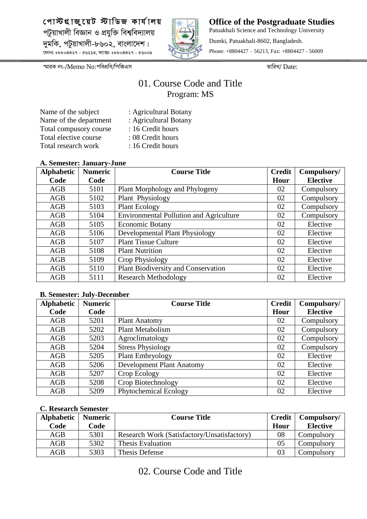

**Office of the Postgraduate Studies** Patuakhali Science and Technology University Dumki, Patuakhali-8602, Bangladesh. Phone: +8804427 – 56213, Fax: +8804427 - 56009

*¯§viK bs-/*Memo No:*cwecÖwe/wcwRGm ZvwiL/* Date:

## 01. Course Code and Title Program: MS

| Name of the subject    |
|------------------------|
| Name of the department |
| Total compusory course |
| Total elective course  |
| Total research work    |

- : Agricultural Botany
- : Agricultural Botany
	- : 16 Credit hours
	- : 08 Credit hours : 16 Credit hours

#### **A. Semester: January-June**

| <b>Alphabetic</b> | <b>Numeric</b> | <b>Course Title</b>                            | <b>Credit</b> | Compulsory/     |
|-------------------|----------------|------------------------------------------------|---------------|-----------------|
| Code              | Code           |                                                | Hour          | <b>Elective</b> |
| AGB               | 5101           | Plant Morphology and Phylogeny                 | 02            | Compulsory      |
| AGB               | 5102           | Plant Physiology                               | 02            | Compulsory      |
| AGB               | 5103           | <b>Plant Ecology</b>                           | 02            | Compulsory      |
| AGB               | 5104           | <b>Environmental Pollution and Agriculture</b> | 02            | Compulsory      |
| AGB               | 5105           | <b>Economic Botany</b>                         | 02            | Elective        |
| AGB               | 5106           | Developmental Plant Physiology                 | 02            | Elective        |
| AGB               | 5107           | <b>Plant Tissue Culture</b>                    | 02            | Elective        |
| AGB               | 5108           | <b>Plant Nutrition</b>                         | 02            | Elective        |
| AGB               | 5109           | Crop Physiology                                | 02            | Elective        |
| AGB               | 5110           | <b>Plant Biodiversity and Conservation</b>     | 02            | Elective        |
| AGB               | 5111           | <b>Research Methodology</b>                    | 02            | Elective        |

#### **B. Semester: July-December**

| <b>Alphabetic</b> | <b>Numeric</b> | <b>Course Title</b>       | <b>Credit</b> | Compulsory/     |
|-------------------|----------------|---------------------------|---------------|-----------------|
| Code              | Code           |                           | Hour          | <b>Elective</b> |
| AGB               | 5201           | <b>Plant Anatomy</b>      | 02            | Compulsory      |
| AGB               | 5202           | <b>Plant Metabolism</b>   | 02            | Compulsory      |
| AGB               | 5203           | Agroclimatology           | 02            | Compulsory      |
| AGB               | 5204           | <b>Stress Physiology</b>  | 02            | Compulsory      |
| AGB               | 5205           | Plant Embryology          | 02            | Elective        |
| AGB               | 5206           | Development Plant Anatomy | 02            | Elective        |
| AGB               | 5207           | Crop Ecology              | 02            | Elective        |
| AGB               | 5208           | Crop Biotechnology        | 02            | Elective        |
| AGB               | 5209           | Phytochemical Ecology     | 02            | Elective        |

#### **C. Research Semester**

| <b>Alphabetic</b> | <b>Numeric</b> | <b>Course Title</b>                         | <b>Credit</b> | Compulsory/     |
|-------------------|----------------|---------------------------------------------|---------------|-----------------|
| Code              | Code           |                                             | Hour          | <b>Elective</b> |
| AGB               | 5301           | Research Work (Satisfactory/Unsatisfactory) | 08            | Compulsory      |
| AGB               | 5302           | Thesis Evaluation                           | 05            | Compulsory      |
| AGB               | 5303           | Thesis Defense                              | 03            | Compulsory      |

02. Course Code and Title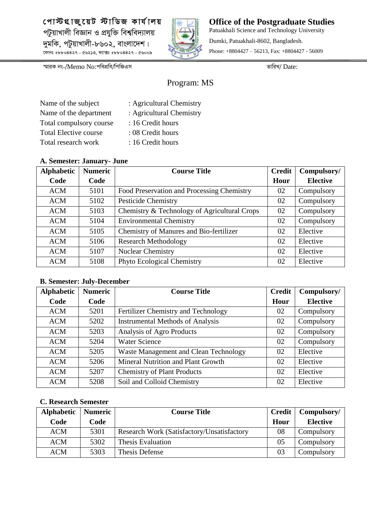**† c v÷ MÖ v Ry‡ q U ÷ vw W R K vh ©v j q** *প*টুয়াখালী বিজ্ঞান ও প্রযুক্তি বিশ্ববিদ্যালয় *`ygwK, cUzqvLvjx-8602, evsjv‡`k| ‡dvbt +8804427 - 56213, d¨v·t +8804427 - 56009*



**Office of the Postgraduate Studies** Patuakhali Science and Technology University Dumki, Patuakhali-8602, Bangladesh. Phone: +8804427 – 56213, Fax: +8804427 - 56009

*¯§viK bs-/*Memo No:*cwecÖwe/wcwRGm ZvwiL/* Date:

## Program: MS

| Name of the subject          | : Agricultural Chemistry |
|------------------------------|--------------------------|
| Name of the department       | : Agricultural Chemistry |
| Total compulsory course      | : 16 Credit hours        |
| <b>Total Elective course</b> | : 08 Credit hours        |
| Total research work          | : 16 Credit hours        |

- 16 Credit hours
- 08 Credit hours
- 16 Credit hours

#### **A. Semester: January- June**

| <b>Alphabetic</b> | <b>Numeric</b> | <b>Course Title</b>                          | <b>Credit</b> | Compulsory/     |
|-------------------|----------------|----------------------------------------------|---------------|-----------------|
| Code              | Code           |                                              | Hour          | <b>Elective</b> |
| <b>ACM</b>        | 5101           | Food Preservation and Processing Chemistry   | 02            | Compulsory      |
| <b>ACM</b>        | 5102           | <b>Pesticide Chemistry</b>                   | 02            | Compulsory      |
| <b>ACM</b>        | 5103           | Chemistry & Technology of Agricultural Crops | 02            | Compulsory      |
| <b>ACM</b>        | 5104           | <b>Environmental Chemistry</b>               | 02            | Compulsory      |
| <b>ACM</b>        | 5105           | Chemistry of Manures and Bio-fertilizer      | 02            | Elective        |
| <b>ACM</b>        | 5106           | <b>Research Methodology</b>                  | 02            | Elective        |
| <b>ACM</b>        | 5107           | <b>Nuclear Chemistry</b>                     | 02            | Elective        |
| <b>ACM</b>        | 5108           | <b>Phyto Ecological Chemistry</b>            | 02            | Elective        |

### **B. Semester: July-December**

| <b>Alphabetic</b> | <b>Numeric</b> | <b>Course Title</b>                     | <b>Credit</b> | Compulsory/     |
|-------------------|----------------|-----------------------------------------|---------------|-----------------|
| Code              | Code           |                                         | Hour          | <b>Elective</b> |
| <b>ACM</b>        | 5201           | Fertilizer Chemistry and Technology     | 02            | Compulsory      |
| <b>ACM</b>        | 5202           | <b>Instrumental Methods of Analysis</b> | 02            | Compulsory      |
| <b>ACM</b>        | 5203           | Analysis of Agro Products               | 02            | Compulsory      |
| <b>ACM</b>        | 5204           | <b>Water Science</b>                    | 02            | Compulsory      |
| <b>ACM</b>        | 5205           | Waste Management and Clean Technology   | 02            | Elective        |
| <b>ACM</b>        | 5206           | Mineral Nutrition and Plant Growth      | 02            | Elective        |
| <b>ACM</b>        | 5207           | <b>Chemistry of Plant Products</b>      | 02            | Elective        |
| <b>ACM</b>        | 5208           | Soil and Colloid Chemistry              | 02            | Elective        |

| <b>Alphabetic</b> | <b>Numeric</b> | <b>Course Title</b>                               | <b>Credit</b> | Compulsory/     |
|-------------------|----------------|---------------------------------------------------|---------------|-----------------|
| Code              | Code           |                                                   | Hour          | <b>Elective</b> |
| <b>ACM</b>        | 5301           | <b>Research Work (Satisfactory/Unsatisfactory</b> | 08            | Compulsory      |
| <b>ACM</b>        | 5302           | Thesis Evaluation                                 | 05            | Compulsory      |
| <b>ACM</b>        | 5303           | Thesis Defense                                    | 03            | Compulsory      |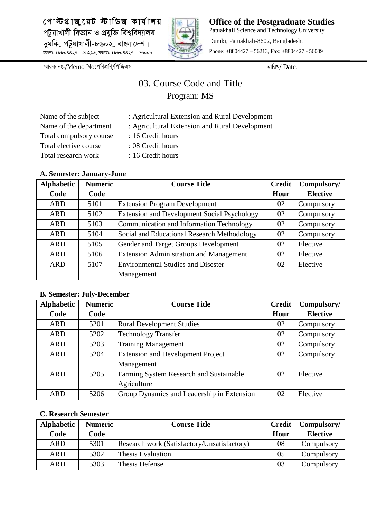

**Office of the Postgraduate Studies** Patuakhali Science and Technology University Dumki, Patuakhali-8602, Bangladesh. Phone: +8804427 – 56213, Fax: +8804427 - 56009

*¯§viK bs-/*Memo No:*cwecÖwe/wcwRGm ZvwiL/* Date:

## 03. Course Code and Title Program: MS

: Agricultural Extension and Rural Development : Agricultural Extension and Rural Development

| Name of the subject     |
|-------------------------|
| Name of the department  |
| Total compulsory course |
| Total elective course   |
| Total research work     |

- : 16 Credit hours
- : 08 Credit hours
- : 16 Credit hours

#### **A. Semester: January-June**

| <b>Alphabetic</b> | <b>Numeric</b> | <b>Course Title</b>                                | <b>Credit</b> | Compulsory/     |
|-------------------|----------------|----------------------------------------------------|---------------|-----------------|
| Code              | Code           |                                                    | Hour          | <b>Elective</b> |
| <b>ARD</b>        | 5101           | <b>Extension Program Development</b>               | 02            | Compulsory      |
| <b>ARD</b>        | 5102           | <b>Extension and Development Social Psychology</b> | 02            | Compulsory      |
| <b>ARD</b>        | 5103           | Communication and Information Technology           | 02            | Compulsory      |
| <b>ARD</b>        | 5104           | Social and Educational Research Methodology        | 02            | Compulsory      |
| <b>ARD</b>        | 5105           | Gender and Target Groups Development               | 02            | Elective        |
| <b>ARD</b>        | 5106           | <b>Extension Administration and Management</b>     | 02            | Elective        |
| <b>ARD</b>        | 5107           | <b>Environmental Studies and Disester</b>          | 02            | Elective        |
|                   |                | Management                                         |               |                 |

#### **B. Semester: July-December**

| <b>Alphabetic</b> | <b>Numeric</b> | <b>Course Title</b>                        | <b>Credit</b> | Compulsory/     |
|-------------------|----------------|--------------------------------------------|---------------|-----------------|
| Code              | Code           |                                            | Hour          | <b>Elective</b> |
| <b>ARD</b>        | 5201           | <b>Rural Development Studies</b>           | 02            | Compulsory      |
| <b>ARD</b>        | 5202           | <b>Technology Transfer</b>                 | 02            | Compulsory      |
| <b>ARD</b>        | 5203           | <b>Training Management</b>                 | 02            | Compulsory      |
| <b>ARD</b>        | 5204           | <b>Extension and Development Project</b>   | 02            | Compulsory      |
|                   |                | Management                                 |               |                 |
| <b>ARD</b>        | 5205           | Farming System Research and Sustainable    | 02            | Elective        |
|                   |                | Agriculture                                |               |                 |
| <b>ARD</b>        | 5206           | Group Dynamics and Leadership in Extension | 02            | Elective        |

| <b>Alphabetic</b> | <b>Numeric</b> | <b>Course Title</b>                         | Credit | Compulsory/     |
|-------------------|----------------|---------------------------------------------|--------|-----------------|
| Code              | Code           |                                             | Hour   | <b>Elective</b> |
| ARD               | 5301           | Research work (Satisfactory/Unsatisfactory) | 08     | Compulsory      |
| <b>ARD</b>        | 5302           | <b>Thesis Evaluation</b>                    | 05     | Compulsory      |
| ARD               | 5303           | Thesis Defense                              | 03     | Compulsory      |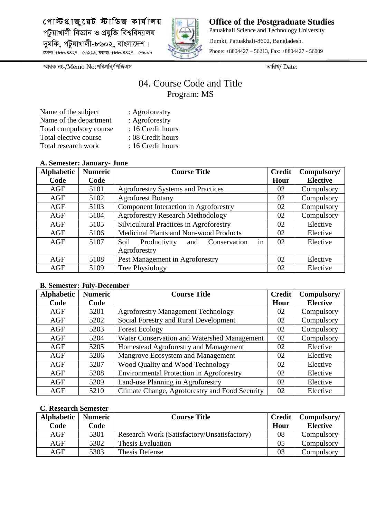

**Office of the Postgraduate Studies** Patuakhali Science and Technology University Dumki, Patuakhali-8602, Bangladesh. Phone: +8804427 – 56213, Fax: +8804427 - 56009

*¯§viK bs-/*Memo No:*cwecÖwe/wcwRGm ZvwiL/* Date:

## 04. Course Code and Title Program: MS

| Name of the subject     | : Agroforestry    |
|-------------------------|-------------------|
| Name of the department  | : Agroforestry    |
| Total compulsory course | : 16 Credit hours |
| Total elective course   | : 08 Credit hours |
| Total research work     | : 16 Credit hours |

#### **A. Semester: January- June**

| $\cdots$          |                |                                                   |               |                 |
|-------------------|----------------|---------------------------------------------------|---------------|-----------------|
| <b>Alphabetic</b> | <b>Numeric</b> | <b>Course Title</b>                               | <b>Credit</b> | Compulsory/     |
| Code              | Code           |                                                   | Hour          | <b>Elective</b> |
| AGF               | 5101           | <b>Agroforestry Systems and Practices</b>         | 02            | Compulsory      |
| AGF               | 5102           | <b>Agroforest Botany</b>                          | 02            | Compulsory      |
| AGF               | 5103           | Component Interaction in Agroforestry             | 02            | Compulsory      |
| AGF               | 5104           | <b>Agroforestry Research Methodology</b>          | 02            | Compulsory      |
| AGF               | 5105           | <b>Silvicultural Practices in Agroforestry</b>    | 02            | Elective        |
| AGF               | 5106           | Medicinal Plants and Non-wood Products            | 02            | Elective        |
| AGF               | 5107           | in<br>Productivity<br>Soil<br>Conservation<br>and | 02            | Elective        |
|                   |                | Agroforestry                                      |               |                 |
| AGF               | 5108           | Pest Management in Agroforestry                   | 02            | Elective        |
| AGF               | 5109           | Tree Physiology                                   | 02            | Elective        |

#### **B. Semester: July-December**

| <b>Alphabetic</b> | <b>Numeric</b> | <b>Course Title</b>                             | <b>Credit</b> | Compulsory/     |
|-------------------|----------------|-------------------------------------------------|---------------|-----------------|
| Code              | Code           |                                                 | Hour          | <b>Elective</b> |
| AGF               | 5201           | <b>Agroforestry Management Technology</b>       | 02            | Compulsory      |
| AGF               | 5202           | Social Forestry and Rural Development           | 02            | Compulsory      |
| AGF               | 5203           | <b>Forest Ecology</b>                           | 02            | Compulsory      |
| AGF               | 5204           | Water Conservation and Watershed Management     | 02            | Compulsory      |
| AGF               | 5205           | Homestead Agroforestry and Management           | 02            | Elective        |
| AGF               | 5206           | Mangrove Ecosystem and Management               | 02            | Elective        |
| AGF               | 5207           | Wood Quality and Wood Technology                | 02            | Elective        |
| AGF               | 5208           | <b>Environmental Protection in Agroforestry</b> | 02            | Elective        |
| AGF               | 5209           | Land-use Planning in Agroforestry               | 02            | Elective        |
| AGF               | 5210           | Climate Change, Agroforestry and Food Security  | 02            | Elective        |

| <b>Alphabetic</b> | <b>Numeric</b> | <b>Course Title</b>                         | <b>Credit</b> | Compulsory/     |
|-------------------|----------------|---------------------------------------------|---------------|-----------------|
| Code              | Code           |                                             | Hour          | <b>Elective</b> |
| AGF               | 5301           | Research Work (Satisfactory/Unsatisfactory) | 08            | Compulsory      |
| AGF               | 5302           | Thesis Evaluation                           | 05            | Compulsory      |
| AGF               | 5303           | Thesis Defense                              | 03            | Compulsory      |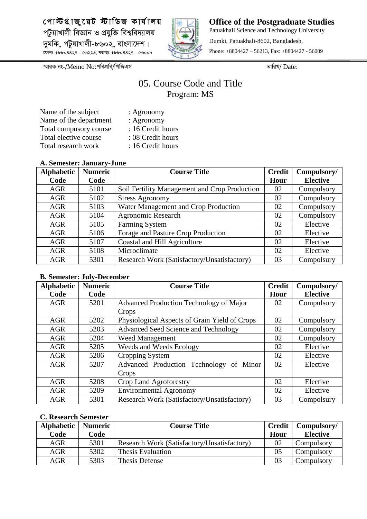

**Office of the Postgraduate Studies** Patuakhali Science and Technology University Dumki, Patuakhali-8602, Bangladesh. Phone: +8804427 – 56213, Fax: +8804427 - 56009

*¯§viK bs-/*Memo No:*cwecÖwe/wcwRGm ZvwiL/* Date:

## 05. Course Code and Title Program: MS

| Name of the subject    | : Agronomy        |
|------------------------|-------------------|
| Name of the department | : Agronomy        |
| Total compusory course | : 16 Credit hours |
| Total elective course  | : 08 Credit hours |
| Total research work    | : 16 Credit hours |

#### **A. Semester: January-June**

| THE DUMINUTE CHAIRS (CHAIR |                |                                               |               |                 |  |
|----------------------------|----------------|-----------------------------------------------|---------------|-----------------|--|
| <b>Alphabetic</b>          | <b>Numeric</b> | <b>Course Title</b>                           | <b>Credit</b> | Compulsory/     |  |
| Code                       | Code           |                                               | Hour          | <b>Elective</b> |  |
| <b>AGR</b>                 | 5101           | Soil Fertility Management and Crop Production | 02            | Compulsory      |  |
| <b>AGR</b>                 | 5102           | <b>Stress Agronomy</b>                        | 02            | Compulsory      |  |
| <b>AGR</b>                 | 5103           | Water Management and Crop Production          | 02            | Compulsory      |  |
| <b>AGR</b>                 | 5104           | <b>Agronomic Research</b>                     | 02            | Compulsory      |  |
| <b>AGR</b>                 | 5105           | Farming System                                | 02            | Elective        |  |
| <b>AGR</b>                 | 5106           | Forage and Pasture Crop Production            | 02            | Elective        |  |
| <b>AGR</b>                 | 5107           | Coastal and Hill Agriculture                  | 02            | Elective        |  |
| <b>AGR</b>                 | 5108           | Microclimate                                  | 02            | Elective        |  |
| <b>AGR</b>                 | 5301           | Research Work (Satisfactory/Unsatisfactory)   | 03            | Compolsury      |  |

#### **B. Semester: July-December**

| <b>Alphabetic</b> | <b>Numeric</b> | <b>Course Title</b>                           | <b>Credit</b> | Compulsory/     |
|-------------------|----------------|-----------------------------------------------|---------------|-----------------|
| Code              | Code           |                                               | Hour          | <b>Elective</b> |
| <b>AGR</b>        | 5201           | Advanced Production Technology of Major       | 02            | Compulsory      |
|                   |                | Crops                                         |               |                 |
| <b>AGR</b>        | 5202           | Physiological Aspects of Grain Yield of Crops | 02            | Compulsory      |
| <b>AGR</b>        | 5203           | Advanced Seed Science and Technology          | 02            | Compulsory      |
| <b>AGR</b>        | 5204           | Weed Management                               | 02            | Compulsory      |
| <b>AGR</b>        | 5205           | Weeds and Weeds Ecology                       | 02            | Elective        |
| <b>AGR</b>        | 5206           | Cropping System                               | 02            | Elective        |
| <b>AGR</b>        | 5207           | Advanced Production Technology of Minor       | 02            | Elective        |
|                   |                | Crops                                         |               |                 |
| <b>AGR</b>        | 5208           | Crop Land Agroforestry                        | 02            | Elective        |
| <b>AGR</b>        | 5209           | <b>Environmental Agronomy</b>                 | 02            | Elective        |
| <b>AGR</b>        | 5301           | Research Work (Satisfactory/Unsatisfactory)   | 03            | Compolsury      |

| <b>Alphabetic</b> | <b>Numeric</b> | <b>Course Title</b>                         | <b>Credit</b> | Compulsory/     |
|-------------------|----------------|---------------------------------------------|---------------|-----------------|
| Code              | Code           |                                             | Hour          | <b>Elective</b> |
| <b>AGR</b>        | 5301           | Research Work (Satisfactory/Unsatisfactory) | 02            | Compulsory      |
| <b>AGR</b>        | 5302           | Thesis Evaluation                           | 05            | Compulsory      |
| AGR               | 5303           | Thesis Defense                              | 03            | Compulsory      |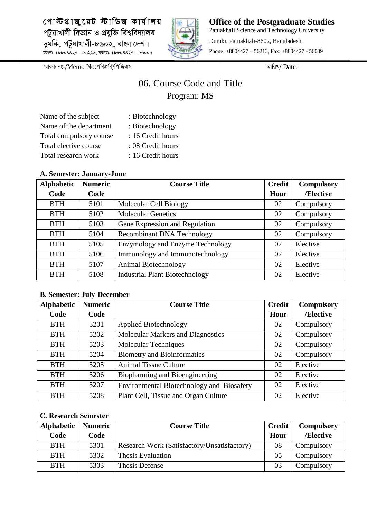

**Office of the Postgraduate Studies** Patuakhali Science and Technology University Dumki, Patuakhali-8602, Bangladesh. Phone: +8804427 – 56213, Fax: +8804427 - 56009

*¯§viK bs-/*Memo No:*cwecÖwe/wcwRGm ZvwiL/* Date:

## 06. Course Code and Title Program: MS

| : Biotechnology   |
|-------------------|
| : Biotechnology   |
| : 16 Credit hours |
| : 08 Credit hours |
| : 16 Credit hours |
|                   |

#### **A. Semester: January-June**

| <b>Alphabetic</b> | <b>Numeric</b> | <b>Course Title</b>                   | <b>Credit</b> | <b>Compulsory</b> |
|-------------------|----------------|---------------------------------------|---------------|-------------------|
| Code              | Code           |                                       | Hour          | /Elective         |
| <b>BTH</b>        | 5101           | Molecular Cell Biology                | 02            | Compulsory        |
| <b>BTH</b>        | 5102           | <b>Molecular Genetics</b>             | 02            | Compulsory        |
| <b>BTH</b>        | 5103           | Gene Expression and Regulation        | 02            | Compulsory        |
| <b>BTH</b>        | 5104           | <b>Recombinant DNA Technology</b>     | 02            | Compulsory        |
| <b>BTH</b>        | 5105           | Enzymology and Enzyme Technology      | 02            | Elective          |
| <b>BTH</b>        | 5106           | Immunology and Immunotechnology       | 02            | Elective          |
| <b>BTH</b>        | 5107           | Animal Biotechnology                  | 02            | Elective          |
| <b>BTH</b>        | 5108           | <b>Industrial Plant Biotechnology</b> | 02            | Elective          |

#### **B. Semester: July-December**

| <b>Alphabetic</b> | <b>Numeric</b> | <b>Course Title</b>                       | <b>Credit</b> | <b>Compulsory</b> |
|-------------------|----------------|-------------------------------------------|---------------|-------------------|
| Code              | Code           |                                           | Hour          | /Elective         |
| <b>BTH</b>        | 5201           | <b>Applied Biotechnology</b>              | 02            | Compulsory        |
| <b>BTH</b>        | 5202           | Molecular Markers and Diagnostics         | 02            | Compulsory        |
| <b>BTH</b>        | 5203           | Molecular Techniques                      | 02            | Compulsory        |
| <b>BTH</b>        | 5204           | <b>Biometry and Bioinformatics</b>        | 02            | Compulsory        |
| <b>BTH</b>        | 5205           | <b>Animal Tissue Culture</b>              | 02            | Elective          |
| <b>BTH</b>        | 5206           | Biopharming and Bioengineering            | 02            | Elective          |
| <b>BTH</b>        | 5207           | Environmental Biotechnology and Biosafety | 02            | Elective          |
| <b>BTH</b>        | 5208           | Plant Cell, Tissue and Organ Culture      | 02            | Elective          |

| Alphabetic | <b>Numeric</b> | <b>Course Title</b>                         | <b>Credit</b> | <b>Compulsory</b> |
|------------|----------------|---------------------------------------------|---------------|-------------------|
| Code       | Code           |                                             | Hour          | /Elective         |
| <b>BTH</b> | 5301           | Research Work (Satisfactory/Unsatisfactory) | 08            | Compulsory        |
| <b>BTH</b> | 5302           | Thesis Evaluation                           | 05            | Compulsory        |
| <b>BTH</b> | 5303           | Thesis Defense                              | 03            | Compulsory        |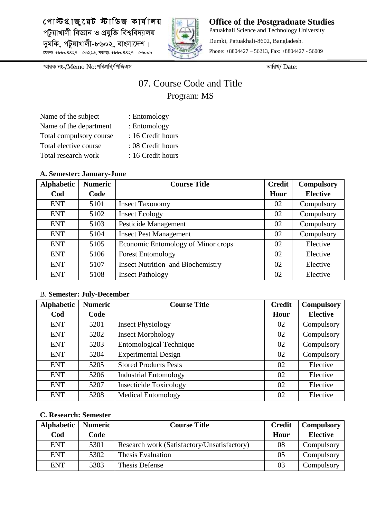

**Office of the Postgraduate Studies** Patuakhali Science and Technology University Dumki, Patuakhali-8602, Bangladesh. Phone: +8804427 – 56213, Fax: +8804427 - 56009

*¯§viK bs-/*Memo No:*cwecÖwe/wcwRGm ZvwiL/* Date:

## 07. Course Code and Title Program: MS

| Name of the subject     | : Entomology      |
|-------------------------|-------------------|
| Name of the department  | : Entomology      |
| Total compulsory course | : 16 Credit hours |
| Total elective course   | : 08 Credit hours |
| Total research work     | : 16 Credit hours |

#### **A. Semester: January-June**

| <b>Alphabetic</b> | <b>Numeric</b> | <b>Course Title</b>                      | <b>Credit</b> | <b>Compulsory</b> |
|-------------------|----------------|------------------------------------------|---------------|-------------------|
| Cod               | Code           |                                          | Hour          | <b>Elective</b>   |
| <b>ENT</b>        | 5101           | <b>Insect Taxonomy</b>                   | 02            | Compulsory        |
| <b>ENT</b>        | 5102           | <b>Insect Ecology</b>                    | 02            | Compulsory        |
| <b>ENT</b>        | 5103           | Pesticide Management                     | 02            | Compulsory        |
| <b>ENT</b>        | 5104           | <b>Insect Pest Management</b>            | 02            | Compulsory        |
| <b>ENT</b>        | 5105           | Economic Entomology of Minor crops       | 02            | Elective          |
| <b>ENT</b>        | 5106           | <b>Forest Entomology</b>                 | 02            | Elective          |
| <b>ENT</b>        | 5107           | <b>Insect Nutrition and Biochemistry</b> | 02            | Elective          |
| <b>ENT</b>        | 5108           | <b>Insect Pathology</b>                  | 02            | Elective          |

#### B. **Semester: July-December**

| <b>Alphabetic</b> | <b>Numeric</b> | <b>Course Title</b>            | <b>Credit</b> | <b>Compulsory</b> |
|-------------------|----------------|--------------------------------|---------------|-------------------|
| Cod               | Code           |                                | Hour          | <b>Elective</b>   |
| <b>ENT</b>        | 5201           | <b>Insect Physiology</b>       | 02            | Compulsory        |
| <b>ENT</b>        | 5202           | <b>Insect Morphology</b>       | 02            | Compulsory        |
| <b>ENT</b>        | 5203           | <b>Entomological Technique</b> | 02            | Compulsory        |
| <b>ENT</b>        | 5204           | <b>Experimental Design</b>     | 02            | Compulsory        |
| <b>ENT</b>        | 5205           | <b>Stored Products Pests</b>   | 02            | Elective          |
| <b>ENT</b>        | 5206           | <b>Industrial Entomology</b>   | 02            | Elective          |
| <b>ENT</b>        | 5207           | <b>Insecticide Toxicology</b>  | 02            | Elective          |
| <b>ENT</b>        | 5208           | <b>Medical Entomology</b>      | 02            | Elective          |

| <b>Alphabetic</b> | <b>Numeric</b> | <b>Course Title</b>                         | <b>Credit</b> | <b>Compulsory</b> |
|-------------------|----------------|---------------------------------------------|---------------|-------------------|
| Cod               | Code           |                                             | Hour          | <b>Elective</b>   |
| <b>ENT</b>        | 5301           | Research work (Satisfactory/Unsatisfactory) | 08            | Compulsory        |
| <b>ENT</b>        | 5302           | Thesis Evaluation                           | 05            | Compulsory        |
| <b>ENT</b>        | 5303           | Thesis Defense                              | 03            | Compulsory        |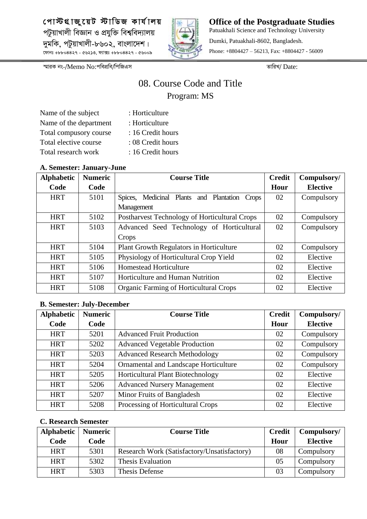

**Office of the Postgraduate Studies** Patuakhali Science and Technology University Dumki, Patuakhali-8602, Bangladesh. Phone: +8804427 – 56213, Fax: +8804427 - 56009

*¯§viK bs-/*Memo No:*cwecÖwe/wcwRGm ZvwiL/* Date:

## 08. Course Code and Title Program: MS

| Name of the subject    | : Horticulture    |
|------------------------|-------------------|
| Name of the department | : Horticulture    |
| Total compusory course | : 16 Credit hours |
| Total elective course  | : 08 Credit hours |
| Total research work    | : 16 Credit hours |

#### **A. Semester: January-June**

| <b>Alphabetic</b> | <b>Numeric</b> | <b>Course Title</b>                           | <b>Credit</b> | Compulsory/     |
|-------------------|----------------|-----------------------------------------------|---------------|-----------------|
| Code              | Code           |                                               | Hour          | <b>Elective</b> |
| <b>HRT</b>        | 5101           | Spices, Medicinal Plants and Plantation Crops | 02            | Compulsory      |
|                   |                | Management                                    |               |                 |
| <b>HRT</b>        | 5102           | Postharvest Technology of Horticultural Crops | 02            | Compulsory      |
| <b>HRT</b>        | 5103           | Advanced Seed Technology of Horticultural     | 02            | Compulsory      |
|                   |                | Crops                                         |               |                 |
| <b>HRT</b>        | 5104           | Plant Growth Regulators in Horticulture       | 02            | Compulsory      |
| <b>HRT</b>        | 5105           | Physiology of Horticultural Crop Yield        | 02            | Elective        |
| <b>HRT</b>        | 5106           | <b>Homestead Horticulture</b>                 | 02            | Elective        |
| <b>HRT</b>        | 5107           | Horticulture and Human Nutrition              | 02            | Elective        |
| <b>HRT</b>        | 5108           | Organic Farming of Horticultural Crops        | 02            | Elective        |

#### **B. Semester: July-December**

| <b>Alphabetic</b> | <b>Numeric</b> | <b>Course Title</b>                      | <b>Credit</b> | Compulsory/     |
|-------------------|----------------|------------------------------------------|---------------|-----------------|
| Code              | Code           |                                          | Hour          | <b>Elective</b> |
| <b>HRT</b>        | 5201           | <b>Advanced Fruit Production</b>         | 02            | Compulsory      |
| <b>HRT</b>        | 5202           | <b>Advanced Vegetable Production</b>     | 02            | Compulsory      |
| <b>HRT</b>        | 5203           | <b>Advanced Research Methodology</b>     | 02            | Compulsory      |
| <b>HRT</b>        | 5204           | Ornamental and Landscape Horticulture    | 02            | Compulsory      |
| <b>HRT</b>        | 5205           | <b>Horticultural Plant Biotechnology</b> | 02            | Elective        |
| <b>HRT</b>        | 5206           | <b>Advanced Nursery Management</b>       | 02            | Elective        |
| <b>HRT</b>        | 5207           | Minor Fruits of Bangladesh               | 02            | Elective        |
| <b>HRT</b>        | 5208           | Processing of Horticultural Crops        | 02            | Elective        |

| <b>Alphabetic</b> | <b>Numeric</b> | <b>Course Title</b>                         | <b>Credit</b> | Compulsory/     |
|-------------------|----------------|---------------------------------------------|---------------|-----------------|
| Code              | Code           |                                             | Hour          | <b>Elective</b> |
| <b>HRT</b>        | 5301           | Research Work (Satisfactory/Unsatisfactory) | 08            | Compulsory      |
| <b>HRT</b>        | 5302           | Thesis Evaluation                           | 05            | Compulsory      |
| <b>HRT</b>        | 5303           | Thesis Defense                              | 03            | Compulsory      |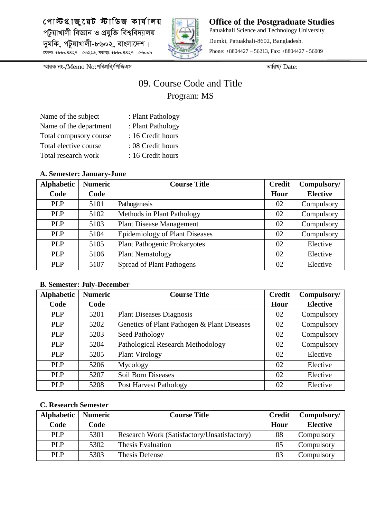

**Office of the Postgraduate Studies** Patuakhali Science and Technology University Dumki, Patuakhali-8602, Bangladesh. Phone: +8804427 – 56213, Fax: +8804427 - 56009

*¯§viK bs-/*Memo No:*cwecÖwe/wcwRGm ZvwiL/* Date:

## 09. Course Code and Title Program: MS

| : Plant Pathology |
|-------------------|
| : Plant Pathology |
| : 16 Credit hours |
| : 08 Credit hours |
| : 16 Credit hours |
|                   |

#### **A. Semester: January-June**

| <b>Alphabetic</b> | <b>Numeric</b> | <b>Course Title</b>                   | <b>Credit</b> | Compulsory/     |
|-------------------|----------------|---------------------------------------|---------------|-----------------|
| Code              | Code           |                                       | Hour          | <b>Elective</b> |
| <b>PLP</b>        | 5101           | Pathogenesis                          | 02            | Compulsory      |
| <b>PLP</b>        | 5102           | Methods in Plant Pathology            | 02            | Compulsory      |
| <b>PLP</b>        | 5103           | <b>Plant Disease Management</b>       | 02            | Compulsory      |
| <b>PLP</b>        | 5104           | <b>Epidemiology of Plant Diseases</b> | 02            | Compulsory      |
| <b>PLP</b>        | 5105           | <b>Plant Pathogenic Prokaryotes</b>   | 02            | Elective        |
| <b>PLP</b>        | 5106           | <b>Plant Nematology</b>               | 02            | Elective        |
| <b>PLP</b>        | 5107           | <b>Spread of Plant Pathogens</b>      | 02            | Elective        |

#### **B. Semester: July-December**

| <b>Alphabetic</b> | <b>Numeric</b> | <b>Course Title</b>                         | <b>Credit</b> | Compulsory/     |
|-------------------|----------------|---------------------------------------------|---------------|-----------------|
| Code              | Code           |                                             | Hour          | <b>Elective</b> |
| <b>PLP</b>        | 5201           | <b>Plant Diseases Diagnosis</b>             | 02            | Compulsory      |
| <b>PLP</b>        | 5202           | Genetics of Plant Pathogen & Plant Diseases | 02            | Compulsory      |
| <b>PLP</b>        | 5203           | Seed Pathology                              | 02            | Compulsory      |
| <b>PLP</b>        | 5204           | Pathological Research Methodology           | 02            | Compulsory      |
| <b>PLP</b>        | 5205           | <b>Plant Virology</b>                       | 02            | Elective        |
| <b>PLP</b>        | 5206           | Mycology                                    | 02            | Elective        |
| <b>PLP</b>        | 5207           | <b>Soil Born Diseases</b>                   | 02            | Elective        |
| <b>PLP</b>        | 5208           | <b>Post Harvest Pathology</b>               | 02            | Elective        |

| <b>Alphabetic</b> | <b>Numeric</b> | <b>Course Title</b>                         | <b>Credit</b> | Compulsory/     |
|-------------------|----------------|---------------------------------------------|---------------|-----------------|
| Code              | Code           |                                             | Hour          | <b>Elective</b> |
| <b>PLP</b>        | 5301           | Research Work (Satisfactory/Unsatisfactory) | 08            | Compulsory      |
| <b>PLP</b>        | 5302           | Thesis Evaluation                           | 05            | Compulsory      |
| <b>PLP</b>        | 5303           | Thesis Defense                              | 03            | Compulsory      |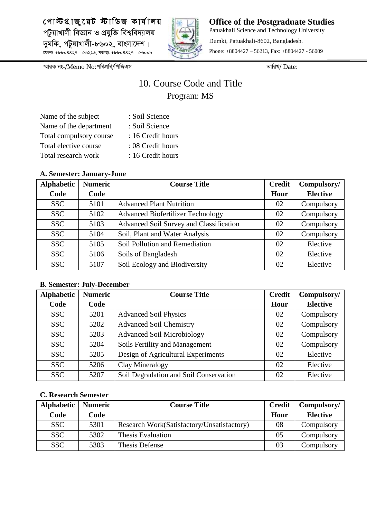

**Office of the Postgraduate Studies** Patuakhali Science and Technology University Dumki, Patuakhali-8602, Bangladesh. Phone: +8804427 – 56213, Fax: +8804427 - 56009

*¯§viK bs-/*Memo No:*cwecÖwe/wcwRGm ZvwiL/* Date:

## 10. Course Code and Title Program: MS

| Name of the subject     | : Soil Science    |
|-------------------------|-------------------|
| Name of the department  | : Soil Science    |
| Total compulsory course | : 16 Credit hours |
| Total elective course   | : 08 Credit hours |
| Total research work     | : 16 Credit hours |

#### **A. Semester: January-June**

| <b>Alphabetic</b> | <b>Numeric</b> | <b>Course Title</b>                      | <b>Credit</b> | Compulsory/     |
|-------------------|----------------|------------------------------------------|---------------|-----------------|
| Code              | Code           |                                          | Hour          | <b>Elective</b> |
| <b>SSC</b>        | 5101           | <b>Advanced Plant Nutrition</b>          | 02            | Compulsory      |
| <b>SSC</b>        | 5102           | <b>Advanced Biofertilizer Technology</b> | 02            | Compulsory      |
| <b>SSC</b>        | 5103           | Advanced Soil Survey and Classification  | 02            | Compulsory      |
| <b>SSC</b>        | 5104           | Soil, Plant and Water Analysis           | 02            | Compulsory      |
| <b>SSC</b>        | 5105           | Soil Pollution and Remediation           | 02            | Elective        |
| <b>SSC</b>        | 5106           | Soils of Bangladesh                      | 02            | Elective        |
| <b>SSC</b>        | 5107           | Soil Ecology and Biodiversity            | 02            | Elective        |

#### **B. Semester: July-December**

| <b>Alphabetic</b> | <b>Numeric</b> | <b>Course Title</b>                    | <b>Credit</b> | Compulsory/     |
|-------------------|----------------|----------------------------------------|---------------|-----------------|
| Code              | Code           |                                        | Hour          | <b>Elective</b> |
| <b>SSC</b>        | 5201           | <b>Advanced Soil Physics</b>           | 02            | Compulsory      |
| <b>SSC</b>        | 5202           | <b>Advanced Soil Chemistry</b>         | 02            | Compulsory      |
| <b>SSC</b>        | 5203           | <b>Advanced Soil Microbiology</b>      | 02            | Compulsory      |
| <b>SSC</b>        | 5204           | Soils Fertility and Management         | 02            | Compulsory      |
| <b>SSC</b>        | 5205           | Design of Agricultural Experiments     | 02            | Elective        |
| <b>SSC</b>        | 5206           | Clay Mineralogy                        | 02            | Elective        |
| <b>SSC</b>        | 5207           | Soil Degradation and Soil Conservation | 02            | Elective        |

| <b>Alphabetic</b> | <b>Numeric</b> | <b>Course Title</b>                        | <b>Credit</b> | Compulsory/     |
|-------------------|----------------|--------------------------------------------|---------------|-----------------|
| Code              | Code           |                                            | Hour          | <b>Elective</b> |
| <b>SSC</b>        | 5301           | Research Work(Satisfactory/Unsatisfactory) | 08            | Compulsory      |
| <b>SSC</b>        | 5302           | Thesis Evaluation                          | 05            | Compulsory      |
| <b>SSC</b>        | 5303           | Thesis Defense                             | 03            | Compulsory      |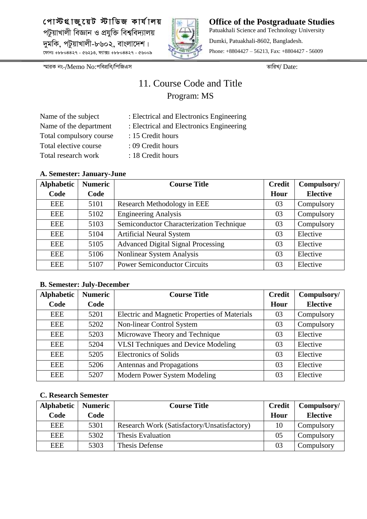

**Office of the Postgraduate Studies** Patuakhali Science and Technology University Dumki, Patuakhali-8602, Bangladesh. Phone: +8804427 – 56213, Fax: +8804427 - 56009

*¯§viK bs-/*Memo No:*cwecÖwe/wcwRGm ZvwiL/* Date:

## 11. Course Code and Title Program: MS

| Name of the subject     | : Electrical and Electronics Engineering |
|-------------------------|------------------------------------------|
| Name of the department  | : Electrical and Electronics Engineering |
| Total compulsory course | : 15 Credit hours                        |
| Total elective course   | : 09 Credit hours                        |
| Total research work     | : 18 Credit hours                        |

## Ilectrical and Electronics Engineering

- 5 Credit hours
- 9 Credit hours
	- 8 Credit hours

#### **A. Semester: January-June**

| <b>Alphabetic</b> | <b>Numeric</b> | <b>Course Title</b>                       | <b>Credit</b> | Compulsory/     |
|-------------------|----------------|-------------------------------------------|---------------|-----------------|
| Code              | Code           |                                           | Hour          | <b>Elective</b> |
| EEE               | 5101           | Research Methodology in EEE               | 03            | Compulsory      |
| EEE               | 5102           | <b>Engineering Analysis</b>               | 03            | Compulsory      |
| EEE               | 5103           | Semiconductor Characterization Technique  | 03            | Compulsory      |
| <b>EEE</b>        | 5104           | <b>Artificial Neural System</b>           | 03            | Elective        |
| <b>EEE</b>        | 5105           | <b>Advanced Digital Signal Processing</b> | 03            | Elective        |
| EEE               | 5106           | Nonlinear System Analysis                 | 03            | Elective        |
| EEE               | 5107           | <b>Power Semiconductor Circuits</b>       | 03            | Elective        |

#### **B. Semester: July-December**

| <b>Alphabetic</b> | <b>Numeric</b> | <b>Course Title</b>                           | <b>Credit</b> | Compulsory/     |
|-------------------|----------------|-----------------------------------------------|---------------|-----------------|
| Code              | Code           |                                               | Hour          | <b>Elective</b> |
| EEE               | 5201           | Electric and Magnetic Properties of Materials | 03            | Compulsory      |
| <b>EEE</b>        | 5202           | Non-linear Control System                     | 03            | Compulsory      |
| EEE               | 5203           | Microwave Theory and Technique                | 03            | Elective        |
| EEE               | 5204           | <b>VLSI Techniques and Device Modeling</b>    | 03            | Elective        |
| <b>EEE</b>        | 5205           | <b>Electronics of Solids</b>                  | 03            | Elective        |
| <b>EEE</b>        | 5206           | Antennas and Propagations                     | 03            | Elective        |
| EEE               | 5207           | Modern Power System Modeling                  | 03            | Elective        |

| Alphabetic | <b>Numeric</b> | <b>Course Title</b>                         | <b>Credit</b> | Compulsory/     |
|------------|----------------|---------------------------------------------|---------------|-----------------|
| Code       | Code           |                                             | Hour          | <b>Elective</b> |
| <b>EEE</b> | 5301           | Research Work (Satisfactory/Unsatisfactory) | 10            | Compulsory      |
| <b>EEE</b> | 5302           | Thesis Evaluation                           | 05            | Compulsory      |
| <b>EEE</b> | 5303           | Thesis Defense                              | 03            | Compulsory      |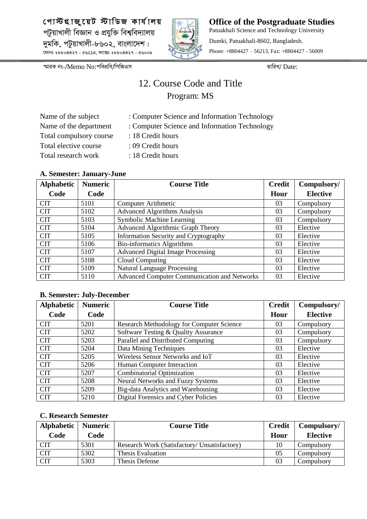

**Office of the Postgraduate Studies** Patuakhali Science and Technology University Dumki, Patuakhali-8602, Bangladesh. Phone: +8804427 – 56213, Fax: +8804427 - 56009

*¯§viK bs-/*Memo No:*cwecÖwe/wcwRGm ZvwiL/* Date:

## 12. Course Code and Title Program: MS

Computer Science and Information Technology Computer Science and Information Technology

| Name of the subject     |  |
|-------------------------|--|
| Name of the department  |  |
| Total compulsory course |  |
| Total elective course   |  |
| Total research work     |  |

- 18 Credit hours
- 09 Credit hours
- 18 Credit hours

#### **A. Semester: January-June**

| <b>Alphabetic</b> | <b>Numeric</b> | <b>Course Title</b>                          | <b>Credit</b> | Compulsory/     |
|-------------------|----------------|----------------------------------------------|---------------|-----------------|
| Code              | Code           |                                              | Hour          | <b>Elective</b> |
| <b>CIT</b>        | 5101           | <b>Computer Arithmetic</b>                   | 03            | Compulsory      |
| <b>CIT</b>        | 5102           | <b>Advanced Algorithms Analysis</b>          | 03            | Compulsory      |
| <b>CIT</b>        | 5103           | Symbolic Machine Learning                    | 03            | Compulsory      |
| <b>CIT</b>        | 5104           | Advanced Algorithmic Graph Theory            | 03            | Elective        |
| <b>CIT</b>        | 5105           | <b>Information Security and Cryptography</b> | 03            | Elective        |
| <b>CIT</b>        | 5106           | <b>Bio-informatics Algorithms</b>            | 03            | Elective        |
| <b>CIT</b>        | 5107           | <b>Advanced Digital Image Processing</b>     | 03            | Elective        |
| <b>CIT</b>        | 5108           | Cloud Computing                              | 03            | Elective        |
| <b>CIT</b>        | 5109           | <b>Natural Language Processing</b>           | 03            | Elective        |
| <b>CIT</b>        | 5110           | Advanced Computer Communication and Networks | 03            | Elective        |

#### **B. Semester: July-December**

| <b>Alphabetic</b> | <b>Numeric</b> | <b>Course Title</b>                              | <b>Credit</b> | Compulsory/     |
|-------------------|----------------|--------------------------------------------------|---------------|-----------------|
| Code              | Code           |                                                  | Hour          | <b>Elective</b> |
| <b>CIT</b>        | 5201           | <b>Research Methodology for Computer Science</b> | 03            | Compulsory      |
| <b>CIT</b>        | 5202           | Software Testing & Quality Assurance             | 03            | Compulsory      |
| <b>CIT</b>        | 5203           | Parallel and Distributed Computing               | 03            | Compulsory      |
| <b>CIT</b>        | 5204           | Data Mining Techniques                           | 03            | Elective        |
| <b>CIT</b>        | 5205           | Wireless Sensor Networks and IoT                 | 03            | Elective        |
| <b>CIT</b>        | 5206           | Human Computer Interaction                       | 03            | Elective        |
| <b>CIT</b>        | 5207           | <b>Combinatorial Optimization</b>                | 03            | Elective        |
| <b>CIT</b>        | 5208           | <b>Neural Networks and Fuzzy Systems</b>         | 03            | Elective        |
| <b>CIT</b>        | 5209           | Big-data Analytics and Warehousing               | 03            | Elective        |
| <b>CIT</b>        | 5210           | Digital Forensics and Cyber Policies             | 03            | Elective        |

| Alphabetic<br>Code | <b>Numeric</b><br>Code | <b>Course Title</b>                          | <b>Credit</b><br>Hour | Compulsory/<br><b>Elective</b> |
|--------------------|------------------------|----------------------------------------------|-----------------------|--------------------------------|
| <b>CIT</b>         | 5301                   | Research Work (Satisfactory/ Unsatisfactory) |                       | Compulsory                     |
| <b>CIT</b>         | 5302                   | Thesis Evaluation                            | 05                    | Compulsory                     |
| $\overline{C}$ IT  | 5303                   | Thesis Defense                               | 03                    | Compulsory                     |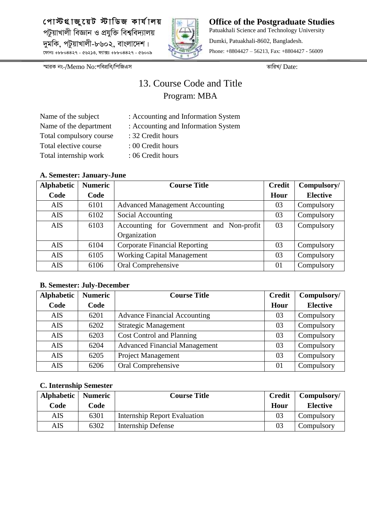

**Office of the Postgraduate Studies** Patuakhali Science and Technology University Dumki, Patuakhali-8602, Bangladesh. Phone: +8804427 – 56213, Fax: +8804427 - 56009

*¯§viK bs-/*Memo No:*cwecÖwe/wcwRGm ZvwiL/* Date:

## 13. Course Code and Title Program: MBA

| Name of the subject     |
|-------------------------|
| Name of the department  |
| Total compulsory course |
| Total elective course   |
| Total internship work   |

- : Accounting and Information System : Accounting and Information System
- : 32 Credit hours
- : 00 Credit hours
- : 06 Credit hours

#### **A. Semester: January-June**

| <b>Alphabetic</b> | <b>Numeric</b> | <b>Course Title</b>                      | <b>Credit</b> | Compulsory/     |
|-------------------|----------------|------------------------------------------|---------------|-----------------|
| Code              | Code           |                                          | Hour          | <b>Elective</b> |
| <b>AIS</b>        | 6101           | <b>Advanced Management Accounting</b>    | 03            | Compulsory      |
| <b>AIS</b>        | 6102           | Social Accounting                        | 03            | Compulsory      |
| <b>AIS</b>        | 6103           | Accounting for Government and Non-profit | 03            | Compulsory      |
|                   |                | Organization                             |               |                 |
| <b>AIS</b>        | 6104           | <b>Corporate Financial Reporting</b>     | 03            | Compulsory      |
| <b>AIS</b>        | 6105           | <b>Working Capital Management</b>        | 03            | Compulsory      |
| <b>AIS</b>        | 6106           | Oral Comprehensive                       | 01            | Compulsory      |

#### **B. Semester: July-December**

| <b>Alphabetic</b> | <b>Numeric</b> | <b>Course Title</b>                  | <b>Credit</b> | Compulsory/     |
|-------------------|----------------|--------------------------------------|---------------|-----------------|
| Code              | Code           |                                      | Hour          | <b>Elective</b> |
| <b>AIS</b>        | 6201           | <b>Advance Financial Accounting</b>  | 03            | Compulsory      |
| <b>AIS</b>        | 6202           | <b>Strategic Management</b>          | 03            | Compulsory      |
| <b>AIS</b>        | 6203           | <b>Cost Control and Planning</b>     | 03            | Compulsory      |
| <b>AIS</b>        | 6204           | <b>Advanced Financial Management</b> | 03            | Compulsory      |
| <b>AIS</b>        | 6205           | Project Management                   | 03            | Compulsory      |
| <b>AIS</b>        | 6206           | Oral Comprehensive                   | 01            | Compulsory      |

| Alphabetic | <b>Numeric</b> | <b>Course Title</b>                 | <b>Credit</b>  | Compulsory/     |
|------------|----------------|-------------------------------------|----------------|-----------------|
| Code       | Code           |                                     | Hour           | <b>Elective</b> |
| AIS        | 6301           | <b>Internship Report Evaluation</b> | 03             | Compulsory      |
| <b>AIS</b> | 6302           | Internship Defense                  | 0 <sup>3</sup> | Compulsory      |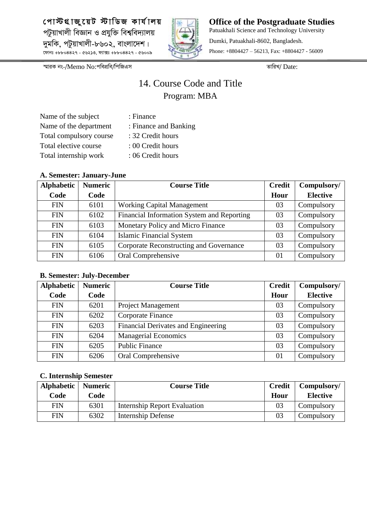

**Office of the Postgraduate Studies** Patuakhali Science and Technology University Dumki, Patuakhali-8602, Bangladesh. Phone: +8804427 – 56213, Fax: +8804427 - 56009

*¯§viK bs-/*Memo No:*cwecÖwe/wcwRGm ZvwiL/* Date:

## 14. Course Code and Title Program: MBA

| Name of the subject     | : Finance             |
|-------------------------|-----------------------|
| Name of the department  | : Finance and Banking |
| Total compulsory course | : 32 Credit hours     |
| Total elective course   | : 00 Credit hours     |
| Total internship work   | : 06 Credit hours     |

#### **A. Semester: January-June**

| <b>Alphabetic</b> | <b>Numeric</b> | <b>Course Title</b>                        | <b>Credit</b> | Compulsory/     |
|-------------------|----------------|--------------------------------------------|---------------|-----------------|
| Code              | Code           |                                            | Hour          | <b>Elective</b> |
| <b>FIN</b>        | 6101           | <b>Working Capital Management</b>          | 03            | Compulsory      |
| <b>FIN</b>        | 6102           | Financial Information System and Reporting | 03            | Compulsory      |
| <b>FIN</b>        | 6103           | Monetary Policy and Micro Finance          | 03            | Compulsory      |
| <b>FIN</b>        | 6104           | <b>Islamic Financial System</b>            | 03            | Compulsory      |
| <b>FIN</b>        | 6105           | Corporate Reconstructing and Governance    | 03            | Compulsory      |
| <b>FIN</b>        | 6106           | Oral Comprehensive                         | 01            | Compulsory      |

#### **B. Semester: July-December**

| <b>Alphabetic</b> | <b>Numeric</b> | <b>Course Title</b>                 | <b>Credit</b> | Compulsory/     |
|-------------------|----------------|-------------------------------------|---------------|-----------------|
| Code              | Code           |                                     | Hour          | <b>Elective</b> |
| <b>FIN</b>        | 6201           | <b>Project Management</b>           | 03            | Compulsory      |
| <b>FIN</b>        | 6202           | Corporate Finance                   | 03            | Compulsory      |
| <b>FIN</b>        | 6203           | Financial Derivates and Engineering | 03            | Compulsory      |
| <b>FIN</b>        | 6204           | <b>Managerial Economics</b>         | 03            | Compulsory      |
| <b>FIN</b>        | 6205           | <b>Public Finance</b>               | 03            | Compulsory      |
| <b>FIN</b>        | 6206           | Oral Comprehensive                  | 01            | Compulsory      |

| <b>Alphabetic</b> | <b>Numeric</b> | <b>Course Title</b>          | <b>Credit</b> | Compulsory/     |
|-------------------|----------------|------------------------------|---------------|-----------------|
| Code              | Code           |                              | Hour          | <b>Elective</b> |
| FIN               | 6301           | Internship Report Evaluation | 03            | Compulsory      |
| <b>FIN</b>        | 6302           | Internship Defense           | 03            | Compulsory      |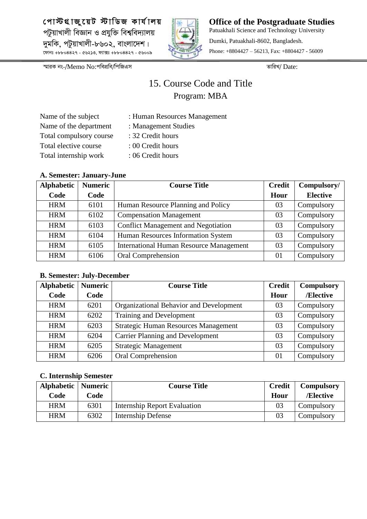

**Office of the Postgraduate Studies** Patuakhali Science and Technology University Dumki, Patuakhali-8602, Bangladesh. Phone: +8804427 – 56213, Fax: +8804427 - 56009

*¯§viK bs-/*Memo No:*cwecÖwe/wcwRGm ZvwiL/* Date:

## 15. Course Code and Title Program: MBA

| Name of the subject     | : Human Resources Management |
|-------------------------|------------------------------|
| Name of the department  | : Management Studies         |
| Total compulsory course | : 32 Credit hours            |
| Total elective course   | : 00 Credit hours            |
| Total internship work   | : 06 Credit hours            |

#### **A. Semester: January-June**

| <b>Alphabetic</b> | <b>Numeric</b> | <b>Course Title</b>                            | <b>Credit</b> | Compulsory/     |
|-------------------|----------------|------------------------------------------------|---------------|-----------------|
| Code              | Code           |                                                | Hour          | <b>Elective</b> |
| <b>HRM</b>        | 6101           | Human Resource Planning and Policy             | 03            | Compulsory      |
| <b>HRM</b>        | 6102           | <b>Compensation Management</b>                 | 03            | Compulsory      |
| <b>HRM</b>        | 6103           | <b>Conflict Management and Negotiation</b>     | 03            | Compulsory      |
| <b>HRM</b>        | 6104           | Human Resources Information System             | 03            | Compulsory      |
| <b>HRM</b>        | 6105           | <b>International Human Resource Management</b> | 03            | Compulsory      |
| <b>HRM</b>        | 6106           | Oral Comprehension                             | 01            | Compulsory      |

#### **B. Semester: July-December**

| <b>Alphabetic</b> | <b>Numeric</b> | <b>Course Title</b>                         | <b>Credit</b> | <b>Compulsory</b> |
|-------------------|----------------|---------------------------------------------|---------------|-------------------|
| Code              | Code           |                                             | Hour          | /Elective         |
| <b>HRM</b>        | 6201           | Organizational Behavior and Development     | 03            | Compulsory        |
| <b>HRM</b>        | 6202           | Training and Development                    | 03            | Compulsory        |
| <b>HRM</b>        | 6203           | <b>Strategic Human Resources Management</b> | 03            | Compulsory        |
| <b>HRM</b>        | 6204           | <b>Carrier Planning and Development</b>     | 03            | Compulsory        |
| <b>HRM</b>        | 6205           | <b>Strategic Management</b>                 | 03            | Compulsory        |
| <b>HRM</b>        | 6206           | Oral Comprehension                          | 01            | Compulsory        |

| Alphabetic   Numeric |      | <b>Course Title</b>                 | <b>Credit</b> | <b>Compulsory</b> |
|----------------------|------|-------------------------------------|---------------|-------------------|
| Code                 | Code |                                     | Hour          | /Elective         |
| <b>HRM</b>           | 6301 | <b>Internship Report Evaluation</b> | 03            | Compulsory        |
| <b>HRM</b>           | 6302 | <b>Internship Defense</b>           | 03            | Compulsory        |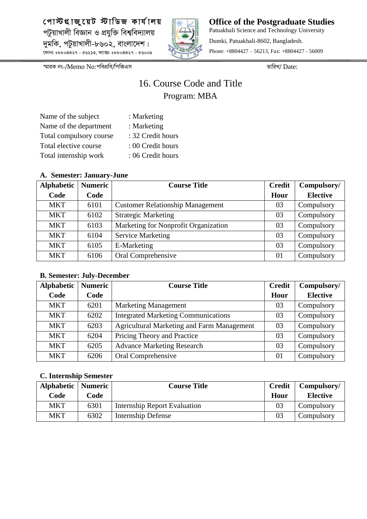

**Office of the Postgraduate Studies** Patuakhali Science and Technology University Dumki, Patuakhali-8602, Bangladesh. Phone: +8804427 – 56213, Fax: +8804427 - 56009

*¯§viK bs-/*Memo No:*cwecÖwe/wcwRGm ZvwiL/* Date:

## 16. Course Code and Title Program: MBA

| Name of the subject     | : Marketing       |
|-------------------------|-------------------|
| Name of the department  | : Marketing       |
| Total compulsory course | : 32 Credit hours |
| Total elective course   | : 00 Credit hours |
| Total internship work   | : 06 Credit hours |

#### **A. Semester: January-June**

| <b>Alphabetic</b> | <b>Numeric</b> | <b>Course Title</b>                     | <b>Credit</b> | Compulsory/     |
|-------------------|----------------|-----------------------------------------|---------------|-----------------|
| Code              | Code           |                                         | Hour          | <b>Elective</b> |
| <b>MKT</b>        | 6101           | <b>Customer Relationship Management</b> | 03            | Compulsory      |
| <b>MKT</b>        | 6102           | <b>Strategic Marketing</b>              | 03            | Compulsory      |
| <b>MKT</b>        | 6103           | Marketing for Nonprofit Organization    | 03            | Compulsory      |
| <b>MKT</b>        | 6104           | <b>Service Marketing</b>                | 03            | Compulsory      |
| <b>MKT</b>        | 6105           | E-Marketing                             | 03            | Compulsory      |
| <b>MKT</b>        | 6106           | Oral Comprehensive                      | 01            | Compulsory      |

#### **B. Semester: July-December**

| <b>Alphabetic</b> | <b>Numeric</b> | <b>Course Title</b>                               | <b>Credit</b> | Compulsory/     |
|-------------------|----------------|---------------------------------------------------|---------------|-----------------|
| Code              | Code           |                                                   | Hour          | <b>Elective</b> |
| <b>MKT</b>        | 6201           | <b>Marketing Management</b>                       | 03            | Compulsory      |
| <b>MKT</b>        | 6202           | <b>Integrated Marketing Communications</b>        | 03            | Compulsory      |
| <b>MKT</b>        | 6203           | <b>Agricultural Marketing and Farm Management</b> | 03            | Compulsory      |
| <b>MKT</b>        | 6204           | Pricing Theory and Practice                       | 03            | Compulsory      |
| <b>MKT</b>        | 6205           | <b>Advance Marketing Research</b>                 | 03            | Compulsory      |
| <b>MKT</b>        | 6206           | Oral Comprehensive                                | 01            | Compulsory      |

| Alphabetic   Numeric |      | <b>Course Title</b>                 | <b>Credit</b> | Compulsory/     |
|----------------------|------|-------------------------------------|---------------|-----------------|
| Code                 | Code |                                     | Hour          | <b>Elective</b> |
| <b>MKT</b>           | 6301 | <b>Internship Report Evaluation</b> | 03            | Compulsory      |
| MKT                  | 6302 | Internship Defense                  | 03            | Compulsory      |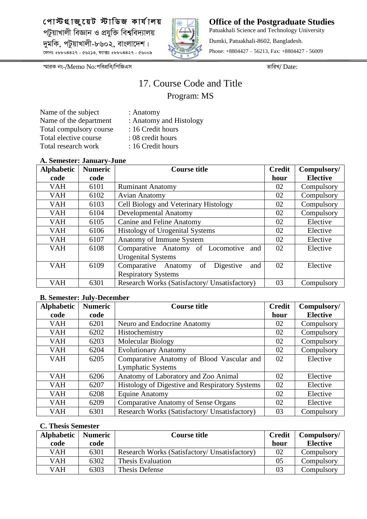

**Office of the Postgraduate Studies** Patuakhali Science and Technology University Dumki, Patuakhali-8602, Bangladesh. Phone: +8804427 – 56213, Fax: +8804427 - 56009

*¯§viK bs-/*Memo No:*cwecÖwe/wcwRGm ZvwiL/* Date:

## 17. Course Code and Title Program: MS

Name of the subject : Anatomy Name of the department : Anatomy and Histology Total compulsory course : 16 Credit hours Total elective course : 08 credit hours Total research work : 16 Credit hours

- -
	-
	-
	-

### **A. Semester: January-June**

| <b>Alphabetic</b> | <b>Numeric</b> | <b>Course title</b>                           | <b>Credit</b> | Compulsory/     |
|-------------------|----------------|-----------------------------------------------|---------------|-----------------|
| code              | code           |                                               | hour          | <b>Elective</b> |
| <b>VAH</b>        | 6101           | <b>Ruminant Anatomy</b>                       | 02            | Compulsory      |
| <b>VAH</b>        | 6102           | <b>Avian Anatomy</b>                          | 02            | Compulsory      |
| <b>VAH</b>        | 6103           | Cell Biology and Veterinary Histology         | 02            | Compulsory      |
| <b>VAH</b>        | 6104           | <b>Developmental Anatomy</b>                  | 02            | Compulsory      |
| <b>VAH</b>        | 6105           | <b>Canine and Feline Anatomy</b>              | 02            | Elective        |
| <b>VAH</b>        | 6106           | <b>Histology of Urogenital Systems</b>        | 02            | Elective        |
| <b>VAH</b>        | 6107           | Anatomy of Immune System                      | 02            | Elective        |
| <b>VAH</b>        | 6108           | Comparative Anatomy of Locomotive<br>and      | 02            | Elective        |
|                   |                | <b>Urogenital Systems</b>                     |               |                 |
| <b>VAH</b>        | 6109           | Digestive<br>Comparative Anatomy<br>of<br>and | 02            | Elective        |
|                   |                | <b>Respiratory Systems</b>                    |               |                 |
| <b>VAH</b>        | 6301           | Research Works (Satisfactory/ Unsatisfactory) | 03            | Compulsory      |

#### **B. Semester: July-December**

| <b>Alphabetic</b> | <b>Numeric</b> | <b>Course title</b>                            | <b>Credit</b> | Compulsory/     |
|-------------------|----------------|------------------------------------------------|---------------|-----------------|
| code              | code           |                                                | hour          | <b>Elective</b> |
| <b>VAH</b>        | 6201           | Neuro and Endocrine Anatomy                    | 02            | Compulsory      |
| <b>VAH</b>        | 6202           | Histochemistry                                 | 02            | Compulsory      |
| <b>VAH</b>        | 6203           | Molecular Biology                              | 02            | Compulsory      |
| <b>VAH</b>        | 6204           | <b>Evolutionary Anatomy</b>                    | 02            | Compulsory      |
| <b>VAH</b>        | 6205           | Comparative Anatomy of Blood Vascular and      | 02            | Elective        |
|                   |                | <b>Lymphatic Systems</b>                       |               |                 |
| <b>VAH</b>        | 6206           | Anatomy of Laboratory and Zoo Animal           | 02            | Elective        |
| <b>VAH</b>        | 6207           | Histology of Digestive and Respiratory Systems | 02            | Elective        |
| <b>VAH</b>        | 6208           | <b>Equine Anatomy</b>                          | 02            | Elective        |
| <b>VAH</b>        | 6209           | <b>Comparative Anatomy of Sense Organs</b>     | 02            | Elective        |
| <b>VAH</b>        | 6301           | Research Works (Satisfactory/ Unsatisfactory)  | 03            | Compulsory      |

| <b>Alphabetic</b> | <b>Numeric</b> | <b>Course title</b>                           | <b>Credit</b> | Compulsory/     |
|-------------------|----------------|-----------------------------------------------|---------------|-----------------|
| code              | code           |                                               | hour          | <b>Elective</b> |
| VAH               | 6301           | Research Works (Satisfactory/ Unsatisfactory) | 02            | Compulsory      |
| VAH               | 6302           | Thesis Evaluation                             | 05            | Compulsory      |
| VAH               | 6303           | Thesis Defense                                | 03            | Compulsory      |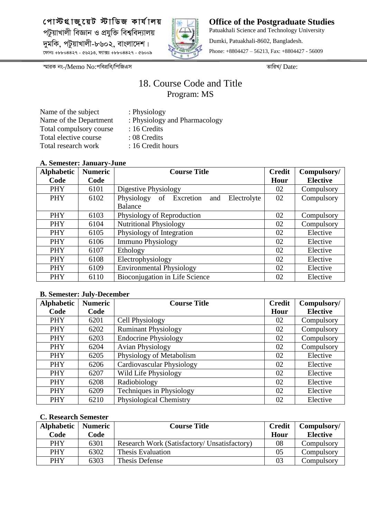

**Office of the Postgraduate Studies** Patuakhali Science and Technology University Dumki, Patuakhali-8602, Bangladesh. Phone: +8804427 – 56213, Fax: +8804427 - 56009

*¯§viK bs-/*Memo No:*cwecÖwe/wcwRGm ZvwiL/* Date:

## 18. Course Code and Title Program: MS

| Name of the subject     |
|-------------------------|
| Name of the Department  |
| Total compulsory course |
| Total elective course   |
| Total research work     |

- : Physiology
- : Physiology and Pharmacology
- : 16 Credits
- : 08 Credits
- : 16 Credit hours

#### **A. Semester: January-June**

| <b>Alphabetic</b> | <b>Numeric</b> | <b>Course Title</b>                        | <b>Credit</b> | Compulsory/     |
|-------------------|----------------|--------------------------------------------|---------------|-----------------|
| Code              | Code           |                                            | Hour          | <b>Elective</b> |
| <b>PHY</b>        | 6101           | Digestive Physiology                       | 02            | Compulsory      |
| PHY               | 6102           | Physiology of Excretion and<br>Electrolyte | 02            | Compulsory      |
|                   |                | <b>Balance</b>                             |               |                 |
| <b>PHY</b>        | 6103           | Physiology of Reproduction                 | 02            | Compulsory      |
| PHY               | 6104           | <b>Nutritional Physiology</b>              | 02            | Compulsory      |
| <b>PHY</b>        | 6105           | Physiology of Integration                  | 02            | Elective        |
| <b>PHY</b>        | 6106           | <b>Immuno Physiology</b>                   | 02            | Elective        |
| <b>PHY</b>        | 6107           | Ethology                                   | 02            | Elective        |
| <b>PHY</b>        | 6108           | Electrophysiology                          | 02            | Elective        |
| <b>PHY</b>        | 6109           | <b>Environmental Physiology</b>            | 02            | Elective        |
| <b>PHY</b>        | 6110           | Bioconjugation in Life Science             | 02            | Elective        |

#### **B. Semester: July-December**

| <b>Alphabetic</b> | <b>Numeric</b> | <b>Course Title</b>         | <b>Credit</b> | Compulsory/     |
|-------------------|----------------|-----------------------------|---------------|-----------------|
| Code              | Code           |                             | Hour          | <b>Elective</b> |
| <b>PHY</b>        | 6201           | Cell Physiology             | 02            | Compulsory      |
| <b>PHY</b>        | 6202           | <b>Ruminant Physiology</b>  | 02            | Compulsory      |
| <b>PHY</b>        | 6203           | <b>Endocrine Physiology</b> | 02            | Compulsory      |
| PHY               | 6204           | <b>Avian Physiology</b>     | 02            | Compulsory      |
| PHY               | 6205           | Physiology of Metabolism    | 02            | Elective        |
| <b>PHY</b>        | 6206           | Cardiovascular Physiology   | 02            | Elective        |
| <b>PHY</b>        | 6207           | Wild Life Physiology        | 02            | Elective        |
| <b>PHY</b>        | 6208           | Radiobiology                | 02            | Elective        |
| PHY               | 6209           | Techniques in Physiology    | 02            | Elective        |
| PHY               | 6210           | Physiological Chemistry     | 02            | Elective        |

| <b>Alphabetic</b> | <b>Numeric</b> | <b>Course Title</b>                          | <b>Credit</b> | Compulsory/     |
|-------------------|----------------|----------------------------------------------|---------------|-----------------|
| Code              | Code           |                                              | Hour          | <b>Elective</b> |
| <b>PHY</b>        | 6301           | Research Work (Satisfactory/ Unsatisfactory) | 08            | Compulsory      |
| <b>PHY</b>        | 6302           | Thesis Evaluation                            | 05            | Compulsory      |
| <b>PHY</b>        | 6303           | Thesis Defense                               | 03            | Compulsory      |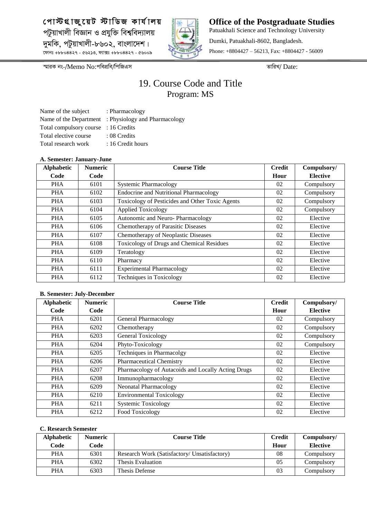

**Office of the Postgraduate Studies** Patuakhali Science and Technology University Dumki, Patuakhali-8602, Bangladesh. Phone: +8804427 – 56213, Fax: +8804427 - 56009

*¯§viK bs-/*Memo No:*cwecÖwe/wcwRGm ZvwiL/* Date:

## 19. Course Code and Title Program: MS

Name of the subject : Pharmacology Name of the Department : Physiology and Pharmacology Total compulsory course : 16 Credits Total elective course : 08 Credits Total research work : 16 Credit hours

#### **A. Semester: January-June**

| <b>Alphabetic</b> | <b>Numeric</b> | <b>Course Title</b>                             | <b>Credit</b> | Compulsory/     |
|-------------------|----------------|-------------------------------------------------|---------------|-----------------|
| Code              | Code           |                                                 | Hour          | <b>Elective</b> |
| <b>PHA</b>        | 6101           | <b>Systemic Pharmacology</b>                    | 02            | Compulsory      |
| <b>PHA</b>        | 6102           | <b>Endocrine and Nutritional Pharmacology</b>   | 02            | Compulsory      |
| <b>PHA</b>        | 6103           | Toxicology of Pesticides and Other Toxic Agents | 02            | Compulsory      |
| <b>PHA</b>        | 6104           | <b>Applied Toxicology</b>                       | 02            | Compulsory      |
| <b>PHA</b>        | 6105           | Autonomic and Neuro-Pharmacology                | 02            | Elective        |
| <b>PHA</b>        | 6106           | Chemotherapy of Parasitic Diseases              | 02            | Elective        |
| <b>PHA</b>        | 6107           | Chemotherapy of Neoplastic Diseases             | 02            | Elective        |
| <b>PHA</b>        | 6108           | Toxicology of Drugs and Chemical Residues       | 02            | Elective        |
| <b>PHA</b>        | 6109           | Teratology                                      | 02            | Elective        |
| <b>PHA</b>        | 6110           | Pharmacy                                        | 02            | Elective        |
| <b>PHA</b>        | 6111           | <b>Experimental Pharmacology</b>                | 02            | Elective        |
| <b>PHA</b>        | 6112           | Techniques in Toxicology                        | 02            | Elective        |

#### **B. Semester: July-December**

| <b>Alphabetic</b> | <b>Numeric</b> | <b>Course Title</b>                                | <b>Credit</b> | Compulsory/     |
|-------------------|----------------|----------------------------------------------------|---------------|-----------------|
| Code              | Code           |                                                    | Hour          | <b>Elective</b> |
| <b>PHA</b>        | 6201           | General Pharmacology                               | 02            | Compulsory      |
| <b>PHA</b>        | 6202           | Chemotherapy                                       | 02            | Compulsory      |
| <b>PHA</b>        | 6203           | <b>General Toxicology</b>                          | 02            | Compulsory      |
| <b>PHA</b>        | 6204           | Phyto-Toxicology                                   | 02            | Compulsory      |
| <b>PHA</b>        | 6205           | Techniques in Pharmacolgy                          | 02            | Elective        |
| <b>PHA</b>        | 6206           | <b>Pharmaceutical Chemistry</b>                    | 02            | Elective        |
| <b>PHA</b>        | 6207           | Pharmacology of Autacoids and Locally Acting Drugs | 02            | Elective        |
| <b>PHA</b>        | 6208           | Immunopharmacology                                 | 02            | Elective        |
| <b>PHA</b>        | 6209           | Neonatal Pharmacology                              | 02            | Elective        |
| <b>PHA</b>        | 6210           | <b>Environmental Toxicology</b>                    | 02            | Elective        |
| <b>PHA</b>        | 6211           | <b>Systemic Toxicology</b>                         | 02            | Elective        |
| <b>PHA</b>        | 6212           | <b>Food Toxicology</b>                             | 02            | Elective        |

| <b>Alphabetic</b> | <b>Numeric</b> | <b>Course Title</b>                          | <b>Credit</b>  | Compulsory/     |
|-------------------|----------------|----------------------------------------------|----------------|-----------------|
| Code              | Code           |                                              | Hour           | <b>Elective</b> |
| <b>PHA</b>        | 6301           | Research Work (Satisfactory/ Unsatisfactory) | 08             | Compulsory      |
| <b>PHA</b>        | 6302           | Thesis Evaluation                            | 0 <sub>5</sub> | Compulsory      |
| <b>PHA</b>        | 6303           | Thesis Defense                               | 0 <sup>3</sup> | Compulsory      |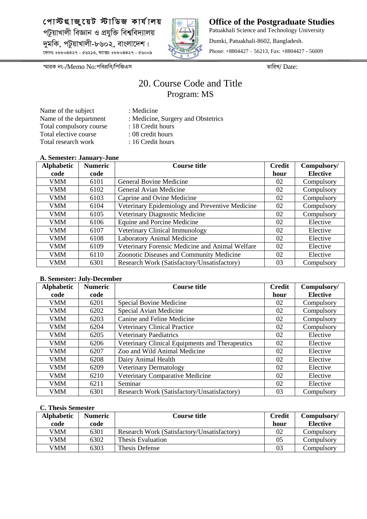

**Office of the Postgraduate Studies** Patuakhali Science and Technology University Dumki, Patuakhali-8602, Bangladesh. Phone: +8804427 – 56213, Fax: +8804427 - 56009

*¯§viK bs-/*Memo No:*cwecÖwe/wcwRGm ZvwiL/* Date:

## 20. Course Code and Title Program: MS

Name of the subject : Medicine Total compulsory course : 18 Credit hours Total elective course : 08 credit hours Total research work : 16 Credit hours

- 
- Name of the department : Medicine, Surgery and Obstetrics
	-
	-
- 
- 

#### **A. Semester: January-June**

| <b>Alphabetic</b> | <b>Numeric</b> | <b>Course title</b>                             | <b>Credit</b> | Compulsory/     |
|-------------------|----------------|-------------------------------------------------|---------------|-----------------|
| code              | code           |                                                 | hour          | <b>Elective</b> |
| <b>VMM</b>        | 6101           | General Bovine Medicine                         | 02            | Compulsory      |
| VMM               | 6102           | General Avian Medicine                          | 02            | Compulsory      |
| <b>VMM</b>        | 6103           | Caprine and Ovine Medicine                      | 02            | Compulsory      |
| <b>VMM</b>        | 6104           | Veterinary Epidemiology and Preventive Medicine | 02            | Compulsory      |
| VMM               | 6105           | Veterinary Diagnostic Medicine                  | 02            | Compulsory      |
| <b>VMM</b>        | 6106           | Equine and Porcine Medicine                     | 02            | Elective        |
| VMM               | 6107           | Veterinary Clinical Immunology                  | 02            | Elective        |
| <b>VMM</b>        | 6108           | <b>Laboratory Animal Medicine</b>               | 02            | Elective        |
| <b>VMM</b>        | 6109           | Veterinary Forensic Medicine and Animal Welfare | 02            | Elective        |
| VMM               | 6110           | Zoonotic Diseases and Community Medicine        | 02            | Elective        |
| <b>VMM</b>        | 6301           | Research Work (Satisfactory/Unsatisfactory)     | 03            | Compulsory      |

#### **B. Semester: July-December**

| <b>Alphabetic</b><br>code | <b>Numeric</b><br>code | <b>Course title</b>                             | <b>Credit</b><br>hour | Compulsory/<br><b>Elective</b> |
|---------------------------|------------------------|-------------------------------------------------|-----------------------|--------------------------------|
|                           |                        |                                                 |                       |                                |
| <b>VMM</b>                | 6201                   | Special Bovine Medicine                         | 02                    | Compulsory                     |
| VMM                       | 6202                   | Special Avian Medicine                          | 02                    | Compulsory                     |
| <b>VMM</b>                | 6203                   | Canine and Feline Medicine                      | 02                    | Compulsory                     |
| <b>VMM</b>                | 6204                   | <b>Veterinary Clinical Practice</b>             | 02                    | Compulsory                     |
| VMM                       | 6205                   | <b>Veterinary Paediatrics</b>                   | 02                    | Elective                       |
| <b>VMM</b>                | 6206                   | Veterinary Clinical Equipments and Therapeutics | 02                    | Elective                       |
| <b>VMM</b>                | 6207                   | Zoo and Wild Animal Medicine                    | 02                    | Elective                       |
| VMM                       | 6208                   | Dairy Animal Health                             | 02                    | Elective                       |
| <b>VMM</b>                | 6209                   | <b>Veterinary Dermatology</b>                   | 02                    | Elective                       |
| <b>VMM</b>                | 6210                   | Veterinary Comparative Medicine                 | 02                    | Elective                       |
| <b>VMM</b>                | 6211                   | Seminar                                         | 02                    | Elective                       |
| <b>VMM</b>                | 6301                   | Research Work (Satisfactory/Unsatisfactory)     | 03                    | Compulsory                     |

| <b>Alphabetic</b> | <b>Numeric</b> | <b>Course title</b>                         | <b>Credit</b> | Compulsory/ |
|-------------------|----------------|---------------------------------------------|---------------|-------------|
| code              | code           |                                             | hour          | Elective    |
| VMM               | 6301           | Research Work (Satisfactory/Unsatisfactory) | 02            | Compulsory  |
| VMM               | 6302           | Thesis Evaluation                           | 05            | Compulsorv  |
| VMM               | 6303           | Thesis Defense                              | 03            | Compulsory  |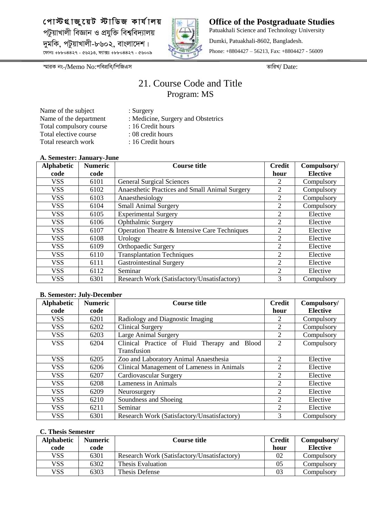

**Office of the Postgraduate Studies** Patuakhali Science and Technology University Dumki, Patuakhali-8602, Bangladesh. Phone: +8804427 – 56213, Fax: +8804427 - 56009

*¯§viK bs-/*Memo No:*cwecÖwe/wcwRGm ZvwiL/* Date:

## 21. Course Code and Title Program: MS

Name of the subject : Surgery Total compulsory course : 16 Credit hours Total elective course : 08 credit hours Total research work : 16 Credit hours

- 
- Name of the department : Medicine, Surgery and Obstetrics
	-
	-
- 
- 

#### **A. Semester: January-June**

| <b>Alphabetic</b> | <b>Numeric</b> | <b>Course title</b>                            | <b>Credit</b>  | Compulsory/     |
|-------------------|----------------|------------------------------------------------|----------------|-----------------|
| code              | code           |                                                | hour           | <b>Elective</b> |
| <b>VSS</b>        | 6101           | <b>General Surgical Sciences</b>               |                | Compulsory      |
| <b>VSS</b>        | 6102           | Anaesthetic Practices and Small Animal Surgery | 2              | Compulsory      |
| <b>VSS</b>        | 6103           | Anaesthesiology                                | 2              | Compulsory      |
| <b>VSS</b>        | 6104           | <b>Small Animal Surgery</b>                    | 2              | Compulsory      |
| <b>VSS</b>        | 6105           | <b>Experimental Surgery</b>                    | 2              | Elective        |
| <b>VSS</b>        | 6106           | Ophthalmic Surgery                             | 2              | Elective        |
| <b>VSS</b>        | 6107           | Operation Theatre & Intensive Care Techniques  | 2              | Elective        |
| <b>VSS</b>        | 6108           | Urology                                        | 2              | Elective        |
| <b>VSS</b>        | 6109           | <b>Orthopaedic Surgery</b>                     | 2              | Elective        |
| <b>VSS</b>        | 6110           | <b>Transplantation Techniques</b>              | $\overline{2}$ | Elective        |
| <b>VSS</b>        | 6111           | <b>Gastrointestinal Surgery</b>                | 2              | Elective        |
| <b>VSS</b>        | 6112           | Seminar                                        | $\overline{2}$ | Elective        |
| <b>VSS</b>        | 6301           | Research Work (Satisfactory/Unsatisfactory)    | 3              | Compulsory      |

#### **B. Semester: July-December**

| <b>Alphabetic</b> | <b>Numeric</b> | <b>Course title</b>                          | <b>Credit</b>  | Compulsory/     |
|-------------------|----------------|----------------------------------------------|----------------|-----------------|
| code              | code           |                                              | hour           | <b>Elective</b> |
| <b>VSS</b>        | 6201           | Radiology and Diagnostic Imaging             | 2              | Compulsory      |
| <b>VSS</b>        | 6202           | <b>Clinical Surgery</b>                      | 2              | Compulsory      |
| <b>VSS</b>        | 6203           | Large Animal Surgery                         | $\overline{2}$ | Compulsory      |
| <b>VSS</b>        | 6204           | Clinical Practice of Fluid Therapy and Blood | 2              | Compulsory      |
|                   |                | <b>Transfusion</b>                           |                |                 |
| <b>VSS</b>        | 6205           | Zoo and Laboratory Animal Anaesthesia        | 2              | Elective        |
| <b>VSS</b>        | 6206           | Clinical Management of Lameness in Animals   | $\overline{2}$ | Elective        |
| <b>VSS</b>        | 6207           | Cardiovascular Surgery                       | $\overline{2}$ | Elective        |
| <b>VSS</b>        | 6208           | Lameness in Animals                          | 2              | Elective        |
| <b>VSS</b>        | 6209           | Neurosurgery                                 | $\overline{2}$ | Elective        |
| <b>VSS</b>        | 6210           | Soundness and Shoeing                        | $\overline{2}$ | Elective        |
| <b>VSS</b>        | 6211           | Seminar                                      | 2              | Elective        |
| <b>VSS</b>        | 6301           | Research Work (Satisfactory/Unsatisfactory)  | 3              | Compulsory      |

| <b>Alphabetic</b> | <b>Numeric</b> | Course title                                | <b>Credit</b> | Compulsory/     |
|-------------------|----------------|---------------------------------------------|---------------|-----------------|
| code              | code           |                                             | hour          | <b>Elective</b> |
| VSS               | 6301           | Research Work (Satisfactory/Unsatisfactory) | 02            | Compulsory      |
| VSS               | 6302           | Thesis Evaluation                           | 05            | Compulsorv      |
| VSS               | 6303           | Thesis Defense                              | 03            | Compulsory      |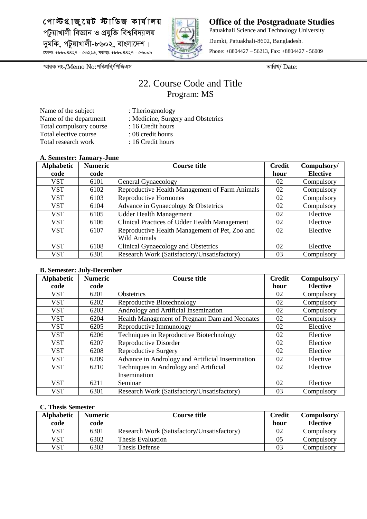

**Office of the Postgraduate Studies** Patuakhali Science and Technology University Dumki, Patuakhali-8602, Bangladesh. Phone: +8804427 – 56213, Fax: +8804427 - 56009

*¯§viK bs-/*Memo No:*cwecÖwe/wcwRGm ZvwiL/* Date:

## 22. Course Code and Title Program: MS

Name of the subject : Theriogenology<br>Name of the department : Medicine, Surge Total compulsory course : 16 Credit hours Total elective course : 08 credit hours Total research work : 16 Credit hours

- 
- : Medicine, Surgery and Obstetrics
- 
- 
- 
- 

#### **A. Semester: January-June**

| <i><b>11.</b> Demester</i> . Camaar , Came<br><b>Alphabetic</b> | <b>Numeric</b> | <b>Course title</b>                            | <b>Credit</b> | Compulsory/     |
|-----------------------------------------------------------------|----------------|------------------------------------------------|---------------|-----------------|
| code                                                            | code           |                                                | hour          | <b>Elective</b> |
| VST                                                             | 6101           | General Gynaecology                            | 02            | Compulsory      |
| <b>VST</b>                                                      | 6102           | Reproductive Health Management of Farm Animals | 02            | Compulsory      |
| VST                                                             | 6103           | Reproductive Hormones                          | 02            | Compulsory      |
| <b>VST</b>                                                      | 6104           | Advance in Gynaecology & Obstetrics            | 02            | Compulsory      |
| <b>VST</b>                                                      | 6105           | <b>Udder Health Management</b>                 | 02            | Elective        |
| <b>VST</b>                                                      | 6106           | Clinical Practices of Udder Health Management  | 02            | Elective        |
| <b>VST</b>                                                      | 6107           | Reproductive Health Management of Pet, Zoo and | 02            | Elective        |
|                                                                 |                | <b>Wild Animals</b>                            |               |                 |
| <b>VST</b>                                                      | 6108           | Clinical Gynaecology and Obstetrics            | 02            | Elective        |
| <b>VST</b>                                                      | 6301           | Research Work (Satisfactory/Unsatisfactory)    | 03            | Compulsory      |

#### **B. Semester: July-December**

| <b>Alphabetic</b> | <b>Numeric</b> | <b>Course title</b>                              | <b>Credit</b> | Compulsory/     |
|-------------------|----------------|--------------------------------------------------|---------------|-----------------|
| code              | code           |                                                  | hour          | <b>Elective</b> |
| <b>VST</b>        | 6201           | <b>Obstetrics</b>                                | 02            | Compulsory      |
| <b>VST</b>        | 6202           | Reproductive Biotechnology                       | 02            | Compulsory      |
| <b>VST</b>        | 6203           | Andrology and Artificial Insemination            | 02            | Compulsory      |
| <b>VST</b>        | 6204           | Health Management of Pregnant Dam and Neonates   | 02            | Compulsory      |
| <b>VST</b>        | 6205           | Reproductive Immunology                          | 02            | Elective        |
| <b>VST</b>        | 6206           | Techniques in Reproductive Biotechnology         | 02            | Elective        |
| <b>VST</b>        | 6207           | Reproductive Disorder                            | 02            | Elective        |
| <b>VST</b>        | 6208           | Reproductive Surgery                             | 02            | Elective        |
| <b>VST</b>        | 6209           | Advance in Andrology and Artificial Insemination | 02            | Elective        |
| <b>VST</b>        | 6210           | Techniques in Andrology and Artificial           | 02            | Elective        |
|                   |                | Insemination                                     |               |                 |
| <b>VST</b>        | 6211           | Seminar                                          | 02            | Elective        |
| <b>VST</b>        | 6301           | Research Work (Satisfactory/Unsatisfactory)      | 03            | Compulsory      |

| <b>Alphabetic</b> | <b>Numeric</b> | Course title                                | <b>Credit</b> | Compulsory/     |
|-------------------|----------------|---------------------------------------------|---------------|-----------------|
| code              | code           |                                             | hour          | <b>Elective</b> |
| VST               | 6301           | Research Work (Satisfactory/Unsatisfactory) | 02            | Compulsory      |
| VST               | 6302           | Thesis Evaluation                           | 05            | Compulsory      |
| VST               | 6303           | Thesis Defense                              | 03            | Compulsory      |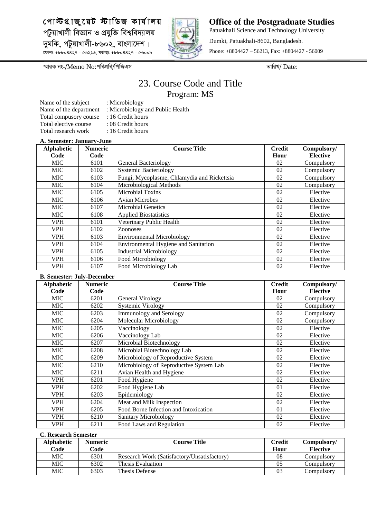

**Office of the Postgraduate Studies** Patuakhali Science and Technology University Dumki, Patuakhali-8602, Bangladesh. Phone: +8804427 – 56213, Fax: +8804427 - 56009

*¯§viK bs-/*Memo No:*cwecÖwe/wcwRGm ZvwiL/* Date:

## 23. Course Code and Title Program: MS

Name of the subject : Microbiology Total compusory course : 16 Credit hours Total elective course : 08 Credit hours Total research work : 16 Credit hours

- Name of the department : Microbiology and Public Health
	-

#### **A. Semester: January-June**

| <b>Alphabetic</b> | <b>Numeric</b> | <b>Course Title</b>                         | <b>Credit</b> | Compulsory/     |
|-------------------|----------------|---------------------------------------------|---------------|-----------------|
| Code              | Code           |                                             | Hour          | <b>Elective</b> |
| <b>MIC</b>        | 6101           | General Bacteriology                        | 02            | Compulsory      |
| <b>MIC</b>        | 6102           | <b>Systemic Bacteriology</b>                | 02            | Compulsory      |
| <b>MIC</b>        | 6103           | Fungi, Mycoplasme, Chlamydia and Rickettsia | 02            | Compulsory      |
| <b>MIC</b>        | 6104           | Microbiological Methods                     | 02            | Compulsory      |
| <b>MIC</b>        | 6105           | Microbial Toxins                            | 02            | Elective        |
| <b>MIC</b>        | 6106           | <b>Avian Microbes</b>                       | 02            | Elective        |
| <b>MIC</b>        | 6107           | <b>Microbial Genetics</b>                   | 02            | Elective        |
| <b>MIC</b>        | 6108           | <b>Applied Biostatistics</b>                | 02            | Elective        |
| <b>VPH</b>        | 6101           | Veterinary Public Health                    | 02            | Elective        |
| <b>VPH</b>        | 6102           | <b>Zoonoses</b>                             | 02            | Elective        |
| <b>VPH</b>        | 6103           | <b>Environmental Microbiology</b>           | 02            | Elective        |
| <b>VPH</b>        | 6104           | <b>Environmental Hygiene and Sanitation</b> | 02            | Elective        |
| <b>VPH</b>        | 6105           | <b>Industrial Microbiology</b>              | 02            | Elective        |
| <b>VPH</b>        | 6106           | Food Microbiology                           | 02            | Elective        |
| <b>VPH</b>        | 6107           | Food Microbiology Lab                       | 02            | Elective        |

#### **B. Semester: July-December**

| <b>Alphabetic</b> | <b>Numeric</b> | <b>Course Title</b>                     | <b>Credit</b> | Compulsory/     |
|-------------------|----------------|-----------------------------------------|---------------|-----------------|
| Code              | Code           |                                         | Hour          | <b>Elective</b> |
| MIC               | 6201           | General Virology                        | 02            | Compulsory      |
| <b>MIC</b>        | 6202           | <b>Systemic Virology</b>                | 02            | Compulsory      |
| <b>MIC</b>        | 6203           | <b>Immunology and Serology</b>          | 02            | Compulsory      |
| MIC               | 6204           | Molecular Microbiology                  | 02            | Compulsory      |
| MIC               | 6205           | Vaccinology                             | 02            | Elective        |
| <b>MIC</b>        | 6206           | Vaccinology Lab                         | 02            | Elective        |
| <b>MIC</b>        | 6207           | Microbial Biotechnology                 | 02            | Elective        |
| <b>MIC</b>        | 6208           | Microbial Biotechnology Lab             | 02            | Elective        |
| MIC               | 6209           | Microbiology of Reproductive System     | 02            | Elective        |
| <b>MIC</b>        | 6210           | Microbiology of Reproductive System Lab | 02            | Elective        |
| MIC               | 6211           | Avian Health and Hygiene                | 02            | Elective        |
| <b>VPH</b>        | 6201           | Food Hygiene                            | 02            | Elective        |
| <b>VPH</b>        | 6202           | Food Hygiene Lab                        | 01            | Elective        |
| <b>VPH</b>        | 6203           | Epidemiology                            | 02            | Elective        |
| <b>VPH</b>        | 6204           | Meat and Milk Inspection                | 02            | Elective        |
| <b>VPH</b>        | 6205           | Food Borne Infection and Intoxication   | $\Omega$      | Elective        |
| <b>VPH</b>        | 6210           | Sanitary Microbiology                   | 02            | Elective        |
| <b>VPH</b>        | 6211           | Food Laws and Regulation                | 02            | Elective        |

| <b>Alphabetic</b> | <b>Numeric</b> | <b>Course Title</b>                         | Credit | Compulsory/     |
|-------------------|----------------|---------------------------------------------|--------|-----------------|
| Code              | Code           |                                             | Hour   | <b>Elective</b> |
| MIC               | 6301           | Research Work (Satisfactory/Unsatisfactory) | 08     | Compulsory      |
| MIC               | 6302           | Thesis Evaluation                           | 05     | Compulsory      |
| MIC               | 6303           | Thesis Defense                              | 03     | Compulsorv      |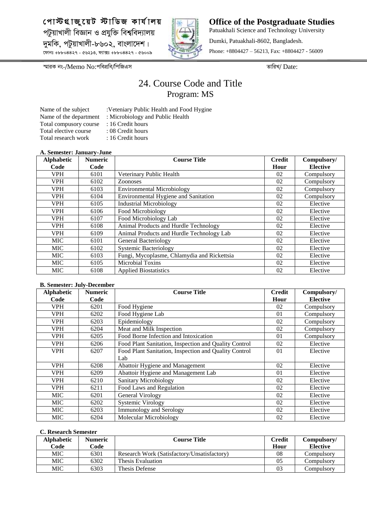

**Office of the Postgraduate Studies** Patuakhali Science and Technology University Dumki, Patuakhali-8602, Bangladesh. Phone: +8804427 – 56213, Fax: +8804427 - 56009

*¯§viK bs-/*Memo No:*cwecÖwe/wcwRGm ZvwiL/* Date:

## 24. Course Code and Title Program: MS

Name of the department : Microbiology and Public Health Total compusory course : 16 Credit hours Total elective course : 08 Credit hours Total research work : 16 Credit hours

- Name of the subject :Veteniary Public Health and Food Hygine
	-
	-
	-

#### **A. Semester: January-June**

| <b>Alphabetic</b> | <b>Numeric</b> | <b>Course Title</b>                         | <b>Credit</b> | Compulsory/     |
|-------------------|----------------|---------------------------------------------|---------------|-----------------|
| Code              | Code           |                                             | Hour          | <b>Elective</b> |
| <b>VPH</b>        | 6101           | Veterinary Public Health                    | 02            | Compulsory      |
| VPH               | 6102           | <b>Zoonoses</b>                             | 02            | Compulsory      |
| <b>VPH</b>        | 6103           | <b>Environmental Microbiology</b>           | 02            | Compulsory      |
| <b>VPH</b>        | 6104           | <b>Environmental Hygiene and Sanitation</b> | 02            | Compulsory      |
| <b>VPH</b>        | 6105           | <b>Industrial Microbiology</b>              | 02            | Elective        |
| <b>VPH</b>        | 6106           | Food Microbiology                           | 02            | Elective        |
| <b>VPH</b>        | 6107           | Food Microbiology Lab                       | 02            | Elective        |
| <b>VPH</b>        | 6108           | Animal Products and Hurdle Technology       | 02            | Elective        |
| <b>VPH</b>        | 6109           | Animal Products and Hurdle Technology Lab   | 02            | Elective        |
| <b>MIC</b>        | 6101           | General Bacteriology                        | 02            | Elective        |
| <b>MIC</b>        | 6102           | <b>Systemic Bacteriology</b>                | 02            | Elective        |
| <b>MIC</b>        | 6103           | Fungi, Mycoplasme, Chlamydia and Rickettsia | 02            | Elective        |
| <b>MIC</b>        | 6105           | Microbial Toxins                            | 02            | Elective        |
| <b>MIC</b>        | 6108           | <b>Applied Biostatistics</b>                | 02            | Elective        |

#### **B. Semester: July-December**

| <b>Alphabetic</b> | <b>Numeric</b> | <b>Course Title</b>                                   | <b>Credit</b> | Compulsory/     |
|-------------------|----------------|-------------------------------------------------------|---------------|-----------------|
| Code              | Code           |                                                       | Hour          | <b>Elective</b> |
| <b>VPH</b>        | 6201           | Food Hygiene                                          | 02            | Compulsory      |
| <b>VPH</b>        | 6202           | Food Hygiene Lab                                      | 01            | Compulsory      |
| <b>VPH</b>        | 6203           | Epidemiology                                          | 02            | Compulsory      |
| <b>VPH</b>        | 6204           | Meat and Milk Inspection                              | 02            | Compulsory      |
| <b>VPH</b>        | 6205           | Food Borne Infection and Intoxication                 | 01            | Compulsory      |
| <b>VPH</b>        | 6206           | Food Plant Sanitation, Inspection and Quality Control | 02            | Elective        |
| <b>VPH</b>        | 6207           | Food Plant Sanitation, Inspection and Quality Control | 01            | Elective        |
|                   |                | Lab                                                   |               |                 |
| <b>VPH</b>        | 6208           | Abattoir Hygiene and Management                       | 02            | Elective        |
| <b>VPH</b>        | 6209           | Abattoir Hygiene and Management Lab                   | 01            | Elective        |
| <b>VPH</b>        | 6210           | <b>Sanitary Microbiology</b>                          | 02            | Elective        |
| <b>VPH</b>        | 6211           | Food Laws and Regulation                              | 02            | Elective        |
| <b>MIC</b>        | 6201           | General Virology                                      | 02            | Elective        |
| <b>MIC</b>        | 6202           | Systemic Virology                                     | 02            | Elective        |
| <b>MIC</b>        | 6203           | <b>Immunology and Serology</b>                        | 02            | Elective        |
| <b>MIC</b>        | 6204           | Molecular Microbiology                                | 02            | Elective        |

| <b>Alphabetic</b> | <b>Numeric</b> | <b>Course Title</b>                         | <b>Credit</b> | Compulsory/     |
|-------------------|----------------|---------------------------------------------|---------------|-----------------|
| Code              | Code           |                                             | Hour          | <b>Elective</b> |
| MIC               | 6301           | Research Work (Satisfactory/Unsatisfactory) | 08            | Compulsory      |
| MIC               | 6302           | Thesis Evaluation                           | 05            | Compulsory      |
| MIC               | 6303           | Thesis Defense                              | 03            | Compulsorv      |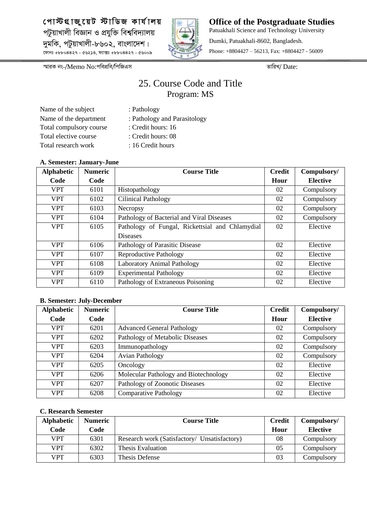

**Office of the Postgraduate Studies** Patuakhali Science and Technology University Dumki, Patuakhali-8602, Bangladesh. Phone: +8804427 – 56213, Fax: +8804427 - 56009

*¯§viK bs-/*Memo No:*cwecÖwe/wcwRGm ZvwiL/* Date:

## 25. Course Code and Title Program: MS

- Name of the subject : Pathology Total compulsory course : Credit hours: 16 Total elective course : Credit hours: 08 Total research work : 16 Credit hours
	-
- Name of the department : Pathology and Parasitology
	-
	- -

#### **A. Semester: January-June**

| Alphabetic | <b>Numeric</b> | <b>Course Title</b>                             | <b>Credit</b> | Compulsory/     |
|------------|----------------|-------------------------------------------------|---------------|-----------------|
| Code       | Code           |                                                 | Hour          | <b>Elective</b> |
| <b>VPT</b> | 6101           | Histopathology                                  | 02            | Compulsory      |
| <b>VPT</b> | 6102           | <b>Cilinical Pathology</b>                      | 02            | Compulsory      |
| <b>VPT</b> | 6103           | Necropsy                                        | 02            | Compulsory      |
| <b>VPT</b> | 6104           | Pathology of Bacterial and Viral Diseases       | 02            | Compulsory      |
| <b>VPT</b> | 6105           | Pathology of Fungal, Rickettsial and Chlamydial | 02            | Elective        |
|            |                | <b>Diseases</b>                                 |               |                 |
| <b>VPT</b> | 6106           | Pathology of Parasitic Disease                  | 02            | Elective        |
| <b>VPT</b> | 6107           | Reproductive Pathology                          | 02            | Elective        |
| <b>VPT</b> | 6108           | Laboratory Animal Pathology                     | 02            | Elective        |
| <b>VPT</b> | 6109           | <b>Experimental Pathology</b>                   | 02            | Elective        |
| <b>VPT</b> | 6110           | Pathology of Extraneous Poisoning               | 02            | Elective        |

#### **B. Semester: July-December**

| Alphabetic | <b>Numeric</b> | <b>Course Title</b>                   | <b>Credit</b> | Compulsory/     |
|------------|----------------|---------------------------------------|---------------|-----------------|
| Code       | Code           |                                       | Hour          | <b>Elective</b> |
| <b>VPT</b> | 6201           | <b>Advanced General Pathology</b>     | 02            | Compulsory      |
| <b>VPT</b> | 6202           | Pathology of Metabolic Diseases       | 02            | Compulsory      |
| <b>VPT</b> | 6203           | Immunopathology                       | 02            | Compulsory      |
| <b>VPT</b> | 6204           | <b>Avian Pathology</b>                | 02            | Compulsory      |
| <b>VPT</b> | 6205           | Oncology                              | 02            | Elective        |
| <b>VPT</b> | 6206           | Molecular Pathology and Biotechnology | 02            | Elective        |
| <b>VPT</b> | 6207           | Pathology of Zoonotic Diseases        | 02            | Elective        |
| <b>VPT</b> | 6208           | <b>Comparative Pathology</b>          | 02            | Elective        |

| <b>Alphabetic</b> | <b>Numeric</b> | <b>Course Title</b>                          | <b>Credit</b>  | Compulsory/ |
|-------------------|----------------|----------------------------------------------|----------------|-------------|
| Code              | Code           |                                              | Hour           | Elective    |
| <b>VPT</b>        | 6301           | Research work (Satisfactory/ Unsatisfactory) | 08             | Compulsory  |
| VPT               | 6302           | Thesis Evaluation                            | 0 <sub>5</sub> | Compulsory  |
| <b>VPT</b>        | 6303           | Thesis Defense                               | 03             | Compulsory  |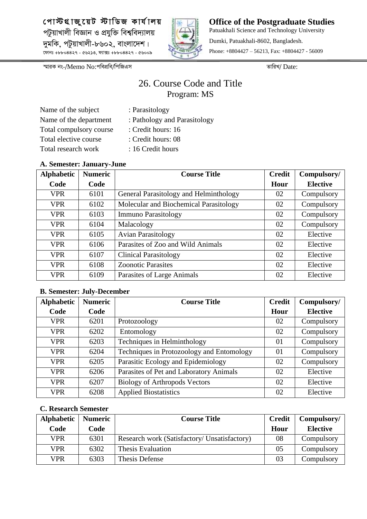

**Office of the Postgraduate Studies** Patuakhali Science and Technology University Dumki, Patuakhali-8602, Bangladesh. Phone: +8804427 – 56213, Fax: +8804427 - 56009

*¯§viK bs-/*Memo No:*cwecÖwe/wcwRGm ZvwiL/* Date:

## 26. Course Code and Title Program: MS

| Name of the subject     |
|-------------------------|
| Name of the department  |
| Total compulsory course |
| Total elective course   |
| Total research work     |

- : Parasitology
- : Pathology and Parasitology
- : Credit hours: 16
- : Credit hours: 08
- : 16 Credit hours

#### **A. Semester: January-June**

| <b>Alphabetic</b> | <b>Numeric</b> | <b>Course Title</b>                    | <b>Credit</b> | Compulsory/     |
|-------------------|----------------|----------------------------------------|---------------|-----------------|
| Code              | Code           |                                        | Hour          | <b>Elective</b> |
| <b>VPR</b>        | 6101           | General Parasitology and Helminthology | 02            | Compulsory      |
| <b>VPR</b>        | 6102           | Molecular and Biochemical Parasitology | 02            | Compulsory      |
| <b>VPR</b>        | 6103           | <b>Immuno Parasitology</b>             | 02            | Compulsory      |
| <b>VPR</b>        | 6104           | Malacology                             | 02            | Compulsory      |
| <b>VPR</b>        | 6105           | <b>Avian Parasitology</b>              | 02            | Elective        |
| <b>VPR</b>        | 6106           | Parasites of Zoo and Wild Animals      | 02            | Elective        |
| <b>VPR</b>        | 6107           | <b>Clinical Parasitology</b>           | 02            | Elective        |
| <b>VPR</b>        | 6108           | <b>Zoonotic Parasites</b>              | 02            | Elective        |
| <b>VPR</b>        | 6109           | Parasites of Large Animals             | 02            | Elective        |

#### **B. Semester: July-December**

| <b>Alphabetic</b> | <b>Numeric</b> | <b>Course Title</b>                       | <b>Credit</b> | Compulsory/     |
|-------------------|----------------|-------------------------------------------|---------------|-----------------|
| Code              | Code           |                                           | Hour          | <b>Elective</b> |
| <b>VPR</b>        | 6201           | Protozoology                              | 02            | Compulsory      |
| <b>VPR</b>        | 6202           | Entomology                                | 02            | Compulsory      |
| <b>VPR</b>        | 6203           | Techniques in Helminthology               | 01            | Compulsory      |
| <b>VPR</b>        | 6204           | Techniques in Protozoology and Entomology | 01            | Compulsory      |
| <b>VPR</b>        | 6205           | Parasitic Ecology and Epidemiology        | 02            | Compulsory      |
| <b>VPR</b>        | 6206           | Parasites of Pet and Laboratory Animals   | 02            | Elective        |
| <b>VPR</b>        | 6207           | <b>Biology of Arthropods Vectors</b>      | 02            | Elective        |
| <b>VPR</b>        | 6208           | <b>Applied Biostatistics</b>              | 02            | Elective        |

| Alphabetic | <b>Numeric</b> | <b>Course Title</b>                          | <b>Credit</b> | Compulsory/     |
|------------|----------------|----------------------------------------------|---------------|-----------------|
| Code       | Code           |                                              | Hour          | <b>Elective</b> |
| <b>VPR</b> | 6301           | Research work (Satisfactory/ Unsatisfactory) | 08            | Compulsory      |
| VPR        | 6302           | Thesis Evaluation                            | 05            | Compulsory      |
| VPR        | 6303           | Thesis Defense                               | 03            | Compulsory      |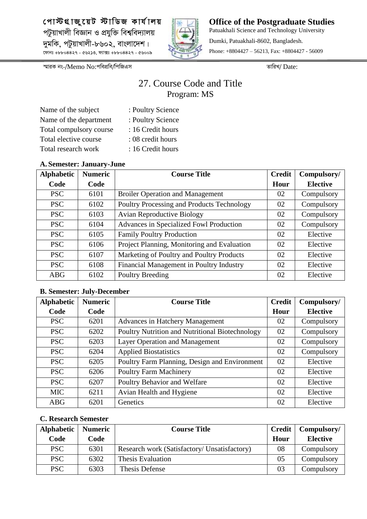

**Office of the Postgraduate Studies** Patuakhali Science and Technology University Dumki, Patuakhali-8602, Bangladesh. Phone: +8804427 – 56213, Fax: +8804427 - 56009

*¯§viK bs-/*Memo No:*cwecÖwe/wcwRGm ZvwiL/* Date:

## 27. Course Code and Title Program: MS

| : Poultry Science |
|-------------------|
| : Poultry Science |
| : 16 Credit hours |
| : 08 credit hours |
| : 16 Credit hours |
|                   |

#### **A. Semester: January-June**

| <b>Alphabetic</b> | <b>Numeric</b> | <b>Course Title</b>                         | <b>Credit</b> | Compulsory/     |
|-------------------|----------------|---------------------------------------------|---------------|-----------------|
| Code              | Code           |                                             | Hour          | <b>Elective</b> |
| <b>PSC</b>        | 6101           | <b>Broiler Operation and Management</b>     | 02            | Compulsory      |
| <b>PSC</b>        | 6102           | Poultry Processing and Products Technology  | 02            | Compulsory      |
| <b>PSC</b>        | 6103           | <b>Avian Reproductive Biology</b>           | 02            | Compulsory      |
| <b>PSC</b>        | 6104           | Advances in Specialized Fowl Production     | 02            | Compulsory      |
| <b>PSC</b>        | 6105           | <b>Family Poultry Production</b>            | 02            | Elective        |
| <b>PSC</b>        | 6106           | Project Planning, Monitoring and Evaluation | 02            | Elective        |
| <b>PSC</b>        | 6107           | Marketing of Poultry and Poultry Products   | 02            | Elective        |
| <b>PSC</b>        | 6108           | Financial Management in Poultry Industry    | 02            | Elective        |
| <b>ABG</b>        | 6102           | Poultry Breeding                            | 02            | Elective        |

#### **B. Semester: July-December**

| <b>Alphabetic</b> | <b>Numeric</b> | <b>Course Title</b>                             | <b>Credit</b> | Compulsory/     |
|-------------------|----------------|-------------------------------------------------|---------------|-----------------|
| Code              | Code           |                                                 | Hour          | <b>Elective</b> |
| <b>PSC</b>        | 6201           | <b>Advances in Hatchery Management</b>          | 02            | Compulsory      |
| <b>PSC</b>        | 6202           | Poultry Nutrition and Nutritional Biotechnology | 02            | Compulsory      |
| <b>PSC</b>        | 6203           | Layer Operation and Management                  | 02            | Compulsory      |
| <b>PSC</b>        | 6204           | <b>Applied Biostatistics</b>                    | 02            | Compulsory      |
| <b>PSC</b>        | 6205           | Poultry Farm Planning, Design and Environment   | 02            | Elective        |
| <b>PSC</b>        | 6206           | <b>Poultry Farm Machinery</b>                   | 02            | Elective        |
| <b>PSC</b>        | 6207           | Poultry Behavior and Welfare                    | 02            | Elective        |
| <b>MIC</b>        | 6211           | Avian Health and Hygiene                        | 02            | Elective        |
| <b>ABG</b>        | 6201           | Genetics                                        | 02            | Elective        |

| Alphabetic | <b>Numeric</b> | <b>Course Title</b>                          | <b>Credit</b> | Compulsory/     |
|------------|----------------|----------------------------------------------|---------------|-----------------|
| Code       | Code           |                                              | Hour          | <b>Elective</b> |
| <b>PSC</b> | 6301           | Research work (Satisfactory/ Unsatisfactory) | 08            | Compulsory      |
| <b>PSC</b> | 6302           | Thesis Evaluation                            | 05            | Compulsory      |
| <b>PSC</b> | 6303           | Thesis Defense                               | 03            | Compulsory      |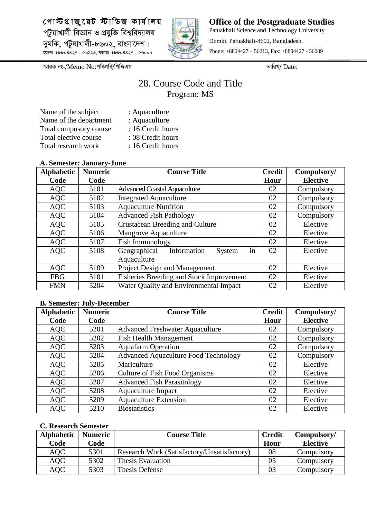

**Office of the Postgraduate Studies** Patuakhali Science and Technology University Dumki, Patuakhali-8602, Bangladesh. Phone: +8804427 – 56213, Fax: +8804427 - 56009

*¯§viK bs-/*Memo No:*cwecÖwe/wcwRGm ZvwiL/* Date:

## 28. Course Code and Title Program: MS

| : Aquaculture     |
|-------------------|
| : Aquaculture     |
| : 16 Credit hours |
| : 08 Credit hours |
| : 16 Credit hours |
|                   |

#### **A. Semester: January-June**

| <b>Alphabetic</b> | <b>Numeric</b> | <b>Course Title</b>                         | <b>Credit</b> | Compulsory/     |
|-------------------|----------------|---------------------------------------------|---------------|-----------------|
| Code              | Code           |                                             | Hour          | <b>Elective</b> |
| <b>AQC</b>        | 5101           | <b>Advanced Coastal Aquaculture</b>         | 02            | Compulsory      |
| <b>AQC</b>        | 5102           | <b>Integrated Aquaculture</b>               | 02            | Compulsory      |
| <b>AQC</b>        | 5103           | <b>Aquaculture Nutrition</b>                | 02            | Compulsory      |
| <b>AQC</b>        | 5104           | <b>Advanced Fish Pathology</b>              | 02            | Compulsory      |
| <b>AQC</b>        | 5105           | Crustacean Breeding and Culture             | 02            | Elective        |
| <b>AQC</b>        | 5106           | Mangrove Aquaculture                        | 02            | Elective        |
| <b>AQC</b>        | 5107           | Fish Immunology                             | 02            | Elective        |
| <b>AQC</b>        | 5108           | in<br>Geographical<br>Information<br>System | 02            | Elective        |
|                   |                | Aquaculture                                 |               |                 |
| <b>AQC</b>        | 5109           | <b>Project Design and Management</b>        | 02            | Elective        |
| <b>FBG</b>        | 5101           | Fisheries Breeding and Stock Improvement    | 02            | Elective        |
| <b>FMN</b>        | 5204           | Water Quality and Environmental Impact      | 02            | Elective        |

#### **B. Semester: July-December**

| <b>Alphabetic</b> | <b>Numeric</b> | <b>Course Title</b>                         | <b>Credit</b> | Compulsory/     |
|-------------------|----------------|---------------------------------------------|---------------|-----------------|
| Code              | Code           |                                             | Hour          | <b>Elective</b> |
| <b>AQC</b>        | 5201           | <b>Advanced Freshwater Aquaculture</b>      | 02            | Compulsory      |
| <b>AQC</b>        | 5202           | <b>Fish Health Management</b>               | 02            | Compulsory      |
| <b>AQC</b>        | 5203           | <b>Aquafarm Operation</b>                   | 02            | Compulsory      |
| <b>AQC</b>        | 5204           | <b>Advanced Aquaculture Food Technology</b> | 02            | Compulsory      |
| <b>AQC</b>        | 5205           | Mariculture                                 | 02            | Elective        |
| <b>AQC</b>        | 5206           | Culture of Fish Food Organisms              | 02            | Elective        |
| <b>AQC</b>        | 5207           | <b>Advanced Fish Parasitology</b>           | 02            | Elective        |
| <b>AQC</b>        | 5208           | <b>Aquaculture Impact</b>                   | 02            | Elective        |
| <b>AQC</b>        | 5209           | <b>Aquaculture Extension</b>                | 02            | Elective        |
| <b>AQC</b>        | 5210           | <b>Biostatistics</b>                        | 02            | Elective        |

| <b>Alphabetic</b> | <b>Numeric</b> | <b>Course Title</b>                         | <b>Credit</b> | Compulsory/     |
|-------------------|----------------|---------------------------------------------|---------------|-----------------|
| Code              | Code           |                                             | Hour          | <b>Elective</b> |
| AQC               | 5301           | Research Work (Satisfactory/Unsatisfactory) | 08            | Compulsory      |
| AQC               | 5302           | Thesis Evaluation                           | 05            | Compulsory      |
| <b>AQC</b>        | 5303           | Thesis Defense                              | 03            | Compulsory      |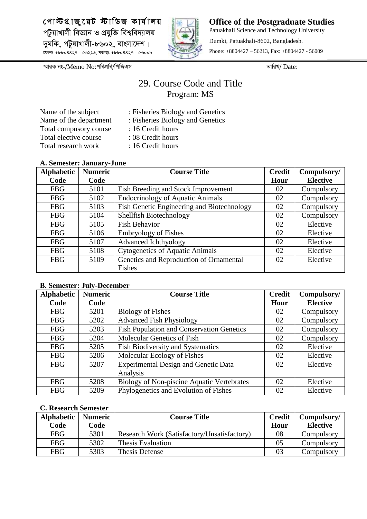

**Office of the Postgraduate Studies** Patuakhali Science and Technology University Dumki, Patuakhali-8602, Bangladesh. Phone: +8804427 – 56213, Fax: +8804427 - 56009

*¯§viK bs-/*Memo No:*cwecÖwe/wcwRGm ZvwiL/* Date:

## 29. Course Code and Title Program: MS

Name of the department : Fisheries Biology and Genetics Total compusory course : 16 Credit hours Total elective course : 08 Credit hours Total research work : 16 Credit hours

- Name of the subject : Fisheries Biology and Genetics
	- -
	-
- **A. Semester: January-June**

| <sup>11</sup> Demoder , oundary cane |                |                                            |               |                 |
|--------------------------------------|----------------|--------------------------------------------|---------------|-----------------|
| <b>Alphabetic</b>                    | <b>Numeric</b> | <b>Course Title</b>                        | <b>Credit</b> | Compulsory/     |
| Code                                 | Code           |                                            | Hour          | <b>Elective</b> |
| <b>FBG</b>                           | 5101           | Fish Breeding and Stock Improvement        | 02            | Compulsory      |
| <b>FBG</b>                           | 5102           | <b>Endocrinology of Aquatic Animals</b>    | 02            | Compulsory      |
| <b>FBG</b>                           | 5103           | Fish Genetic Engineering and Biotechnology | 02            | Compulsory      |
| <b>FBG</b>                           | 5104           | Shellfish Biotechnology                    | 02            | Compulsory      |
| <b>FBG</b>                           | 5105           | <b>Fish Behavior</b>                       | 02            | Elective        |
| <b>FBG</b>                           | 5106           | <b>Embryology of Fishes</b>                | 02            | Elective        |
| <b>FBG</b>                           | 5107           | Advanced Ichthyology                       | 02            | Elective        |
| <b>FBG</b>                           | 5108           | <b>Cytogenetics of Aquatic Animals</b>     | 02            | Elective        |
| <b>FBG</b>                           | 5109           | Genetics and Reproduction of Ornamental    | 02            | Elective        |
|                                      |                | Fishes                                     |               |                 |

#### **B. Semester: July-December**

| <b>Alphabetic</b> | <b>Numeric</b> | <b>Course Title</b>                              | <b>Credit</b> | Compulsory/     |
|-------------------|----------------|--------------------------------------------------|---------------|-----------------|
| Code              | Code           |                                                  | Hour          | <b>Elective</b> |
| <b>FBG</b>        | 5201           | <b>Biology of Fishes</b>                         | 02            | Compulsory      |
| <b>FBG</b>        | 5202           | <b>Advanced Fish Physiology</b>                  | 02            | Compulsory      |
| <b>FBG</b>        | 5203           | <b>Fish Population and Conservation Genetics</b> | 02            | Compulsory      |
| <b>FBG</b>        | 5204           | Molecular Genetics of Fish                       | 02            | Compulsory      |
| <b>FBG</b>        | 5205           | Fish Biodiversity and Systematics                | 02            | Elective        |
| <b>FBG</b>        | 5206           | Molecular Ecology of Fishes                      | 02            | Elective        |
| <b>FBG</b>        | 5207           | <b>Experimental Design and Genetic Data</b>      | 02            | Elective        |
|                   |                | Analysis                                         |               |                 |
| <b>FBG</b>        | 5208           | Biology of Non-piscine Aquatic Vertebrates       | 02            | Elective        |
| <b>FBG</b>        | 5209           | Phylogenetics and Evolution of Fishes            | 02            | Elective        |

| <b>Alphabetic</b> | <b>Numeric</b> | <b>Course Title</b>                         | <b>Credit</b> | Compulsory/     |
|-------------------|----------------|---------------------------------------------|---------------|-----------------|
| Code              | Code           |                                             | Hour          | <b>Elective</b> |
| <b>FBG</b>        | 5301           | Research Work (Satisfactory/Unsatisfactory) | 08            | Compulsory      |
| <b>FBG</b>        | 5302           | Thesis Evaluation                           | 05            | Compulsory      |
| <b>FBG</b>        | 5303           | Thesis Defense                              | 03            | Compulsory      |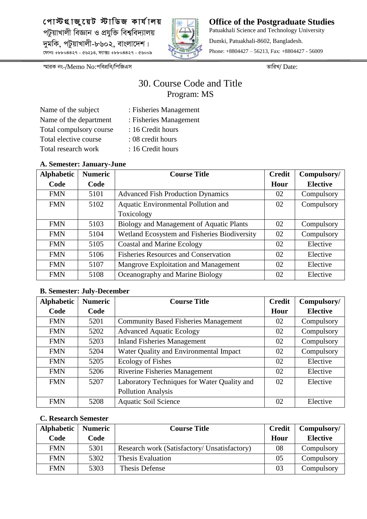

**Office of the Postgraduate Studies** Patuakhali Science and Technology University Dumki, Patuakhali-8602, Bangladesh. Phone: +8804427 – 56213, Fax: +8804427 - 56009

*¯§viK bs-/*Memo No:*cwecÖwe/wcwRGm ZvwiL/* Date:

## 30. Course Code and Title Program: MS

| Name of the subject     |
|-------------------------|
| Name of the department  |
| Total compulsory course |
| Total elective course   |
| Total research work     |

- : Fisheries Management : Fisheries Management
- : 16 Credit hours
- 
- : 08 credit hours : 16 Credit hours

#### **A. Semester: January-June**

| <b>Alphabetic</b> | <b>Numeric</b> | <b>Course Title</b>                          | <b>Credit</b> | Compulsory/     |
|-------------------|----------------|----------------------------------------------|---------------|-----------------|
| Code              | Code           |                                              | Hour          | <b>Elective</b> |
| <b>FMN</b>        | 5101           | <b>Advanced Fish Production Dynamics</b>     | 02            | Compulsory      |
| <b>FMN</b>        | 5102           | Aquatic Environmental Pollution and          | 02            | Compulsory      |
|                   |                | Toxicology                                   |               |                 |
| <b>FMN</b>        | 5103           | Biology and Management of Aquatic Plants     | 02            | Compulsory      |
| <b>FMN</b>        | 5104           | Wetland Ecosystem and Fisheries Biodiversity | 02            | Compulsory      |
| <b>FMN</b>        | 5105           | <b>Coastal and Marine Ecology</b>            | 02            | Elective        |
| <b>FMN</b>        | 5106           | <b>Fisheries Resources and Conservation</b>  | 02            | Elective        |
| <b>FMN</b>        | 5107           | Mangrove Exploitation and Management         | 02            | Elective        |
| <b>FMN</b>        | 5108           | Oceanography and Marine Biology              | 02            | Elective        |

#### **B. Semester: July-December**

| <b>Alphabetic</b> | <b>Numeric</b> | <b>Course Title</b>                         | <b>Credit</b> | Compulsory/     |
|-------------------|----------------|---------------------------------------------|---------------|-----------------|
| Code              | Code           |                                             | Hour          | <b>Elective</b> |
| <b>FMN</b>        | 5201           | <b>Community Based Fisheries Management</b> | 02            | Compulsory      |
| <b>FMN</b>        | 5202           | <b>Advanced Aquatic Ecology</b>             | 02            | Compulsory      |
| <b>FMN</b>        | 5203           | <b>Inland Fisheries Management</b>          | 02            | Compulsory      |
| <b>FMN</b>        | 5204           | Water Quality and Environmental Impact      | 02            | Compulsory      |
| <b>FMN</b>        | 5205           | <b>Ecology of Fishes</b>                    | 02            | Elective        |
| <b>FMN</b>        | 5206           | Riverine Fisheries Management               | 02            | Elective        |
| <b>FMN</b>        | 5207           | Laboratory Techniques for Water Quality and | 02            | Elective        |
|                   |                | <b>Pollution Analysis</b>                   |               |                 |
| <b>FMN</b>        | 5208           | <b>Aquatic Soil Science</b>                 | 02            | Elective        |

| Alphabetic | <b>Numeric</b> | <b>Course Title</b>                          | <b>Credit</b> | Compulsory/     |
|------------|----------------|----------------------------------------------|---------------|-----------------|
| Code       | Code           |                                              | Hour          | <b>Elective</b> |
| <b>FMN</b> | 5301           | Research work (Satisfactory/ Unsatisfactory) | 08            | Compulsory      |
| <b>FMN</b> | 5302           | Thesis Evaluation                            | 05            | Compulsory      |
| <b>FMN</b> | 5303           | Thesis Defense                               | 03            | Compulsory      |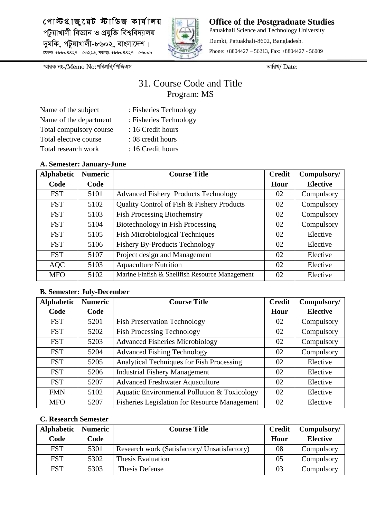

**Office of the Postgraduate Studies** Patuakhali Science and Technology University Dumki, Patuakhali-8602, Bangladesh. Phone: +8804427 – 56213, Fax: +8804427 - 56009

*¯§viK bs-/*Memo No:*cwecÖwe/wcwRGm ZvwiL/* Date:

## 31. Course Code and Title Program: MS

| Name of the subject     |
|-------------------------|
| Name of the department  |
| Total compulsory course |
| Total elective course   |
| Total research work     |

- : Fisheries Technology
- : Fisheries Technology
- : 16 Credit hours
- : 08 credit hours
- : 16 Credit hours

#### **A. Semester: January-June**

| <b>Alphabetic</b> | <b>Numeric</b> | <b>Course Title</b>                            | <b>Credit</b> | Compulsory/     |
|-------------------|----------------|------------------------------------------------|---------------|-----------------|
| Code              | Code           |                                                | Hour          | <b>Elective</b> |
| <b>FST</b>        | 5101           | <b>Advanced Fishery Products Technology</b>    | 02            | Compulsory      |
| <b>FST</b>        | 5102           | Quality Control of Fish & Fishery Products     | 02            | Compulsory      |
| <b>FST</b>        | 5103           | <b>Fish Processing Biochemstry</b>             | 02            | Compulsory      |
| <b>FST</b>        | 5104           | Biotechnology in Fish Processing               | 02            | Compulsory      |
| <b>FST</b>        | 5105           | <b>Fish Microbiological Techniques</b>         | 02            | Elective        |
| <b>FST</b>        | 5106           | <b>Fishery By-Products Technology</b>          | 02            | Elective        |
| <b>FST</b>        | 5107           | Project design and Management                  | 02            | Elective        |
| <b>AQC</b>        | 5103           | <b>Aquaculture Nutrition</b>                   | 02            | Elective        |
| <b>MFO</b>        | 5102           | Marine Finfish & Shellfish Resource Management | 02            | Elective        |

#### **B. Semester: July-December**

| <b>Alphabetic</b> | <b>Numeric</b> | <b>Course Title</b>                                  | <b>Credit</b> | Compulsory/     |
|-------------------|----------------|------------------------------------------------------|---------------|-----------------|
| Code              | Code           |                                                      | Hour          | <b>Elective</b> |
| <b>FST</b>        | 5201           | <b>Fish Preservation Technology</b>                  | 02            | Compulsory      |
| <b>FST</b>        | 5202           | <b>Fish Processing Technology</b>                    | 02            | Compulsory      |
| <b>FST</b>        | 5203           | <b>Advanced Fisheries Microbiology</b>               | 02            | Compulsory      |
| <b>FST</b>        | 5204           | <b>Advanced Fishing Technology</b>                   | 02            | Compulsory      |
| <b>FST</b>        | 5205           | Analytical Techniques for Fish Processing            | 02            | Elective        |
| <b>FST</b>        | 5206           | <b>Industrial Fishery Management</b>                 | 02            | Elective        |
| <b>FST</b>        | 5207           | <b>Advanced Freshwater Aquaculture</b>               | 02            | Elective        |
| <b>FMN</b>        | 5102           | Aquatic Environmental Pollution & Toxicology         | 02            | Elective        |
| <b>MFO</b>        | 5207           | <b>Fisheries Legislation for Resource Management</b> | 02            | Elective        |

| Alphabetic | <b>Numeric</b> | <b>Course Title</b>                          | <b>Credit</b> | Compulsory/     |
|------------|----------------|----------------------------------------------|---------------|-----------------|
| Code       | Code           |                                              | Hour          | <b>Elective</b> |
| <b>FST</b> | 5301           | Research work (Satisfactory/ Unsatisfactory) | 08            | Compulsory      |
| <b>FST</b> | 5302           | Thesis Evaluation                            | 05            | Compulsory      |
| <b>FST</b> | 5303           | Thesis Defense                               | 03            | Compulsory      |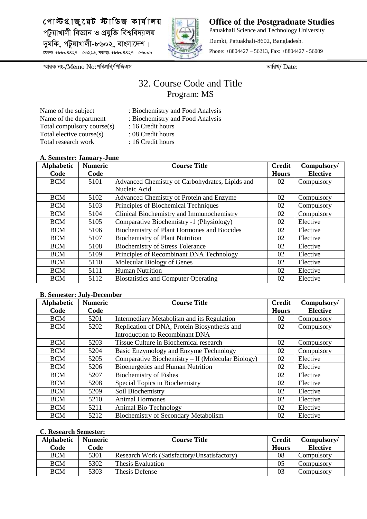

**Office of the Postgraduate Studies** Patuakhali Science and Technology University Dumki, Patuakhali-8602, Bangladesh. Phone: +8804427 – 56213, Fax: +8804427 - 56009

*¯§viK bs-/*Memo No:*cwecÖwe/wcwRGm ZvwiL/* Date:

## 32. Course Code and Title Program: MS

Name of the subject : Biochemistry and Food Analysis Name of the department : Biochemistry and Food Analysis Total compulsory course(s) : 16 Credit hours Total elective course(s) : 08 Credit hours Total research work : 16 Credit hours

- 
- -
- 
- 
- 

#### **A. Semester: January-June**

| <b>Alphabetic</b> | <b>Numeric</b> | <b>Course Title</b>                             | <b>Credit</b> | Compulsory/     |
|-------------------|----------------|-------------------------------------------------|---------------|-----------------|
| Code              | Code           |                                                 | <b>Hours</b>  | <b>Elective</b> |
| <b>BCM</b>        | 5101           | Advanced Chemistry of Carbohydrates, Lipids and | 02            | Compulsory      |
|                   |                | Nucleic Acid                                    |               |                 |
| <b>BCM</b>        | 5102           | Advanced Chemistry of Protein and Enzyme        | 02            | Compulsory      |
| <b>BCM</b>        | 5103           | Principles of Biochemical Techniques            | 02            | Compulsory      |
| <b>BCM</b>        | 5104           | Clinical Biochemistry and Immunochemistry       | 02            | Compulsory      |
| <b>BCM</b>        | 5105           | Comparative Biochemistry -1 (Physiology)        | 02            | Elective        |
| <b>BCM</b>        | 5106           | Biochemistry of Plant Hormones and Biocides     | 02            | Elective        |
| <b>BCM</b>        | 5107           | <b>Biochemistry of Plant Nutrition</b>          | 02            | Elective        |
| <b>BCM</b>        | 5108           | <b>Biochemistry of Stress Tolerance</b>         | 02            | Elective        |
| <b>BCM</b>        | 5109           | Principles of Recombinant DNA Technology        | 02            | Elective        |
| <b>BCM</b>        | 5110           | Molecular Biology of Genes                      | 02            | Elective        |
| <b>BCM</b>        | 5111           | <b>Human Nutrition</b>                          | 02            | Elective        |
| <b>BCM</b>        | 5112           | <b>Biostatistics and Computer Operating</b>     | 02            | Elective        |

#### **B. Semester: July-December**

| <b>Alphabetic</b> | <b>Numeric</b> | <b>Course Title</b>                               | <b>Credit</b> | Compulsory/     |
|-------------------|----------------|---------------------------------------------------|---------------|-----------------|
| Code              | Code           |                                                   | <b>Hours</b>  | <b>Elective</b> |
| <b>BCM</b>        | 5201           | Intermediary Metabolism and its Regulation        | 02            | Compulsory      |
| <b>BCM</b>        | 5202           | Replication of DNA, Protein Biosynthesis and      | 02            | Compulsory      |
|                   |                | Introduction to Recombinant DNA                   |               |                 |
| <b>BCM</b>        | 5203           | Tissue Culture in Biochemical research            | 02            | Compulsory      |
| <b>BCM</b>        | 5204           | Basic Enzymology and Enzyme Technology            | 02            | Compulsory      |
| <b>BCM</b>        | 5205           | Comparative Biochemistry – II (Molecular Biology) | 02            | Elective        |
| <b>BCM</b>        | 5206           | Bioenergetics and Human Nutrition                 | 02            | Elective        |
| <b>BCM</b>        | 5207           | <b>Biochemistry of Fishes</b>                     | 02            | Elective        |
| <b>BCM</b>        | 5208           | Special Topics in Biochemistry                    | 02            | Elective        |
| <b>BCM</b>        | 5209           | Soil Biochemistry                                 | 02            | Elective        |
| <b>BCM</b>        | 5210           | <b>Animal Hormones</b>                            | 02            | Elective        |
| <b>BCM</b>        | 5211           | Animal Bio-Technology                             | 02            | Elective        |
| <b>BCM</b>        | 5212           | Biochemistry of Secondary Metabolism              | 02            | Elective        |

| <b>Alphabetic</b> | <b>Numeric</b> | <b>Course Title</b>                         | <b>Credit</b> | Compulsory/     |
|-------------------|----------------|---------------------------------------------|---------------|-----------------|
| Code              | Code           |                                             | <b>Hours</b>  | <b>Elective</b> |
| <b>BCM</b>        | 5301           | Research Work (Satisfactory/Unsatisfactory) | 08            | Compulsory      |
| <b>BCM</b>        | 5302           | Thesis Evaluation                           |               | Compulsory      |
| <b>BCM</b>        | 5303           | Thesis Defense                              | 03            | Compulsorv      |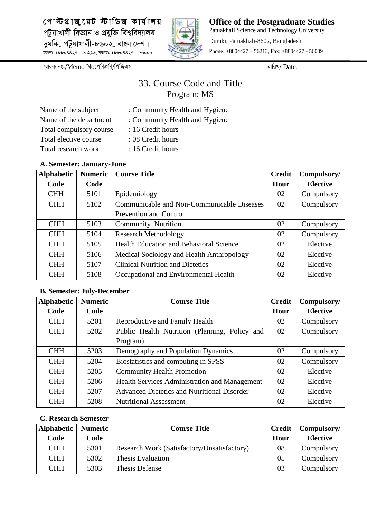

**Office of the Postgraduate Studies** Patuakhali Science and Technology University Dumki, Patuakhali-8602, Bangladesh. Phone: +8804427 – 56213, Fax: +8804427 - 56009

*¯§viK bs-/*Memo No:*cwecÖwe/wcwRGm ZvwiL/* Date:

## 33. Course Code and Title Program: MS

| Name of the subject     |
|-------------------------|
| Name of the department  |
| Total compulsory course |
| Total elective course   |
| Total research work     |

- : Community Health and Hygiene
- : Community Health and Hygiene
- : 16 Credit hours
- : 08 Credit hours
- : 16 Credit hours

### **A. Semester: January-June**

| <b>Alphabetic</b> | <b>Numeric</b> | <b>Course Title</b>                            | <b>Credit</b> | Compulsory/     |
|-------------------|----------------|------------------------------------------------|---------------|-----------------|
| Code              | Code           |                                                | Hour          | <b>Elective</b> |
| <b>CHH</b>        | 5101           | Epidemiology                                   | 02            | Compulsory      |
| <b>CHH</b>        | 5102           | Communicable and Non-Communicable Diseases     | 02            | Compulsory      |
|                   |                | <b>Prevention and Control</b>                  |               |                 |
| <b>CHH</b>        | 5103           | <b>Community Nutrition</b>                     | 02            | Compulsory      |
| <b>CHH</b>        | 5104           | <b>Research Methodology</b>                    | 02            | Compulsory      |
| <b>CHH</b>        | 5105           | <b>Health Education and Behavioral Science</b> | 02            | Elective        |
| <b>CHH</b>        | 5106           | Medical Sociology and Health Anthropology      | 02            | Elective        |
| <b>CHH</b>        | 5107           | <b>Clinical Nutrition and Dietetics</b>        | 02            | Elective        |
| <b>CHH</b>        | 5108           | Occupational and Environmental Health          | 02            | Elective        |

### **B. Semester: July-December**

| <b>Alphabetic</b> | <b>Numeric</b> | <b>Course Title</b>                                | <b>Credit</b> | Compulsory/     |
|-------------------|----------------|----------------------------------------------------|---------------|-----------------|
| Code              | Code           |                                                    | Hour          | <b>Elective</b> |
| <b>CHH</b>        | 5201           | Reproductive and Family Health                     | 02            | Compulsory      |
| <b>CHH</b>        | 5202           | Public Health Nutrition (Planning, Policy and      | 02            | Compulsory      |
|                   |                | Program)                                           |               |                 |
| <b>CHH</b>        | 5203           | Demography and Population Dynamics                 | 02            | Compulsory      |
| <b>CHH</b>        | 5204           | Biostatistics and computing in SPSS                | 02            | Compulsory      |
| <b>CHH</b>        | 5205           | <b>Community Health Promotion</b>                  | 02            | Elective        |
| <b>CHH</b>        | 5206           | Health Services Administration and Management      | 02            | Elective        |
| <b>CHH</b>        | 5207           | <b>Advanced Dietetics and Nutritional Disorder</b> | 02            | Elective        |
| <b>CHH</b>        | 5208           | <b>Nutritional Assessment</b>                      | 02            | Elective        |

| Alphabetic | <b>Numeric</b> | <b>Course Title</b>                         | <b>Credit</b> | Compulsory/     |
|------------|----------------|---------------------------------------------|---------------|-----------------|
| Code       | Code           |                                             | Hour          | <b>Elective</b> |
| <b>CHH</b> | 5301           | Research Work (Satisfactory/Unsatisfactory) | 08            | Compulsory      |
| <b>CHH</b> | 5302           | <b>Thesis Evaluation</b>                    | 05            | Compulsory      |
| <b>CHH</b> | 5303           | Thesis Defense                              | 03            | Compulsory      |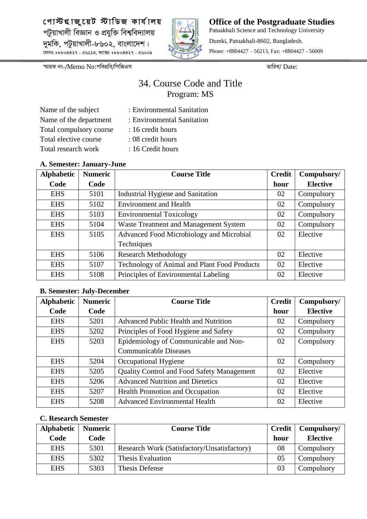

**Office of the Postgraduate Studies** Patuakhali Science and Technology University Dumki, Patuakhali-8602, Bangladesh. Phone: +8804427 – 56213, Fax: +8804427 - 56009

*¯§viK bs-/*Memo No:*cwecÖwe/wcwRGm ZvwiL/* Date:

## 34. Course Code and Title Program: MS

| Name of the subject     |
|-------------------------|
| Name of the department  |
| Total compulsory course |
| Total elective course   |
| Total research work     |

- : Environmental Sanitation
- : Environmental Sanitation
- : 16 credit hours
- : 08 credit hours
- : 16 Credit hours

#### **A. Semester: January-June**

| <b>Alphabetic</b> | <b>Numeric</b> | <b>Course Title</b>                          | <b>Credit</b> | Compulsory/     |
|-------------------|----------------|----------------------------------------------|---------------|-----------------|
| Code              | Code           |                                              | hour          | <b>Elective</b> |
| <b>EHS</b>        | 5101           | Industrial Hygiene and Sanitation            | 02            | Compulsory      |
| <b>EHS</b>        | 5102           | <b>Environment and Health</b>                | 02            | Compulsory      |
| <b>EHS</b>        | 5103           | <b>Environmental Toxicology</b>              | 02            | Compulsory      |
| <b>EHS</b>        | 5104           | <b>Waste Treatment and Management System</b> | 02            | Compulsory      |
| <b>EHS</b>        | 5105           | Advanced Food Microbiology and Microbial     | 02            | Elective        |
|                   |                | Techniques                                   |               |                 |
| <b>EHS</b>        | 5106           | <b>Research Methodology</b>                  | 02            | Elective        |
| <b>EHS</b>        | 5107           | Technology of Animal and Plant Food Products | 02            | Elective        |
| <b>EHS</b>        | 5108           | Principles of Environmental Labeling         | 02            | Elective        |

#### **B. Semester: July-December**

| <b>Alphabetic</b> | <b>Numeric</b> | <b>Course Title</b>                         | <b>Credit</b> | Compulsory/     |
|-------------------|----------------|---------------------------------------------|---------------|-----------------|
| Code              | Code           |                                             | hour          | <b>Elective</b> |
| <b>EHS</b>        | 5201           | <b>Advanced Public Health and Nutrition</b> | 02            | Compulsory      |
| <b>EHS</b>        | 5202           | Principles of Food Hygiene and Safety       | 02            | Compulsory      |
| <b>EHS</b>        | 5203           | Epidemiology of Communicable and Non-       | 02            | Compulsory      |
|                   |                | <b>Communicable Diseases</b>                |               |                 |
| <b>EHS</b>        | 5204           | Occupational Hygiene                        | 02            | Compulsory      |
| <b>EHS</b>        | 5205           | Quality Control and Food Safety Management  | 02            | Elective        |
| <b>EHS</b>        | 5206           | <b>Advanced Nutrition and Dietetics</b>     | 02            | Elective        |
| <b>EHS</b>        | 5207           | <b>Health Promotion and Occupation</b>      | 02            | Elective        |
| <b>EHS</b>        | 5208           | <b>Advanced Environmental Health</b>        | 02            | Elective        |

| <b>Alphabetic</b> | <b>Numeric</b> | <b>Course Title</b>                         | <b>Credit</b> | Compulsory/     |
|-------------------|----------------|---------------------------------------------|---------------|-----------------|
| Code              | Code           |                                             | hour          | <b>Elective</b> |
| <b>EHS</b>        | 5301           | Research Work (Satisfactory/Unsatisfactory) | 08            | Compulsory      |
| <b>EHS</b>        | 5302           | Thesis Evaluation                           | 05            | Compulsory      |
| <b>EHS</b>        | 5303           | Thesis Defense                              | 03            | Compulsory      |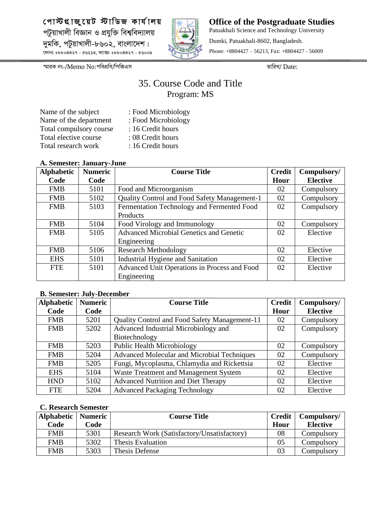

**Office of the Postgraduate Studies** Patuakhali Science and Technology University Dumki, Patuakhali-8602, Bangladesh. Phone: +8804427 – 56213, Fax: +8804427 - 56009

*¯§viK bs-/*Memo No:*cwecÖwe/wcwRGm ZvwiL/* Date:

## 35. Course Code and Title Program: MS

| Name of the subject     |
|-------------------------|
| Name of the department  |
| Total compulsory course |
| Total elective course   |
| Total research work     |

- : Food Microbiology : Food Microbiology : 16 Credit hours : 08 Credit hours
- : 16 Credit hours

#### **A. Semester: January-June**

| . <b></b> behivbeen vanisar , vanc |                |                                                |               |                 |  |  |
|------------------------------------|----------------|------------------------------------------------|---------------|-----------------|--|--|
| <b>Alphabetic</b>                  | <b>Numeric</b> | <b>Course Title</b>                            | <b>Credit</b> | Compulsory/     |  |  |
| Code                               | Code           |                                                | Hour          | <b>Elective</b> |  |  |
| <b>FMB</b>                         | 5101           | Food and Microorganism                         | 02            | Compulsory      |  |  |
| <b>FMB</b>                         | 5102           | Quality Control and Food Safety Management-1   | 02            | Compulsory      |  |  |
| <b>FMB</b>                         | 5103           | Fermentation Technology and Fermented Food     | 02            | Compulsory      |  |  |
|                                    |                | Products                                       |               |                 |  |  |
| <b>FMB</b>                         | 5104           | Food Virology and Immunology                   | 02            | Compulsory      |  |  |
| <b>FMB</b>                         | 5105           | <b>Advanced Microbial Genetics and Genetic</b> | 02            | Elective        |  |  |
|                                    |                | Engineering                                    |               |                 |  |  |
| <b>FMB</b>                         | 5106           | <b>Research Methodology</b>                    | 02            | Elective        |  |  |
| <b>EHS</b>                         | 5101           | Industrial Hygiene and Sanitation              | 02            | Elective        |  |  |
| <b>FTE</b>                         | 5101           | Advanced Unit Operations in Process and Food   | 02            | Elective        |  |  |
|                                    |                | Engineering                                    |               |                 |  |  |

#### **B. Semester: July-December**

| <b>Alphabetic</b> | <b>Numeric</b> | <b>Course Title</b>                                | <b>Credit</b> | Compulsory/     |
|-------------------|----------------|----------------------------------------------------|---------------|-----------------|
| Code              | Code           |                                                    | Hour          | <b>Elective</b> |
| <b>FMB</b>        | 5201           | Quality Control and Food Safety Management-11      | 02            | Compulsory      |
| <b>FMB</b>        | 5202           | Advanced Industrial Microbiology and               | 02            | Compulsory      |
|                   |                | Biotechnology                                      |               |                 |
| <b>FMB</b>        | 5203           | <b>Public Health Microbiology</b>                  | 02            | Compulsory      |
| <b>FMB</b>        | 5204           | <b>Advanced Molecular and Microbial Techniques</b> | 02            | Compulsory      |
| <b>FMB</b>        | 5205           | Fungi, Mycoplasma, Chlamydia and Rickettsia        | 02            | Elective        |
| <b>EHS</b>        | 5104           | Waste Treatment and Management System              | 02            | Elective        |
| <b>HND</b>        | 5102           | <b>Advanced Nutrition and Diet Therapy</b>         | 02            | Elective        |
| <b>FTE</b>        | 5204           | <b>Advanced Packaging Technology</b>               | 02            | Elective        |

| Alphabetic | <b>Numeric</b> | <b>Course Title</b>                         | <b>Credit</b> | Compulsory/     |
|------------|----------------|---------------------------------------------|---------------|-----------------|
| Code       | Code           |                                             | Hour          | <b>Elective</b> |
| <b>FMB</b> | 5301           | Research Work (Satisfactory/Unsatisfactory) | 08            | Compulsory      |
| <b>FMB</b> | 5302           | Thesis Evaluation                           | 05            | Compulsory      |
| <b>FMB</b> | 5303           | Thesis Defense                              | 03            | Compulsory      |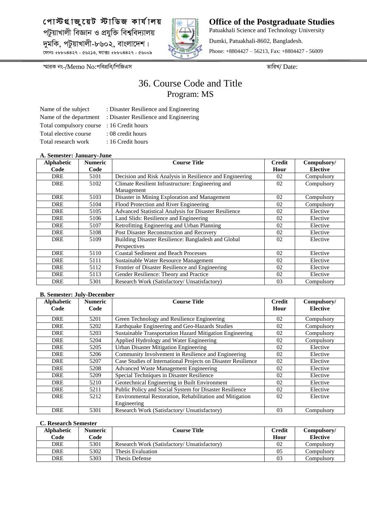

**Office of the Postgraduate Studies** Patuakhali Science and Technology University Dumki, Patuakhali-8602, Bangladesh. Phone: +8804427 – 56213, Fax: +8804427 - 56009

*¯§viK bs-/*Memo No:*cwecÖwe/wcwRGm ZvwiL/* Date:

## 36. Course Code and Title Program: MS

Name of the subject : Disaster Resilience and Engineering Name of the department : Disaster Resilience and Engineering Total compulsory course : 16 Credit hours Total elective course : 08 credit hours Total research work : 16 Credit hours

- 
- 
- 
- 
- 

#### **A. Semester: January-June**

| 11. эспісясі : запиаі у-запс<br><b>Alphabetic</b> | <b>Numeric</b> | <b>Course Title</b>                                      | <b>Credit</b> | Compulsory/     |
|---------------------------------------------------|----------------|----------------------------------------------------------|---------------|-----------------|
| Code                                              | Code           |                                                          | Hour          | <b>Elective</b> |
| DRE                                               | 5101           | Decision and Risk Analysis in Resilience and Engineering | 02            | Compulsory      |
| <b>DRE</b>                                        | 5102           | Climate Resilient Infrastructure: Engineering and        | 02            | Compulsory      |
|                                                   |                | Management                                               |               |                 |
| <b>DRE</b>                                        | 5103           | Disaster in Mining Exploration and Management            | 02            | Compulsory      |
| <b>DRE</b>                                        | 5104           | Flood Protection and River Engineering                   | 02            | Compulsory      |
| <b>DRE</b>                                        | 5105           | Advanced Statistical Analysis for Disaster Resilience    | 02            | Elective        |
| <b>DRE</b>                                        | 5106           | Land Slids: Resilience and Engineering                   | 02            | Elective        |
| <b>DRE</b>                                        | 5107           | Retrofitting Engineering and Urban Planning              | 02            | Elective        |
| <b>DRE</b>                                        | 5108           | Post Disaster Reconstruction and Recovery                | 02            | Elective        |
| <b>DRE</b>                                        | 5109           | Building Disaster Resilience: Bangladesh and Global      | 02            | Elective        |
|                                                   |                | Perspectives                                             |               |                 |
| <b>DRE</b>                                        | 5110           | <b>Coastal Sediment and Beach Processes</b>              | 02            | Elective        |
| DRE                                               | 5111           | Sustainable Water Resource Management                    | 02            | Elective        |
| DRE                                               | 5112           | Frontier of Disaster Resilience and Engineering          | 02            | Elective        |
| <b>DRE</b>                                        | 5113           | Gender Resilience: Theory and Practice                   | 02            | Elective        |
| <b>DRE</b>                                        | 5301           | Research Work (Satisfactory/ Unsatisfactory)             | 03            | Compulsory      |

#### **B. Semester: July-December**

| <b>Alphabetic</b><br>Code | <b>Numeric</b><br>Code | <b>Course Title</b>                                           | <b>Credit</b><br>Hour | Compulsory/<br><b>Elective</b> |
|---------------------------|------------------------|---------------------------------------------------------------|-----------------------|--------------------------------|
| <b>DRE</b>                | 5201                   | Green Technology and Resilience Engineering                   | 02                    | Compulsory                     |
| <b>DRE</b>                | 5202                   | Earthquake Engineering and Geo-Hazards Studies                | 02                    | Compulsory                     |
| <b>DRE</b>                | 5203                   | Sustainable Transportation Hazard Mitigation Engineering      | 02                    | Compulsory                     |
| <b>DRE</b>                | 5204                   | Applied Hydrology and Water Engineering                       | 02                    | Compulsory                     |
| <b>DRE</b>                | 5205                   | <b>Urban Disaster Mitigation Engineering</b>                  | 02                    | Elective                       |
| <b>DRE</b>                | 5206                   | Community Involvement in Resilience and Engineering           | 02                    | Elective                       |
| <b>DRE</b>                | 5207                   | Case Studies of International Projects on Disaster Resilience | 02                    | Elective                       |
| <b>DRE</b>                | 5208                   | Advanced Waste Management Engineering                         | 02                    | Elective                       |
| <b>DRE</b>                | 5209                   | Special Techniques in Disaster Resilience                     | 02                    | Elective                       |
| <b>DRE</b>                | 5210                   | Geotechnical Engineering in Built Environment                 | 02                    | Elective                       |
| DRE                       | 5211                   | Public Policy and Social System for Disaster Resilience       | 02                    | Elective                       |
| <b>DRE</b>                | 5212                   | Environmental Restoration, Rehabilitation and Mitigation      | 02                    | Elective                       |
|                           |                        | Engineering                                                   |                       |                                |
| <b>DRE</b>                | 5301                   | Research Work (Satisfactory/ Unsatisfactory)                  | 03                    | Compulsory                     |

| <b>Alphabetic</b> | <b>Numeric</b> | <b>Course Title</b>                          | Credit | Compulsory/     |
|-------------------|----------------|----------------------------------------------|--------|-----------------|
| Code              | Code           |                                              | Hour   | <b>Elective</b> |
| DRE               | 5301           | Research Work (Satisfactory/ Unsatisfactory) | 02     | Compulsory      |
| <b>DRE</b>        | 5302           | Thesis Evaluation                            | 05     | Compulsorv      |
| <b>DRE</b>        | 5303           | Thesis Defense                               | 03     | Compulsory      |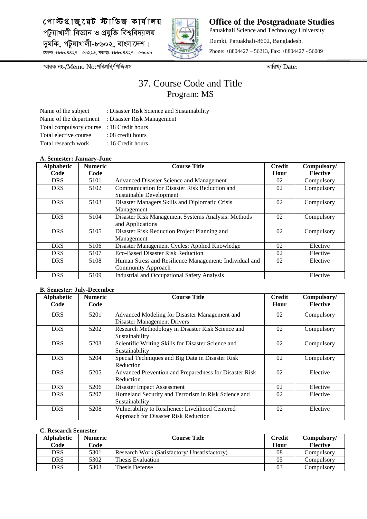

**Office of the Postgraduate Studies** Patuakhali Science and Technology University Dumki, Patuakhali-8602, Bangladesh. Phone: +8804427 – 56213, Fax: +8804427 - 56009

*¯§viK bs-/*Memo No:*cwecÖwe/wcwRGm ZvwiL/* Date:

## 37. Course Code and Title Program: MS

Name of the department : Disaster Risk Management Total compulsory course : 18 Credit hours Total elective course : 08 credit hours Total research work : 16 Credit hours

- Name of the subject : Disaster Risk Science and Sustainability
	-
	-
- 
- 

#### **A. Semester: January-June**

| <b>Alphabetic</b> | <b>Numeric</b> | <b>Course Title</b>                                    | <b>Credit</b> | Compulsory/     |
|-------------------|----------------|--------------------------------------------------------|---------------|-----------------|
| Code              | Code           |                                                        | Hour          | <b>Elective</b> |
| <b>DRS</b>        | 5101           | Advanced Disaster Science and Management               | 02            | Compulsory      |
| <b>DRS</b>        | 5102           | Communication for Disaster Risk Reduction and          | 02            | Compulsory      |
|                   |                | Sustainable Development                                |               |                 |
| <b>DRS</b>        | 5103           | Disaster Managers Skills and Diplomatic Crisis         | 02            | Compulsory      |
|                   |                | Management                                             |               |                 |
| <b>DRS</b>        | 5104           | Disaster Risk Management Systems Analysis: Methods     | 02            | Compulsory      |
|                   |                | and Applications                                       |               |                 |
| <b>DRS</b>        | 5105           | Disaster Risk Reduction Project Planning and           | 02            | Compulsory      |
|                   |                | Management                                             |               |                 |
| <b>DRS</b>        | 5106           | Disaster Management Cycles: Applied Knowledge          | 02            | Elective        |
| <b>DRS</b>        | 5107           | <b>Eco-Based Disaster Risk Reduction</b>               | 02            | Elective        |
| <b>DRS</b>        | 5108           | Human Stress and Resilience Management: Individual and | 02            | Elective        |
|                   |                | <b>Community Approach</b>                              |               |                 |
| <b>DRS</b>        | 5109           | <b>Industrial and Occupational Safety Analysis</b>     |               | Elective        |

#### **B. Semester: July-December**

| <b>Alphabetic</b><br>Code | <b>Numeric</b><br>Code | <b>Course Title</b>                                    | <b>Credit</b><br>Hour | Compulsory/<br><b>Elective</b> |
|---------------------------|------------------------|--------------------------------------------------------|-----------------------|--------------------------------|
| <b>DRS</b>                | 5201                   | Advanced Modeling for Disaster Management and          | 02                    | Compulsory                     |
|                           |                        | <b>Disaster Management Drivers</b>                     |                       |                                |
| <b>DRS</b>                | 5202                   | Research Methodology in Disaster Risk Science and      | 02                    | Compulsory                     |
|                           |                        | Sustainability                                         |                       |                                |
| <b>DRS</b>                | 5203                   | Scientific Writing Skills for Disaster Science and     | 02                    | Compulsory                     |
|                           |                        | Sustainability                                         |                       |                                |
| <b>DRS</b>                | 5204                   | Special Techniques and Big Data in Disaster Risk       | 02                    | Compulsory                     |
|                           |                        | Reduction                                              |                       |                                |
| <b>DRS</b>                | 5205                   | Advanced Prevention and Preparedness for Disaster Risk | 02                    | Elective                       |
|                           |                        | Reduction                                              |                       |                                |
| <b>DRS</b>                | 5206                   | Disaster Impact Assessment                             | 02                    | Elective                       |
| <b>DRS</b>                | 5207                   | Homeland Security and Terrorism in Risk Science and    | 02                    | Elective                       |
|                           |                        | Sustainability                                         |                       |                                |
| <b>DRS</b>                | 5208                   | Vulnerability to Resilience: Livelihood Centered       | 02                    | Elective                       |
|                           |                        | Approach for Disaster Risk Reduction                   |                       |                                |

| <b>Alphabetic</b> | Numeric | <b>Course Title</b>                          | <b>Credit</b> | Compulsory/     |
|-------------------|---------|----------------------------------------------|---------------|-----------------|
| Code              | Code    |                                              | Hour          | <b>Elective</b> |
| <b>DRS</b>        | 5301    | Research Work (Satisfactory/ Unsatisfactory) | 08            | Compulsory      |
| <b>DRS</b>        | 5302    | Thesis Evaluation                            | 05            | Compulsory      |
| DRS               | 5303    | Thesis Defense                               | 03            | Compulsorv      |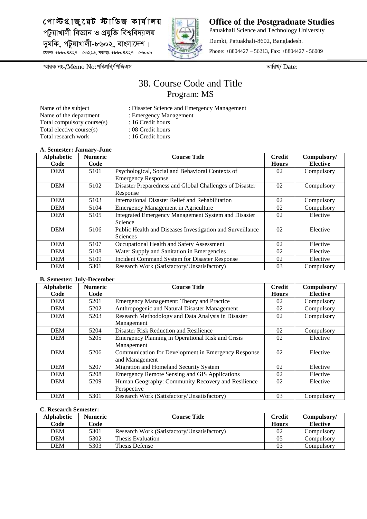

**Office of the Postgraduate Studies** Patuakhali Science and Technology University Dumki, Patuakhali-8602, Bangladesh. Phone: +8804427 – 56213, Fax: +8804427 - 56009

*¯§viK bs-/*Memo No:*cwecÖwe/wcwRGm ZvwiL/* Date:

## 38. Course Code and Title Program: MS

- Name of the subject : Disaster Science and Emergency Management Name of the department : Emergency Management Total compulsory course(s) : 16 Credit hours Total elective course(s) : 08 Credit hours
	-
	-
	-
- Total research work : 16 Credit hours

#### **A. Semester: January-June**

| <b>Alphabetic</b><br>Code | <b>Numeric</b><br>Code | <b>Course Title</b>                                                           | <b>Credit</b><br><b>Hours</b> | Compulsory/<br><b>Elective</b> |
|---------------------------|------------------------|-------------------------------------------------------------------------------|-------------------------------|--------------------------------|
| <b>DEM</b>                | 5101                   | Psychological, Social and Behavioral Contexts of<br><b>Emergency Response</b> | 02                            | Compulsory                     |
| <b>DEM</b>                | 5102                   | Disaster Preparedness and Global Challenges of Disaster<br>Response           | 02                            | Compulsory                     |
| <b>DEM</b>                | 5103                   | International Disaster Relief and Rehabilitation                              | 02                            | Compulsory                     |
| <b>DEM</b>                | 5104                   | <b>Emergency Management in Agriculture</b>                                    | 02                            | Compulsory                     |
| <b>DEM</b>                | 5105                   | Integrated Emergency Management System and Disaster<br>Science                | 02                            | Elective                       |
| <b>DEM</b>                | 5106                   | Public Health and Diseases Investigation and Surveillance<br>Sciences         | 02                            | Elective                       |
| <b>DEM</b>                | 5107                   | Occupational Health and Safety Assessment                                     | 02                            | Elective                       |
| <b>DEM</b>                | 5108                   | Water Supply and Sanitation in Emergencies                                    | 02                            | Elective                       |
| <b>DEM</b>                | 5109                   | Incident Command System for Disaster Response                                 | 02                            | Elective                       |
| <b>DEM</b>                | 5301                   | Research Work (Satisfactory/Unsatisfactory)                                   | 03                            | Compulsory                     |

#### **B. Semester: July-December**

| <b>Alphabetic</b> | <b>Numeric</b> | <b>Course Title</b>                                  | <b>Credit</b> | Compulsory/     |
|-------------------|----------------|------------------------------------------------------|---------------|-----------------|
| Code              | Code           |                                                      | <b>Hours</b>  | <b>Elective</b> |
| <b>DEM</b>        | 5201           | Emergency Management: Theory and Practice            | 02            | Compulsory      |
| <b>DEM</b>        | 5202           | Anthropogenic and Natural Disaster Management        | 02            | Compulsory      |
| <b>DEM</b>        | 5203           | Research Methodology and Data Analysis in Disaster   | 02            | Compulsory      |
|                   |                | Management                                           |               |                 |
| <b>DEM</b>        | 5204           | Disaster Risk Reduction and Resilience               | 02            | Compulsory      |
| <b>DEM</b>        | 5205           | Emergency Planning in Operational Risk and Crisis    | 02            | Elective        |
|                   |                | Management                                           |               |                 |
| <b>DEM</b>        | 5206           | Communication for Development in Emergency Response  | 02            | Elective        |
|                   |                | and Management                                       |               |                 |
| <b>DEM</b>        | 5207           | Migration and Homeland Security System               | 02            | Elective        |
| <b>DEM</b>        | 5208           | <b>Emergency Remote Sensing and GIS Applications</b> | 02            | Elective        |
| <b>DEM</b>        | 5209           | Human Geography: Community Recovery and Resilience   | 02            | Elective        |
|                   |                | Perspective                                          |               |                 |
| <b>DEM</b>        | 5301           | Research Work (Satisfactory/Unsatisfactory)          | 03            | Compulsory      |

| <b>Alphabetic</b> | <b>Numeric</b> | <b>Course Title</b>                         | Credit       | Compulsory/     |
|-------------------|----------------|---------------------------------------------|--------------|-----------------|
| Code              | Code           |                                             | <b>Hours</b> | <b>Elective</b> |
| DEM               | 5301           | Research Work (Satisfactory/Unsatisfactory) | 02           | Compulsory      |
| DEM               | 5302           | Thesis Evaluation                           | 05           | Compulsory      |
| DEM               | 5303           | Thesis Defense                              | 03           | Compulsorv      |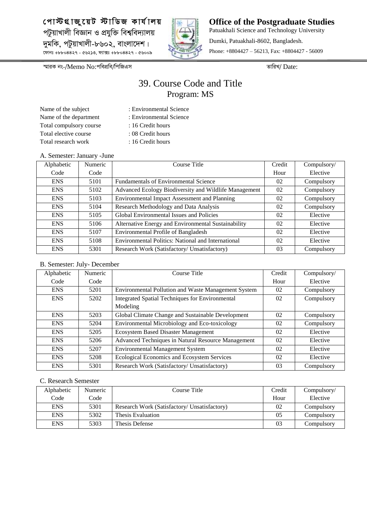

**Office of the Postgraduate Studies** Patuakhali Science and Technology University Dumki, Patuakhali-8602, Bangladesh. Phone: +8804427 – 56213, Fax: +8804427 - 56009

*¯§viK bs-/*Memo No:*cwecÖwe/wcwRGm ZvwiL/* Date:

## 39. Course Code and Title Program: MS

- Name of the subject : Environmental Science Name of the department : Environmental Science Total compulsory course : 16 Credit hours Total elective course : 08 Credit hours Total research work : 16 Credit hours
- 

#### A. Semester: January -June

| Alphabetic | Numeric | Course Title                                          | Credit | Compulsory/ |
|------------|---------|-------------------------------------------------------|--------|-------------|
| Code       | Code    |                                                       | Hour   | Elective    |
| <b>ENS</b> | 5101    | <b>Fundamentals of Environmental Science</b>          | 02     | Compulsory  |
| <b>ENS</b> | 5102    | Advanced Ecology Biodiversity and Wildlife Management | 02     | Compulsory  |
| <b>ENS</b> | 5103    | <b>Environmental Impact Assessment and Planning</b>   | 02     | Compulsory  |
| <b>ENS</b> | 5104    | Research Methodology and Data Analysis                | 02     | Compulsory  |
| <b>ENS</b> | 5105    | Global Environmental Issues and Policies              | 02     | Elective    |
| <b>ENS</b> | 5106    | Alternative Energy and Environmental Sustainability   | 02     | Elective    |
| <b>ENS</b> | 5107    | Environmental Profile of Bangladesh                   | 02     | Elective    |
| <b>ENS</b> | 5108    | Environmental Politics: National and International    | 02     | Elective    |
| <b>ENS</b> | 5301    | Research Work (Satisfactory/ Unsatisfactory)          | 03     | Compulsory  |

#### B. Semester: July- December

| Alphabetic | Numeric | Course Title                                        | Credit | Compulsory/ |
|------------|---------|-----------------------------------------------------|--------|-------------|
| Code       | Code    |                                                     | Hour   | Elective    |
| <b>ENS</b> | 5201    | Environmental Pollution and Waste Management System | 02     | Compulsory  |
| <b>ENS</b> | 5202    | Integrated Spatial Techniques for Environmental     | 02     | Compulsory  |
|            |         | Modeling                                            |        |             |
| <b>ENS</b> | 5203    | Global Climate Change and Sustainable Development   | 02     | Compulsory  |
| <b>ENS</b> | 5204    | Environmental Microbiology and Eco-toxicology       | 02     | Compulsory  |
| <b>ENS</b> | 5205    | <b>Ecosystem Based Disaster Management</b>          | 02     | Elective    |
| <b>ENS</b> | 5206    | Advanced Techniques in Natural Resource Management  | 02     | Elective    |
| <b>ENS</b> | 5207    | <b>Environmental Management System</b>              | 02     | Elective    |
| <b>ENS</b> | 5208    | Ecological Economics and Ecosystem Services         | 02     | Elective    |
| <b>ENS</b> | 5301    | Research Work (Satisfactory/ Unsatisfactory)        | 03     | Compulsory  |

| Alphabetic | Numeric | Course Title                                 | Credit | Compulsory/ |
|------------|---------|----------------------------------------------|--------|-------------|
| Code       | Code    |                                              | Hour   | Elective    |
| <b>ENS</b> | 5301    | Research Work (Satisfactory/ Unsatisfactory) | 02     | Compulsory  |
| <b>ENS</b> | 5302    | Thesis Evaluation                            | 05     | Compulsory  |
| <b>ENS</b> | 5303    | Thesis Defense                               | 03     | Compulsory  |